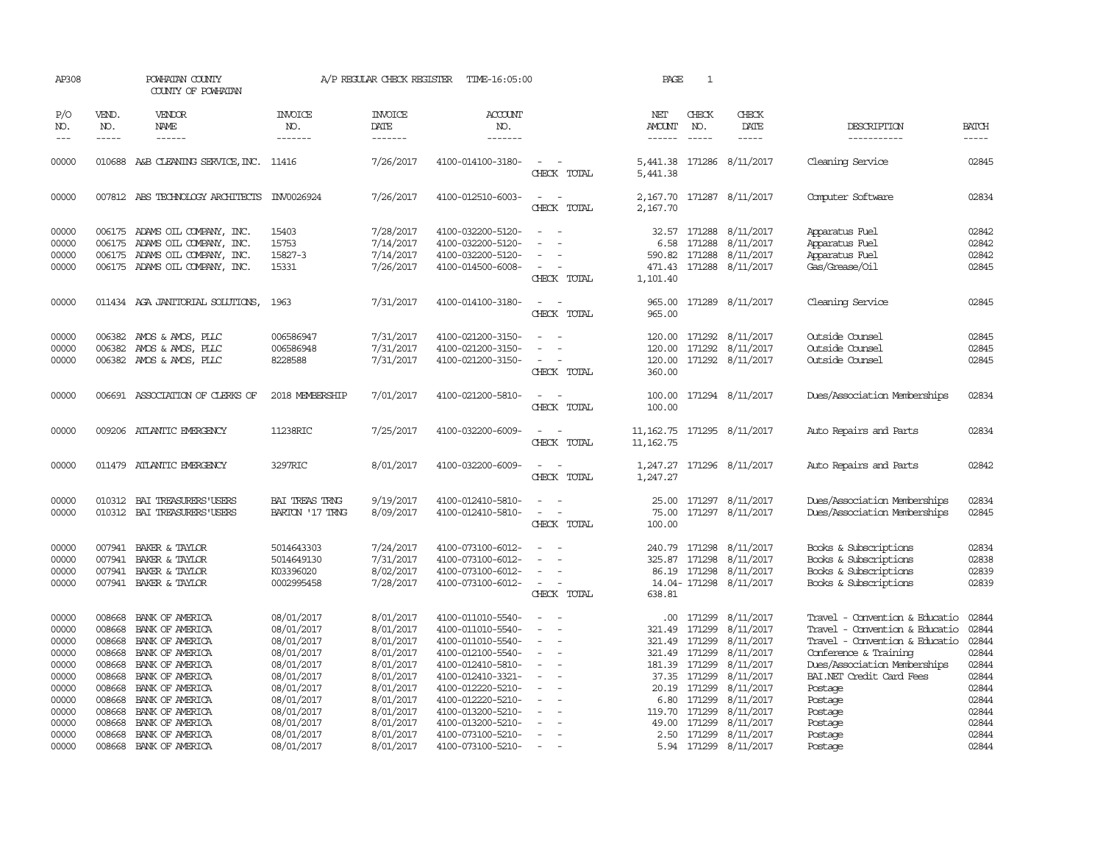| AP308                                                                         |                                                                                        | POWHATAN COUNTY<br>COUNTY OF POWHATAN                                                                                                                                   |                                                                                                                            | A/P REGULAR CHECK REGISTER                                                                                        | TIME-16:05:00                                                                                                                                                                             |                                                                                                                                                    | PAGE                                                                                         | $\mathbf{1}$                                                             |                                                                                                                   |                                                                                                                                                                                                                          |                                                                               |
|-------------------------------------------------------------------------------|----------------------------------------------------------------------------------------|-------------------------------------------------------------------------------------------------------------------------------------------------------------------------|----------------------------------------------------------------------------------------------------------------------------|-------------------------------------------------------------------------------------------------------------------|-------------------------------------------------------------------------------------------------------------------------------------------------------------------------------------------|----------------------------------------------------------------------------------------------------------------------------------------------------|----------------------------------------------------------------------------------------------|--------------------------------------------------------------------------|-------------------------------------------------------------------------------------------------------------------|--------------------------------------------------------------------------------------------------------------------------------------------------------------------------------------------------------------------------|-------------------------------------------------------------------------------|
| P/O<br>NO.<br>$---$                                                           | VEND.<br>NO.<br>-----                                                                  | VENDOR<br>NAME                                                                                                                                                          | <b>INVOICE</b><br>NO.<br>-------                                                                                           | <b>INVOICE</b><br>DATE<br>-------                                                                                 | <b>ACCOUNT</b><br>NO.<br>-------                                                                                                                                                          |                                                                                                                                                    | NET<br><b>AMOUNT</b>                                                                         | CHECK<br>NO.<br>$\frac{1}{2}$                                            | CHECK<br><b>DATE</b><br>-----                                                                                     | DESCRIPTION<br>-----------                                                                                                                                                                                               | <b>BATCH</b><br>-----                                                         |
| 00000                                                                         |                                                                                        | 010688 A&B CLEANING SERVICE, INC. 11416                                                                                                                                 |                                                                                                                            | 7/26/2017                                                                                                         | 4100-014100-3180-                                                                                                                                                                         | $\sim$<br>CHECK TOTAL                                                                                                                              | 5,441.38<br>5,441.38                                                                         |                                                                          | 171286 8/11/2017                                                                                                  | Cleaning Service                                                                                                                                                                                                         | 02845                                                                         |
| 00000                                                                         |                                                                                        | 007812 ABS TECHNOLOGY ARCHITECTS                                                                                                                                        | INV0026924                                                                                                                 | 7/26/2017                                                                                                         | 4100-012510-6003-                                                                                                                                                                         | $\overline{\phantom{a}}$<br>TOTAL<br>CHECK                                                                                                         | 2,167.70                                                                                     |                                                                          | 2,167.70 171287 8/11/2017                                                                                         | Computer Software                                                                                                                                                                                                        | 02834                                                                         |
| 00000<br>00000<br>00000<br>00000                                              | 006175                                                                                 | 006175 ADAMS OIL COMPANY, INC.<br>ADAMS OIL COMPANY, INC.<br>006175 ADAMS OIL COMPANY, INC.<br>006175 ADAMS OIL COMPANY, INC.                                           | 15403<br>15753<br>15827-3<br>15331                                                                                         | 7/28/2017<br>7/14/2017<br>7/14/2017<br>7/26/2017                                                                  | 4100-032200-5120-<br>4100-032200-5120-<br>4100-032200-5120-<br>4100-014500-6008-                                                                                                          | $\overline{\phantom{a}}$<br>CHECK TOTAL                                                                                                            | 6.58<br>590.82<br>471.43<br>1,101.40                                                         | 32.57 171288<br>171288<br>171288                                         | 8/11/2017<br>8/11/2017<br>8/11/2017<br>171288 8/11/2017                                                           | Apparatus Fuel<br>Apparatus Fuel<br>Apparatus Fuel<br>Gas/Grease/Oil                                                                                                                                                     | 02842<br>02842<br>02842<br>02845                                              |
| 00000                                                                         |                                                                                        | 011434 AGA JANITORIAL SOLUTIONS, 1963                                                                                                                                   |                                                                                                                            | 7/31/2017                                                                                                         | 4100-014100-3180-                                                                                                                                                                         | $\sim$<br>$\sim$<br>CHECK TOTAL                                                                                                                    | 965.00<br>965.00                                                                             |                                                                          | 171289 8/11/2017                                                                                                  | Cleaning Service                                                                                                                                                                                                         | 02845                                                                         |
| 00000<br>00000<br>00000                                                       | 006382                                                                                 | AMOS & AMOS, PLLC<br>006382 AMOS & AMOS, PLLC<br>006382 AMOS & AMOS, PLLC                                                                                               | 006586947<br>006586948<br>8228588                                                                                          | 7/31/2017<br>7/31/2017<br>7/31/2017                                                                               | 4100-021200-3150-<br>4100-021200-3150-<br>4100-021200-3150-                                                                                                                               | $\overline{\phantom{a}}$<br>CHECK TOTAL                                                                                                            | 120.00<br>120.00<br>120.00<br>360.00                                                         | 171292                                                                   | 171292 8/11/2017<br>8/11/2017<br>171292 8/11/2017                                                                 | Outside Counsel<br>Outside Counsel<br>Outside Counsel                                                                                                                                                                    | 02845<br>02845<br>02845                                                       |
| 00000                                                                         |                                                                                        | 006691 ASSOCIATION OF CLERKS OF                                                                                                                                         | 2018 MEMBERSHIP                                                                                                            | 7/01/2017                                                                                                         | 4100-021200-5810-                                                                                                                                                                         | $\overline{\phantom{a}}$<br>$\overline{\phantom{a}}$<br>CHECK<br>TOTAL                                                                             | 100.00<br>100.00                                                                             |                                                                          | 171294 8/11/2017                                                                                                  | Dues/Association Memberships                                                                                                                                                                                             | 02834                                                                         |
| 00000                                                                         |                                                                                        | 009206 ATLANTIC EMERGENCY                                                                                                                                               | 11238RIC                                                                                                                   | 7/25/2017                                                                                                         | 4100-032200-6009-                                                                                                                                                                         | TOTAL<br>CHECK                                                                                                                                     | 11, 162. 75 171295 8/11/2017<br>11, 162. 75                                                  |                                                                          |                                                                                                                   | Auto Repairs and Parts                                                                                                                                                                                                   | 02834                                                                         |
| 00000                                                                         |                                                                                        | 011479 ATLANTIC EMERGENCY                                                                                                                                               | 3297RIC                                                                                                                    | 8/01/2017                                                                                                         | 4100-032200-6009-                                                                                                                                                                         | $\sim$<br>CHECK TOTAL                                                                                                                              | 1,247.27                                                                                     |                                                                          | 1,247.27 171296 8/11/2017                                                                                         | Auto Repairs and Parts                                                                                                                                                                                                   | 02842                                                                         |
| 00000<br>00000                                                                |                                                                                        | 010312 BAI TREASURERS USERS<br>010312 BAI TREASURERS USERS                                                                                                              | BAI TREAS TRNG<br>BARTON '17 TRNG                                                                                          | 9/19/2017<br>8/09/2017                                                                                            | 4100-012410-5810-<br>4100-012410-5810-                                                                                                                                                    | $\omega$<br>$\overline{\phantom{a}}$<br>CHECK TOTAL                                                                                                | 75.00<br>100.00                                                                              |                                                                          | 25.00 171297 8/11/2017<br>171297 8/11/2017                                                                        | Dues/Association Memberships<br>Dues/Association Memberships                                                                                                                                                             | 02834<br>02845                                                                |
| 00000<br>00000<br>00000<br>00000                                              | 007941<br>007941                                                                       | BAKER & TAYLOR<br>BAKER & TAYLOR<br>007941 BAKER & TAYLOR<br>007941 BAKER & TAYLOR                                                                                      | 5014643303<br>5014649130<br>K03396020<br>0002995458                                                                        | 7/24/2017<br>7/31/2017<br>8/02/2017<br>7/28/2017                                                                  | 4100-073100-6012-<br>4100-073100-6012-<br>4100-073100-6012-<br>4100-073100-6012-                                                                                                          | $\sim$<br>$\overline{a}$<br>$\sim$<br>CHECK TOTAL                                                                                                  | 240.79<br>325.87 171298<br>638.81                                                            | 171298<br>86.19 171298                                                   | 8/11/2017<br>8/11/2017<br>8/11/2017<br>14.04-171298 8/11/2017                                                     | Books & Subscriptions<br>Books & Subscriptions<br>Books & Subscriptions<br>Books & Subscriptions                                                                                                                         | 02834<br>02838<br>02839<br>02839                                              |
| 00000<br>00000<br>00000<br>00000<br>00000<br>00000<br>00000<br>00000<br>00000 | 008668<br>008668<br>008668<br>008668<br>008668<br>008668<br>008668<br>008668<br>008668 | BANK OF AMERICA<br>BANK OF AMERICA<br>BANK OF AMERICA<br>BANK OF AMERICA<br>BANK OF AMERICA<br>BANK OF AMERICA<br>BANK OF AMERICA<br>BANK OF AMERICA<br>BANK OF AMERICA | 08/01/2017<br>08/01/2017<br>08/01/2017<br>08/01/2017<br>08/01/2017<br>08/01/2017<br>08/01/2017<br>08/01/2017<br>08/01/2017 | 8/01/2017<br>8/01/2017<br>8/01/2017<br>8/01/2017<br>8/01/2017<br>8/01/2017<br>8/01/2017<br>8/01/2017<br>8/01/2017 | 4100-011010-5540-<br>4100-011010-5540-<br>4100-011010-5540-<br>4100-012100-5540-<br>4100-012410-5810-<br>4100-012410-3321-<br>4100-012220-5210-<br>4100-012220-5210-<br>4100-013200-5210- | $\overline{\phantom{a}}$<br>$\overline{\phantom{a}}$<br>$\sim$<br>$\overline{\phantom{a}}$<br>$\overline{\phantom{a}}$<br>$\overline{\phantom{a}}$ | $.00 \cdot$<br>321.49<br>321.49<br>321.49 171299<br>181.39 171299<br>20.19<br>6.80<br>119.70 | 171299<br>171299<br>171299<br>37.35 171299<br>171299<br>171299<br>171299 | 8/11/2017<br>8/11/2017<br>8/11/2017<br>8/11/2017<br>8/11/2017<br>8/11/2017<br>8/11/2017<br>8/11/2017<br>8/11/2017 | Travel - Convention & Educatio<br>Travel - Convention & Educatio<br>Travel - Convention & Educatio<br>Conference & Training<br>Dues/Association Memberships<br>BAI.NET Credit Card Fees<br>Postage<br>Postage<br>Postage | 02844<br>02844<br>02844<br>02844<br>02844<br>02844<br>02844<br>02844<br>02844 |
| 00000<br>00000<br>00000                                                       | 008668<br>008668<br>008668                                                             | BANK OF AMERICA<br>BANK OF AMERICA<br>BANK OF AMERICA                                                                                                                   | 08/01/2017<br>08/01/2017<br>08/01/2017                                                                                     | 8/01/2017<br>8/01/2017<br>8/01/2017                                                                               | 4100-013200-5210-<br>4100-073100-5210-<br>4100-073100-5210-                                                                                                                               | $\sim$<br>$\sim$                                                                                                                                   | 49.00<br>5.94                                                                                | 171299<br>2.50 171299                                                    | 8/11/2017<br>8/11/2017<br>171299 8/11/2017                                                                        | Postage<br>Postage<br>Postage                                                                                                                                                                                            | 02844<br>02844<br>02844                                                       |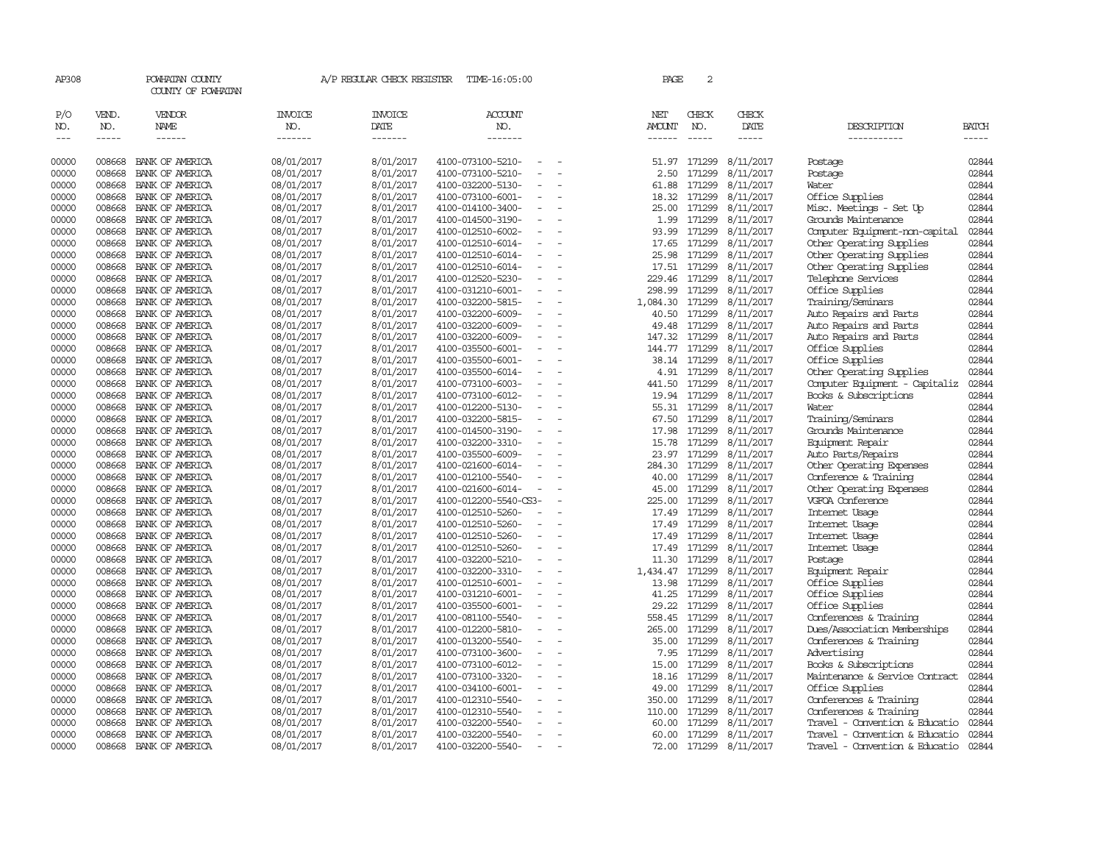| AP308      |              | POWHATAN COUNTY<br>COUNTY OF POWHATAN |                | A/P REGULAR CHECK REGISTER | TIME-16:05:00                                 |                          | PAGE          | 2            |                  |                                |       |
|------------|--------------|---------------------------------------|----------------|----------------------------|-----------------------------------------------|--------------------------|---------------|--------------|------------------|--------------------------------|-------|
| P/O<br>NO. | VEND.<br>NO. | VENDOR<br><b>NAME</b>                 | INVOICE<br>NO. | INVOICE<br>DATE            | ACCOUNT<br>NO.                                |                          | NET<br>AMOUNT | CHECK<br>NO. | CHECK<br>DATE    | DESCRIPTION                    | BATCH |
| $---$      | $- - - - -$  | $- - - - - -$                         | -------        | -------                    | -------                                       |                          | $- - - - - -$ |              | -----            | -----------                    | ----- |
| 00000      | 008668       | BANK OF AMERICA                       | 08/01/2017     | 8/01/2017                  | 4100-073100-5210-                             |                          | 51.97         | 171299       | 8/11/2017        | Postage                        | 02844 |
| 00000      | 008668       | BANK OF AMERICA                       | 08/01/2017     | 8/01/2017                  | 4100-073100-5210-                             |                          | 2.50          | 171299       | 8/11/2017        | Postage                        | 02844 |
| 00000      | 008668       | BANK OF AMERICA                       | 08/01/2017     | 8/01/2017                  | 4100-032200-5130-                             |                          | 61.88         | 171299       | 8/11/2017        | Water                          | 02844 |
| 00000      | 008668       | BANK OF AMERICA                       | 08/01/2017     | 8/01/2017                  | 4100-073100-6001-<br>$\sim$                   |                          | 18.32         | 171299       | 8/11/2017        | Office Supplies                | 02844 |
| 00000      | 008668       | BANK OF AMERICA                       | 08/01/2017     | 8/01/2017                  | 4100-014100-3400-                             |                          | 25.00         | 171299       | 8/11/2017        | Misc. Meetings - Set Up        | 02844 |
| 00000      | 008668       | BANK OF AMERICA                       | 08/01/2017     | 8/01/2017                  | 4100-014500-3190-                             |                          | 1.99          | 171299       | 8/11/2017        | Grounds Maintenance            | 02844 |
| 00000      | 008668       | BANK OF AMERICA                       | 08/01/2017     | 8/01/2017                  | 4100-012510-6002-                             | $\equiv$                 | 93.99         | 171299       | 8/11/2017        | Computer Equipment-non-capital | 02844 |
| 00000      | 008668       | BANK OF AMERICA                       | 08/01/2017     | 8/01/2017                  | 4100-012510-6014-                             |                          | 17.65         | 171299       | 8/11/2017        | Other Operating Supplies       | 02844 |
| 00000      | 008668       | BANK OF AMERICA                       | 08/01/2017     | 8/01/2017                  | 4100-012510-6014-                             |                          | 25.98         | 171299       | 8/11/2017        | Other Operating Supplies       | 02844 |
| 00000      | 008668       | BANK OF AMERICA                       | 08/01/2017     | 8/01/2017                  | 4100-012510-6014-                             | $\equiv$                 | 17.51         | 171299       | 8/11/2017        | Other Operating Supplies       | 02844 |
| 00000      | 008668       | BANK OF AMERICA                       | 08/01/2017     | 8/01/2017                  | 4100-012520-5230-<br>$\sim$                   |                          | 229.46        | 171299       | 8/11/2017        | Telephone Services             | 02844 |
| 00000      | 008668       | BANK OF AMERICA                       | 08/01/2017     | 8/01/2017                  | 4100-031210-6001-                             | $\equiv$                 | 298.99        | 171299       | 8/11/2017        | Office Supplies                | 02844 |
| 00000      | 008668       | BANK OF AMERICA                       | 08/01/2017     | 8/01/2017                  | 4100-032200-5815-                             |                          | 1,084.30      | 171299       | 8/11/2017        | Training/Seminars              | 02844 |
| 00000      | 008668       | BANK OF AMERICA                       | 08/01/2017     | 8/01/2017                  | 4100-032200-6009-                             | $\sim$                   | 40.50         | 171299       | 8/11/2017        | Auto Repairs and Parts         | 02844 |
| 00000      | 008668       | BANK OF AMERICA                       | 08/01/2017     | 8/01/2017                  | 4100-032200-6009-                             |                          | 49.48         | 171299       | 8/11/2017        | Auto Repairs and Parts         | 02844 |
| 00000      | 008668       | BANK OF AMERICA                       | 08/01/2017     | 8/01/2017                  | 4100-032200-6009-                             |                          | 147.32        | 171299       | 8/11/2017        | Auto Repairs and Parts         | 02844 |
| 00000      | 008668       | BANK OF AMERICA                       | 08/01/2017     | 8/01/2017                  | 4100-035500-6001-                             | $\equiv$                 | 144.77        | 171299       | 8/11/2017        | Office Supplies                | 02844 |
| 00000      | 008668       | BANK OF AMERICA                       | 08/01/2017     | 8/01/2017                  | 4100-035500-6001-                             |                          |               | 38.14 171299 | 8/11/2017        | Office Supplies                | 02844 |
| 00000      | 008668       | BANK OF AMERICA                       | 08/01/2017     | 8/01/2017                  | 4100-035500-6014-                             | $\overline{\phantom{a}}$ | 4.91          | 171299       | 8/11/2017        | Other Operating Supplies       | 02844 |
| 00000      | 008668       | BANK OF AMERICA                       | 08/01/2017     | 8/01/2017                  | 4100-073100-6003-                             |                          | 441.50        | 171299       | 8/11/2017        | Computer Equipment - Capitaliz | 02844 |
| 00000      | 008668       | BANK OF AMERICA                       | 08/01/2017     | 8/01/2017                  | 4100-073100-6012-                             | $\sim$                   |               | 19.94 171299 | 8/11/2017        | Books & Subscriptions          | 02844 |
| 00000      | 008668       | BANK OF AMERICA                       | 08/01/2017     | 8/01/2017                  | 4100-012200-5130-                             |                          | 55.31         | 171299       | 8/11/2017        | Water                          | 02844 |
| 00000      | 008668       | BANK OF AMERICA                       | 08/01/2017     | 8/01/2017                  | 4100-032200-5815-                             |                          | 67.50         | 171299       | 8/11/2017        | Training/Seminars              | 02844 |
| 00000      | 008668       | BANK OF AMERICA                       | 08/01/2017     | 8/01/2017                  | 4100-014500-3190-                             | $\equiv$                 | 17.98         | 171299       | 8/11/2017        | Grounds Maintenance            | 02844 |
| 00000      | 008668       | BANK OF AMERICA                       | 08/01/2017     | 8/01/2017                  | 4100-032200-3310-                             |                          | 15.78         | 171299       | 8/11/2017        | Equipment Repair               | 02844 |
| 00000      | 008668       | BANK OF AMERICA                       | 08/01/2017     | 8/01/2017                  | 4100-035500-6009-<br>$\overline{\phantom{a}}$ |                          | 23.97         | 171299       | 8/11/2017        | Auto Parts/Repairs             | 02844 |
| 00000      | 008668       | BANK OF AMERICA                       | 08/01/2017     | 8/01/2017                  | 4100-021600-6014-                             |                          | 284.30        | 171299       | 8/11/2017        | Other Operating Expenses       | 02844 |
| 00000      | 008668       | BANK OF AMERICA                       | 08/01/2017     | 8/01/2017                  | 4100-012100-5540-                             | $\equiv$                 | 40.00         | 171299       | 8/11/2017        | Conference & Training          | 02844 |
| 00000      | 008668       | BANK OF AMERICA                       | 08/01/2017     | 8/01/2017                  | 4100-021600-6014-                             |                          | 45.00         | 171299       | 8/11/2017        | Other Operating Expenses       | 02844 |
| 00000      | 008668       | BANK OF AMERICA                       | 08/01/2017     | 8/01/2017                  | 4100-012200-5540-CS3-                         |                          | 225.00        | 171299       | 8/11/2017        | VGFOA Conference               | 02844 |
| 00000      | 008668       | BANK OF AMERICA                       | 08/01/2017     | 8/01/2017                  | 4100-012510-5260-                             |                          | 17.49         | 171299       | 8/11/2017        | Internet Usage                 | 02844 |
| 00000      | 008668       | BANK OF AMERICA                       | 08/01/2017     | 8/01/2017                  | 4100-012510-5260-                             |                          | 17.49         | 171299       | 8/11/2017        | Internet Usage                 | 02844 |
| 00000      | 008668       | BANK OF AMERICA                       | 08/01/2017     | 8/01/2017                  | 4100-012510-5260-                             | $\overline{\phantom{a}}$ | 17.49         | 171299       | 8/11/2017        | Internet Usage                 | 02844 |
| 00000      | 008668       | BANK OF AMERICA                       | 08/01/2017     | 8/01/2017                  | 4100-012510-5260-                             |                          | 17.49         | 171299       | 8/11/2017        | Internet Usage                 | 02844 |
| 00000      | 008668       | BANK OF AMERICA                       | 08/01/2017     | 8/01/2017                  | 4100-032200-5210-                             | $\overline{\phantom{a}}$ | 11.30         | 171299       | 8/11/2017        | Postage                        | 02844 |
| 00000      | 008668       | BANK OF AMERICA                       | 08/01/2017     | 8/01/2017                  | 4100-032200-3310-                             |                          | 1,434.47      | 171299       | 8/11/2017        | Equipment Repair               | 02844 |
| 00000      | 008668       | BANK OF AMERICA                       | 08/01/2017     | 8/01/2017                  | 4100-012510-6001-                             |                          | 13.98         | 171299       | 8/11/2017        | Office Supplies                | 02844 |
| 00000      | 008668       | BANK OF AMERICA                       | 08/01/2017     | 8/01/2017                  | 4100-031210-6001-                             |                          | 41.25         | 171299       | 8/11/2017        | Office Supplies                | 02844 |
| 00000      | 008668       | BANK OF AMERICA                       | 08/01/2017     | 8/01/2017                  | 4100-035500-6001-                             |                          | 29.22         | 171299       | 8/11/2017        | Office Supplies                | 02844 |
| 00000      | 008668       | BANK OF AMERICA                       | 08/01/2017     | 8/01/2017                  | 4100-081100-5540-<br>$\equiv$                 |                          | 558.45        | 171299       | 8/11/2017        | Conferences & Training         | 02844 |
| 00000      | 008668       | BANK OF AMERICA                       | 08/01/2017     | 8/01/2017                  | 4100-012200-5810-                             |                          | 265.00        | 171299       | 8/11/2017        | Dues/Association Memberships   | 02844 |
| 00000      | 008668       | BANK OF AMERICA                       | 08/01/2017     | 8/01/2017                  | 4100-013200-5540-                             | $\equiv$                 | 35.00         | 171299       | 8/11/2017        | Conferences & Training         | 02844 |
| 00000      | 008668       | BANK OF AMERICA                       | 08/01/2017     | 8/01/2017                  | 4100-073100-3600-                             |                          | 7.95          | 171299       | 8/11/2017        | Advertising                    | 02844 |
| 00000      | 008668       | BANK OF AMERICA                       | 08/01/2017     | 8/01/2017                  | 4100-073100-6012-                             |                          | 15.00         | 171299       | 8/11/2017        | Books & Subscriptions          | 02844 |
| 00000      | 008668       | BANK OF AMERICA                       | 08/01/2017     | 8/01/2017                  | 4100-073100-3320-                             |                          | 18.16         | 171299       | 8/11/2017        | Maintenance & Service Contract | 02844 |
| 00000      | 008668       | BANK OF AMERICA                       | 08/01/2017     | 8/01/2017                  | 4100-034100-6001-                             |                          | 49.00         | 171299       | 8/11/2017        | Office Supplies                | 02844 |
| 00000      | 008668       | BANK OF AMERICA                       | 08/01/2017     | 8/01/2017                  | 4100-012310-5540-                             |                          | 350.00        | 171299       | 8/11/2017        | Conferences & Training         | 02844 |
| 00000      | 008668       | BANK OF AMERICA                       | 08/01/2017     | 8/01/2017                  | 4100-012310-5540-                             |                          | 110.00        | 171299       | 8/11/2017        | Conferences & Training         | 02844 |
| 00000      | 008668       | BANK OF AMERICA                       | 08/01/2017     | 8/01/2017                  | 4100-032200-5540-<br>$\sim$                   |                          | 60.00         | 171299       | 8/11/2017        | Travel - Convention & Educatio | 02844 |
| 00000      | 008668       | BANK OF AMERICA                       | 08/01/2017     | 8/01/2017                  | 4100-032200-5540-                             | $\overline{\phantom{a}}$ | 60.00         | 171299       | 8/11/2017        | Travel - Convention & Educatio | 02844 |
| 00000      | 008668       | BANK OF AMERICA                       | 08/01/2017     | 8/01/2017                  | 4100-032200-5540-<br>$\overline{\phantom{a}}$ |                          | 72.00         |              | 171299 8/11/2017 | Travel - Convention & Educatio | 02844 |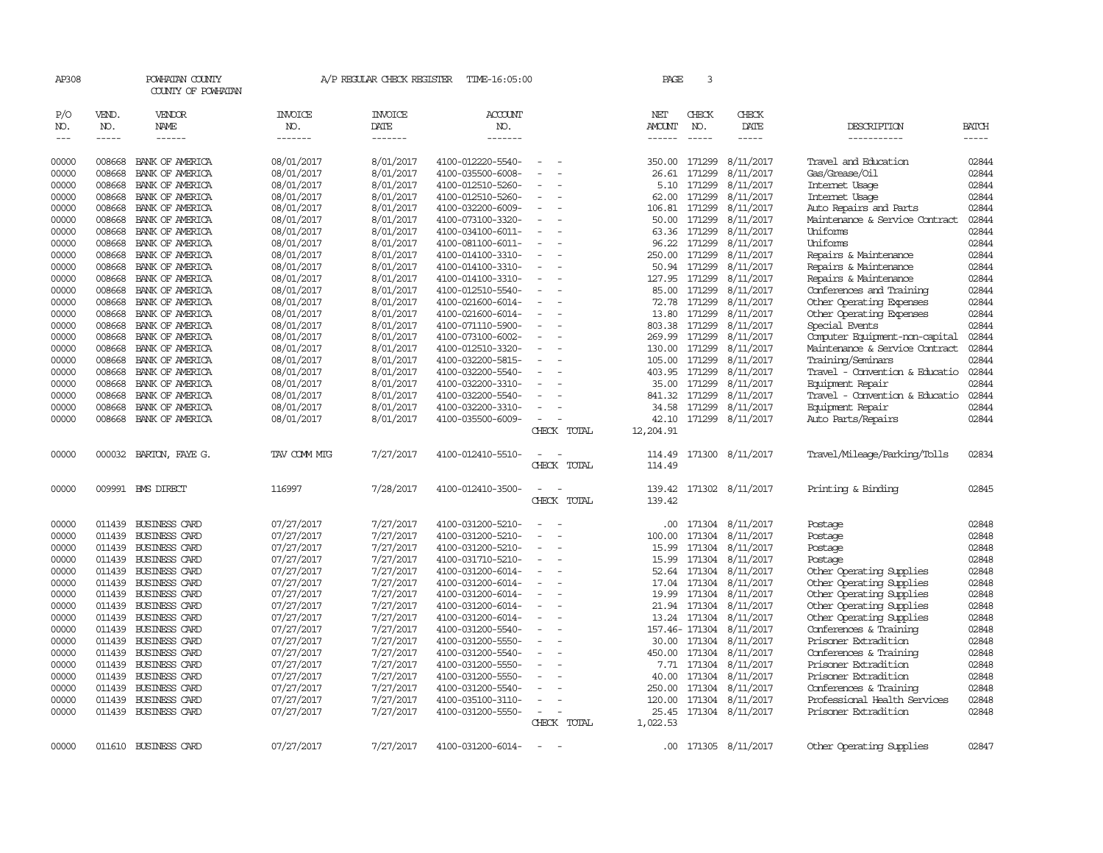| AP308               |                       | POWHATAN COUNTY<br>COUNTY OF POWHATAN                                                                                                                                                                                                                                                                                                                                                                                                                                     |                           | A/P REGULAR CHECK REGISTER        | TIME-16:05:00                          |                          |             | PAGE                    | 3                           |                         |                                            |                      |
|---------------------|-----------------------|---------------------------------------------------------------------------------------------------------------------------------------------------------------------------------------------------------------------------------------------------------------------------------------------------------------------------------------------------------------------------------------------------------------------------------------------------------------------------|---------------------------|-----------------------------------|----------------------------------------|--------------------------|-------------|-------------------------|-----------------------------|-------------------------|--------------------------------------------|----------------------|
| P/O<br>NO.<br>$---$ | VEND.<br>NO.<br>----- | VENDOR<br>NAME<br>$\begin{tabular}{ccccc} \multicolumn{2}{c }{\multicolumn{2}{c }{\multicolumn{2}{c }{\multicolumn{2}{c}}{\hspace{-2.2cm}}}} \multicolumn{2}{c }{\multicolumn{2}{c }{\hspace{-2.2cm}}\hline} \multicolumn{2}{c }{\hspace{-2.2cm}}\hline \multicolumn{2}{c }{\hspace{-2.2cm}}\hline \multicolumn{2}{c }{\hspace{-2.2cm}}\hline \multicolumn{2}{c }{\hspace{-2.2cm}}\hline \multicolumn{2}{c }{\hspace{-2.2cm}}\hline \multicolumn{2}{c }{\hspace{-2.2cm}}$ | INVOICE<br>NO.<br>------- | <b>INVOICE</b><br>DATE<br>------- | <b>ACCOUNT</b><br>NO.<br>-------       |                          |             | NET<br>AMOUNT<br>------ | CHECK<br>NO.<br>$- - - - -$ | CHECK<br>DATE<br>-----  | DESCRIPTION<br>-----------                 | BATCH<br>$- - - - -$ |
|                     |                       |                                                                                                                                                                                                                                                                                                                                                                                                                                                                           |                           |                                   |                                        |                          |             |                         |                             |                         |                                            |                      |
| 00000               | 008668                | BANK OF AMERICA                                                                                                                                                                                                                                                                                                                                                                                                                                                           | 08/01/2017                | 8/01/2017                         | 4100-012220-5540-                      |                          |             | 350.00                  | 171299                      | 8/11/2017               | Travel and Education                       | 02844                |
| 00000               | 008668                | BANK OF AMERICA                                                                                                                                                                                                                                                                                                                                                                                                                                                           | 08/01/2017                | 8/01/2017                         | 4100-035500-6008-                      | $\overline{\phantom{a}}$ |             | 26.61                   | 171299                      | 8/11/2017               | Gas/Grease/Oil                             | 02844                |
| 00000               | 008668                | BANK OF AMERICA                                                                                                                                                                                                                                                                                                                                                                                                                                                           | 08/01/2017                | 8/01/2017                         | 4100-012510-5260-                      |                          |             | 5.10                    | 171299                      | 8/11/2017               | Internet Usage                             | 02844                |
| 00000               | 008668<br>008668      | BANK OF AMERICA                                                                                                                                                                                                                                                                                                                                                                                                                                                           | 08/01/2017                | 8/01/2017<br>8/01/2017            | 4100-012510-5260-                      | $\equiv$                 |             | 62.00                   | 171299                      | 8/11/2017               | Internet Usage                             | 02844<br>02844       |
| 00000<br>00000      | 008668                | BANK OF AMERICA<br>BANK OF AMERICA                                                                                                                                                                                                                                                                                                                                                                                                                                        | 08/01/2017                | 8/01/2017                         | 4100-032200-6009-<br>4100-073100-3320- |                          |             | 106.81<br>50.00         | 171299<br>171299            | 8/11/2017<br>8/11/2017  | Auto Repairs and Parts                     | 02844                |
| 00000               | 008668                | BANK OF AMERICA                                                                                                                                                                                                                                                                                                                                                                                                                                                           | 08/01/2017<br>08/01/2017  | 8/01/2017                         | 4100-034100-6011-                      |                          |             | 63.36                   | 171299                      | 8/11/2017               | Maintenance & Service Contract<br>Uniforms | 02844                |
| 00000               | 008668                | BANK OF AMERICA                                                                                                                                                                                                                                                                                                                                                                                                                                                           | 08/01/2017                | 8/01/2017                         | 4100-081100-6011-                      |                          |             | 96.22                   | 171299                      | 8/11/2017               | Uniforms                                   | 02844                |
| 00000               | 008668                | BANK OF AMERICA                                                                                                                                                                                                                                                                                                                                                                                                                                                           | 08/01/2017                | 8/01/2017                         | 4100-014100-3310-                      | $\overline{\phantom{a}}$ |             | 250.00                  | 171299                      | 8/11/2017               | Repairs & Maintenance                      | 02844                |
| 00000               | 008668                | BANK OF AMERICA                                                                                                                                                                                                                                                                                                                                                                                                                                                           | 08/01/2017                | 8/01/2017                         | 4100-014100-3310-                      |                          |             | 50.94                   | 171299                      | 8/11/2017               | Repairs & Maintenance                      | 02844                |
| 00000               | 008668                | BANK OF AMERICA                                                                                                                                                                                                                                                                                                                                                                                                                                                           | 08/01/2017                | 8/01/2017                         | 4100-014100-3310-                      |                          |             | 127.95                  | 171299                      | 8/11/2017               | Repairs & Maintenance                      | 02844                |
| 00000               | 008668                | BANK OF AMERICA                                                                                                                                                                                                                                                                                                                                                                                                                                                           | 08/01/2017                | 8/01/2017                         | 4100-012510-5540-                      |                          |             | 85.00                   | 171299                      | 8/11/2017               | Conferences and Training                   | 02844                |
| 00000               | 008668                | BANK OF AMERICA                                                                                                                                                                                                                                                                                                                                                                                                                                                           | 08/01/2017                | 8/01/2017                         | 4100-021600-6014-                      |                          |             | 72.78                   | 171299                      | 8/11/2017               | Other Operating Expenses                   | 02844                |
| 00000               | 008668                | BANK OF AMERICA                                                                                                                                                                                                                                                                                                                                                                                                                                                           | 08/01/2017                | 8/01/2017                         | 4100-021600-6014-                      |                          |             | 13.80                   | 171299                      | 8/11/2017               | Other Operating Expenses                   | 02844                |
| 00000               | 008668                | BANK OF AMERICA                                                                                                                                                                                                                                                                                                                                                                                                                                                           | 08/01/2017                | 8/01/2017                         | 4100-071110-5900-                      |                          |             | 803.38                  | 171299                      | 8/11/2017               | Special Events                             | 02844                |
| 00000               | 008668                | BANK OF AMERICA                                                                                                                                                                                                                                                                                                                                                                                                                                                           | 08/01/2017                | 8/01/2017                         | 4100-073100-6002-                      | $\sim$                   |             | 269.99                  | 171299                      | 8/11/2017               | Computer Equipment-non-capital             | 02844                |
| 00000               | 008668                | BANK OF AMERICA                                                                                                                                                                                                                                                                                                                                                                                                                                                           | 08/01/2017                | 8/01/2017                         | 4100-012510-3320-                      |                          |             | 130.00                  | 171299                      | 8/11/2017               | Maintenance & Service Contract             | 02844                |
| 00000               | 008668                | BANK OF AMERICA                                                                                                                                                                                                                                                                                                                                                                                                                                                           | 08/01/2017                | 8/01/2017                         | 4100-032200-5815-                      |                          |             | 105.00                  | 171299                      | 8/11/2017               | Training/Seminars                          | 02844                |
| 00000               | 008668                | BANK OF AMERICA                                                                                                                                                                                                                                                                                                                                                                                                                                                           | 08/01/2017                | 8/01/2017                         | 4100-032200-5540-                      |                          |             | 403.95                  | 171299                      | 8/11/2017               | Travel - Convention & Educatio             | 02844                |
| 00000               | 008668                | BANK OF AMERICA                                                                                                                                                                                                                                                                                                                                                                                                                                                           | 08/01/2017                | 8/01/2017                         | 4100-032200-3310-                      |                          |             | 35.00                   | 171299                      | 8/11/2017               | Equipment Repair                           | 02844                |
| 00000               | 008668                | BANK OF AMERICA                                                                                                                                                                                                                                                                                                                                                                                                                                                           | 08/01/2017                | 8/01/2017                         | 4100-032200-5540-                      |                          |             | 841.32                  | 171299                      | 8/11/2017               | Travel - Convention & Educatio             | 02844                |
| 00000               | 008668                | BANK OF AMERICA                                                                                                                                                                                                                                                                                                                                                                                                                                                           | 08/01/2017                | 8/01/2017                         | 4100-032200-3310-                      |                          |             | 34.58                   | 171299                      | 8/11/2017               | Equipment Repair                           | 02844                |
| 00000               | 008668                | BANK OF AMERICA                                                                                                                                                                                                                                                                                                                                                                                                                                                           | 08/01/2017                | 8/01/2017                         | 4100-035500-6009-                      | $\equiv$                 |             | 42.10                   |                             | 171299 8/11/2017        | Auto Parts/Repairs                         | 02844                |
|                     |                       |                                                                                                                                                                                                                                                                                                                                                                                                                                                                           |                           |                                   |                                        |                          | CHECK TOTAL | 12,204.91               |                             |                         |                                            |                      |
| 00000               | 000032                | BARTON, FAYEG.                                                                                                                                                                                                                                                                                                                                                                                                                                                            | TAV COMM MTG              | 7/27/2017                         | 4100-012410-5510-                      |                          | CHECK TOTAL | 114.49<br>114.49        |                             | 171300 8/11/2017        | Travel/Mileage/Parking/Tolls               | 02834                |
|                     |                       |                                                                                                                                                                                                                                                                                                                                                                                                                                                                           |                           |                                   |                                        |                          |             |                         |                             |                         |                                            |                      |
| 00000               |                       | 009991 BMS DIRECT                                                                                                                                                                                                                                                                                                                                                                                                                                                         | 116997                    | 7/28/2017                         | 4100-012410-3500-                      |                          | CHECK TOTAL | 139.42                  |                             | 139.42 171302 8/11/2017 | Printing & Binding                         | 02845                |
| 00000               | 011439                | BUSINESS CARD                                                                                                                                                                                                                                                                                                                                                                                                                                                             | 07/27/2017                | 7/27/2017                         | 4100-031200-5210-                      |                          |             | .00                     |                             | 171304 8/11/2017        | Postage                                    | 02848                |
| 00000               | 011439                | <b>BUSINESS CARD</b>                                                                                                                                                                                                                                                                                                                                                                                                                                                      | 07/27/2017                | 7/27/2017                         | 4100-031200-5210-                      |                          |             | 100.00                  | 171304                      | 8/11/2017               | Postage                                    | 02848                |
| 00000               | 011439                | <b>BUSINESS CARD</b>                                                                                                                                                                                                                                                                                                                                                                                                                                                      | 07/27/2017                | 7/27/2017                         | 4100-031200-5210-                      |                          |             | 15.99                   | 171304                      | 8/11/2017               | Postage                                    | 02848                |
| 00000               |                       | 011439 BUSINESS CARD                                                                                                                                                                                                                                                                                                                                                                                                                                                      | 07/27/2017                | 7/27/2017                         | 4100-031710-5210-                      |                          |             | 15.99                   | 171304                      | 8/11/2017               | Postage                                    | 02848                |
| 00000               | 011439                | <b>BUSINESS CARD</b>                                                                                                                                                                                                                                                                                                                                                                                                                                                      | 07/27/2017                | 7/27/2017                         | 4100-031200-6014-                      |                          |             |                         | 52.64 171304                | 8/11/2017               | Other Operating Supplies                   | 02848                |
| 00000               |                       | 011439 BUSINESS CARD                                                                                                                                                                                                                                                                                                                                                                                                                                                      | 07/27/2017                | 7/27/2017                         | 4100-031200-6014-                      |                          |             | 17.04                   | 171304                      | 8/11/2017               | Other Operating Supplies                   | 02848                |
| 00000               |                       | 011439 BUSINESS CARD                                                                                                                                                                                                                                                                                                                                                                                                                                                      | 07/27/2017                | 7/27/2017                         | 4100-031200-6014-                      | $\equiv$                 |             | 19.99                   | 171304                      | 8/11/2017               | Other Operating Supplies                   | 02848                |
| 00000               |                       | 011439 BUSINESS CARD                                                                                                                                                                                                                                                                                                                                                                                                                                                      | 07/27/2017                | 7/27/2017                         | 4100-031200-6014-                      |                          |             |                         | 21.94 171304                | 8/11/2017               | Other Operating Supplies                   | 02848                |
| 00000               | 011439                | <b>BUSINESS CARD</b>                                                                                                                                                                                                                                                                                                                                                                                                                                                      | 07/27/2017                | 7/27/2017                         | 4100-031200-6014-                      |                          |             |                         | 13.24 171304                | 8/11/2017               | Other Operating Supplies                   | 02848                |
| 00000               | 011439                | <b>BUSINESS CARD</b>                                                                                                                                                                                                                                                                                                                                                                                                                                                      | 07/27/2017                | 7/27/2017                         | 4100-031200-5540-                      |                          |             |                         | 157.46- 171304              | 8/11/2017               | Conferences & Training                     | 02848                |
| 00000               |                       | 011439 BUSINESS CARD                                                                                                                                                                                                                                                                                                                                                                                                                                                      | 07/27/2017                | 7/27/2017                         | 4100-031200-5550-                      | $\overline{\phantom{a}}$ |             | 30.00                   | 171304                      | 8/11/2017               | Prisoner Extradition                       | 02848                |
| 00000               | 011439                | <b>BUSINESS CARD</b>                                                                                                                                                                                                                                                                                                                                                                                                                                                      | 07/27/2017                | 7/27/2017                         | 4100-031200-5540-                      |                          |             | 450.00                  | 171304                      | 8/11/2017               | Conferences & Training                     | 02848                |
| 00000               | 011439                | <b>BUSINESS CARD</b>                                                                                                                                                                                                                                                                                                                                                                                                                                                      | 07/27/2017                | 7/27/2017                         | 4100-031200-5550-                      |                          |             | 7.71                    | 171304                      | 8/11/2017               | Prisoner Extradition                       | 02848                |
| 00000               | 011439                | <b>BUSINESS CARD</b>                                                                                                                                                                                                                                                                                                                                                                                                                                                      | 07/27/2017                | 7/27/2017                         | 4100-031200-5550-                      |                          |             | 40.00                   | 171304                      | 8/11/2017               | Prisoner Extradition                       | 02848                |
| 00000               |                       | 011439 BUSINESS CARD                                                                                                                                                                                                                                                                                                                                                                                                                                                      | 07/27/2017                | 7/27/2017                         | 4100-031200-5540-                      |                          |             | 250.00                  | 171304                      | 8/11/2017               | Conferences & Training                     | 02848                |
| 00000               | 011439                | BUSINESS CARD                                                                                                                                                                                                                                                                                                                                                                                                                                                             | 07/27/2017                | 7/27/2017                         | 4100-035100-3110-                      |                          |             | 120.00                  | 171304                      | 8/11/2017               | Professional Health Services               | 02848                |
| 00000               |                       | 011439 BUSINESS CARD                                                                                                                                                                                                                                                                                                                                                                                                                                                      | 07/27/2017                | 7/27/2017                         | 4100-031200-5550-                      |                          |             | 25.45                   |                             | 171304 8/11/2017        | Prisoner Extradition                       | 02848                |
|                     |                       |                                                                                                                                                                                                                                                                                                                                                                                                                                                                           |                           |                                   |                                        |                          | CHECK TOTAL | 1,022.53                |                             |                         |                                            |                      |
| 00000               |                       | 011610 BUSINESS CARD                                                                                                                                                                                                                                                                                                                                                                                                                                                      | 07/27/2017                | 7/27/2017                         | 4100-031200-6014-                      | $\equiv$                 |             |                         |                             | .00 171305 8/11/2017    | Other Operating Supplies                   | 02847                |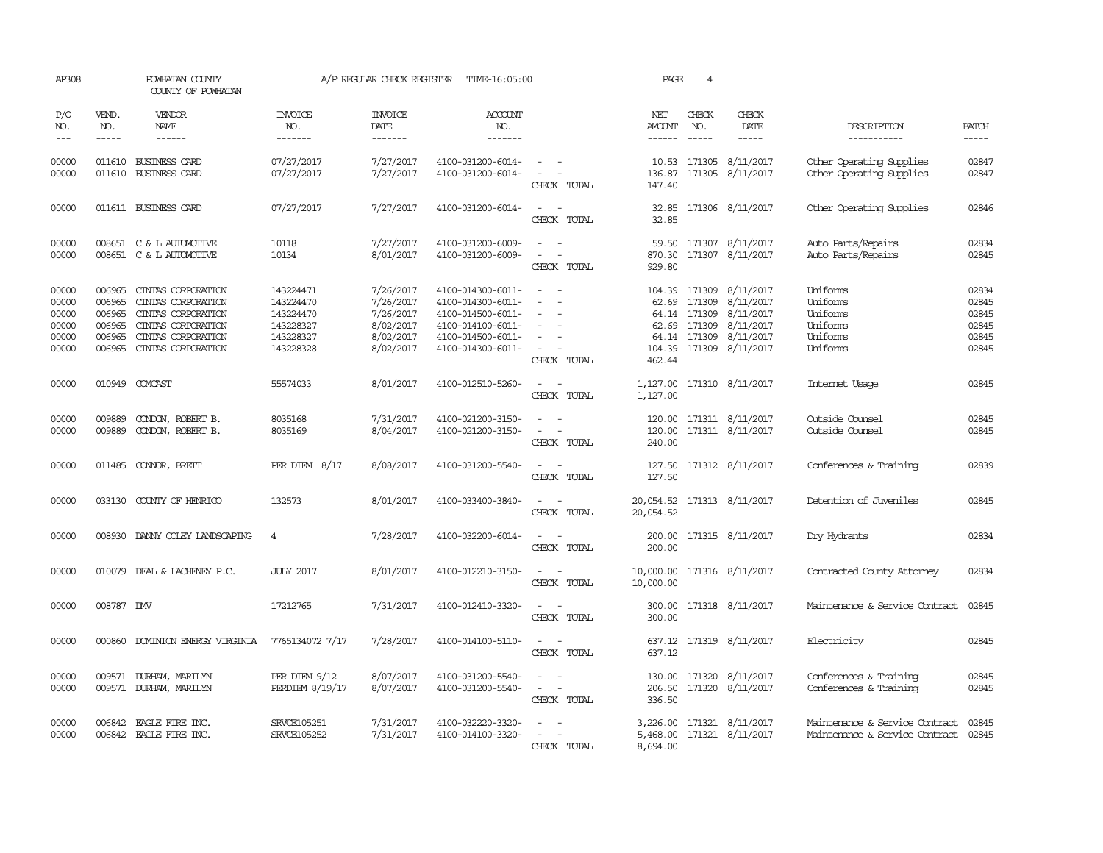| AP308                                              |                                                | POWHATAN COUNTY<br>COUNTY OF POWHATAN                                                                                                   |                                                                            | A/P REGULAR CHECK REGISTER                                                 | TIME-16:05:00                                                                                                              |                                                                                                                             | PAGE                                    | $\overline{4}$                |                                                                                                                                                            |                                                                        |                                                    |
|----------------------------------------------------|------------------------------------------------|-----------------------------------------------------------------------------------------------------------------------------------------|----------------------------------------------------------------------------|----------------------------------------------------------------------------|----------------------------------------------------------------------------------------------------------------------------|-----------------------------------------------------------------------------------------------------------------------------|-----------------------------------------|-------------------------------|------------------------------------------------------------------------------------------------------------------------------------------------------------|------------------------------------------------------------------------|----------------------------------------------------|
| P/O<br>NO.<br>$---$                                | VEND.<br>NO.<br>$- - - - -$                    | VENDOR<br>NAME                                                                                                                          | <b>INVOICE</b><br>NO.<br>-------                                           | <b>INVOICE</b><br>DATE<br>-------                                          | ACCOUNT<br>NO.<br>$- - - - - - -$                                                                                          |                                                                                                                             | NET<br>AMOUNT<br>$- - - - - -$          | CHECK<br>NO.<br>$\frac{1}{2}$ | CHECK<br>DATE                                                                                                                                              | DESCRIPTION<br>-----------                                             | <b>BATCH</b><br>-----                              |
| 00000<br>00000                                     |                                                | 011610 BUSINESS CARD<br>011610 BUSINESS CARD                                                                                            | 07/27/2017<br>07/27/2017                                                   | 7/27/2017<br>7/27/2017                                                     | 4100-031200-6014-<br>4100-031200-6014-                                                                                     | $\sim$ $ \sim$<br>$\sim$ $ \sim$<br>CHECK TOTAL                                                                             | 147.40                                  |                               | 10.53 171305 8/11/2017<br>136.87 171305 8/11/2017                                                                                                          | Other Operating Supplies<br>Other Operating Supplies                   | 02847<br>02847                                     |
| 00000                                              |                                                | 011611 BUSINESS CARD                                                                                                                    | 07/27/2017                                                                 | 7/27/2017                                                                  | 4100-031200-6014-                                                                                                          | $\sim$ $ \sim$<br>CHECK TOTAL                                                                                               | 32.85<br>32.85                          |                               | 171306 8/11/2017                                                                                                                                           | Other Operating Supplies                                               | 02846                                              |
| 00000<br>00000                                     |                                                | 008651 C & L AUTOMOTTVE<br>008651 C & L AUTOMOTTVE                                                                                      | 10118<br>10134                                                             | 7/27/2017<br>8/01/2017                                                     | 4100-031200-6009-<br>4100-031200-6009-                                                                                     | $\overline{\phantom{a}}$<br>CHECK TOTAL                                                                                     | 870.30<br>929.80                        |                               | 59.50 171307 8/11/2017<br>171307 8/11/2017                                                                                                                 | Auto Parts/Repairs<br>Auto Parts/Repairs                               | 02834<br>02845                                     |
| 00000<br>00000<br>00000<br>00000<br>00000<br>00000 | 006965<br>006965<br>006965<br>006965<br>006965 | 006965 CINIAS CORPORATION<br>CINIAS CORPORATION<br>CINIAS CORPORATION<br>CINIAS CORPORATION<br>CINIAS CORPORATION<br>CINIAS CORPORATION | 143224471<br>143224470<br>143224470<br>143228327<br>143228327<br>143228328 | 7/26/2017<br>7/26/2017<br>7/26/2017<br>8/02/2017<br>8/02/2017<br>8/02/2017 | 4100-014300-6011-<br>4100-014300-6011-<br>4100-014500-6011-<br>4100-014100-6011-<br>4100-014500-6011-<br>4100-014300-6011- | $\sim$ $\sim$<br>$\overline{\phantom{a}}$<br>CHECK TOTAL                                                                    | 462.44                                  |                               | 104.39 171309 8/11/2017<br>62.69 171309 8/11/2017<br>64.14 171309 8/11/2017<br>62.69 171309 8/11/2017<br>64.14 171309 8/11/2017<br>104.39 171309 8/11/2017 | Uniforms<br>Uniforms<br>Uniforms<br>Uniforms<br>Uniforms<br>Uniforms   | 02834<br>02845<br>02845<br>02845<br>02845<br>02845 |
| 00000                                              |                                                | 010949 COMCAST                                                                                                                          | 55574033                                                                   | 8/01/2017                                                                  | 4100-012510-5260-                                                                                                          | $\sim$ $\sim$<br>CHECK TOTAL                                                                                                | 1,127.00                                |                               | 1,127.00 171310 8/11/2017                                                                                                                                  | Internet Usage                                                         | 02845                                              |
| 00000<br>00000                                     | 009889<br>009889                               | CONDON, ROBERT B.<br>CONDON, ROBERT B.                                                                                                  | 8035168<br>8035169                                                         | 7/31/2017<br>8/04/2017                                                     | 4100-021200-3150-<br>4100-021200-3150-                                                                                     | $\omega_{\rm{max}}$ and $\omega_{\rm{max}}$<br>$\omega_{\rm{max}}$ and $\omega_{\rm{max}}$<br>CHECK TOTAL                   | 240.00                                  |                               | 120.00 171311 8/11/2017<br>120.00 171311 8/11/2017                                                                                                         | Outside Counsel<br>Outside Counsel                                     | 02845<br>02845                                     |
| 00000                                              |                                                | 011485 CONNOR, BRETT                                                                                                                    | PER DIEM $8/17$                                                            | 8/08/2017                                                                  | 4100-031200-5540-                                                                                                          | $\omega_{\rm{max}}$ and $\omega_{\rm{max}}$<br>CHECK TOTAL                                                                  | 127.50                                  |                               | 127.50 171312 8/11/2017                                                                                                                                    | Conferences & Training                                                 | 02839                                              |
| 00000                                              |                                                | 033130 COUNTY OF HENRICO                                                                                                                | 132573                                                                     | 8/01/2017                                                                  | 4100-033400-3840-                                                                                                          | $\frac{1}{2} \left( \frac{1}{2} \right) \left( \frac{1}{2} \right) = \frac{1}{2} \left( \frac{1}{2} \right)$<br>CHECK TOTAL | 20,054.52 171313 8/11/2017<br>20,054.52 |                               |                                                                                                                                                            | Detention of Juveniles                                                 | 02845                                              |
| 00000                                              |                                                | 008930 DANNY COLEY LANDSCAPING                                                                                                          | $\overline{4}$                                                             | 7/28/2017                                                                  | 4100-032200-6014-                                                                                                          | $\frac{1}{2} \left( \frac{1}{2} \right) \left( \frac{1}{2} \right) = \frac{1}{2} \left( \frac{1}{2} \right)$<br>CHECK TOTAL | 200.00<br>200.00                        |                               | 171315 8/11/2017                                                                                                                                           | Dry Hydrants                                                           | 02834                                              |
| 00000                                              |                                                | 010079 DEAL & LACHENEY P.C.                                                                                                             | <b>JULY 2017</b>                                                           | 8/01/2017                                                                  | 4100-012210-3150-                                                                                                          | $\sim$ $ -$<br>CHECK TOTAL                                                                                                  | 10,000.00 171316 8/11/2017<br>10,000.00 |                               |                                                                                                                                                            | Contracted County Attorney                                             | 02834                                              |
| 00000                                              | 008787 DW                                      |                                                                                                                                         | 17212765                                                                   | 7/31/2017                                                                  | 4100-012410-3320-                                                                                                          | $\frac{1}{2} \left( \frac{1}{2} \right) \left( \frac{1}{2} \right) = \frac{1}{2} \left( \frac{1}{2} \right)$<br>CHECK TOTAL | 300.00                                  |                               | 300.00 171318 8/11/2017                                                                                                                                    | Maintenance & Service Contract                                         | 02845                                              |
| 00000                                              |                                                | 000860 DOMINION ENERGY VIRGINIA                                                                                                         | 7765134072 7/17                                                            | 7/28/2017                                                                  | 4100-014100-5110-                                                                                                          | $\sim$ $ \sim$<br>CHECK TOTAL                                                                                               | 637.12                                  |                               | 637.12 171319 8/11/2017                                                                                                                                    | Electricity                                                            | 02845                                              |
| 00000<br>00000                                     |                                                | 009571 DURHAM, MARILYN<br>009571 DURHAM, MARILYN                                                                                        | $PER$ DIEM $9/12$<br>PERDIEM 8/19/17                                       | 8/07/2017<br>8/07/2017                                                     | 4100-031200-5540-<br>4100-031200-5540-                                                                                     | $\sim$ $ \sim$<br>$\sim$ $ -$<br>CHECK TOTAL                                                                                | 336.50                                  |                               | 130.00 171320 8/11/2017<br>206.50 171320 8/11/2017                                                                                                         | Conferences & Training<br>Conferences & Training                       | 02845<br>02845                                     |
| 00000<br>00000                                     |                                                | 006842 EAGLE FIRE INC.<br>006842 EAGLE FIRE INC.                                                                                        | <b>SRVCE105251</b><br><b>SRVCE105252</b>                                   | 7/31/2017<br>7/31/2017                                                     | 4100-032220-3320-<br>4100-014100-3320-                                                                                     | $\sim$ $\sim$<br>CHECK TOTAL                                                                                                | 8,694.00                                |                               | 3,226.00 171321 8/11/2017<br>5,468.00 171321 8/11/2017                                                                                                     | Maintenance & Service Contract<br>Maintenance & Service Contract 02845 | 02845                                              |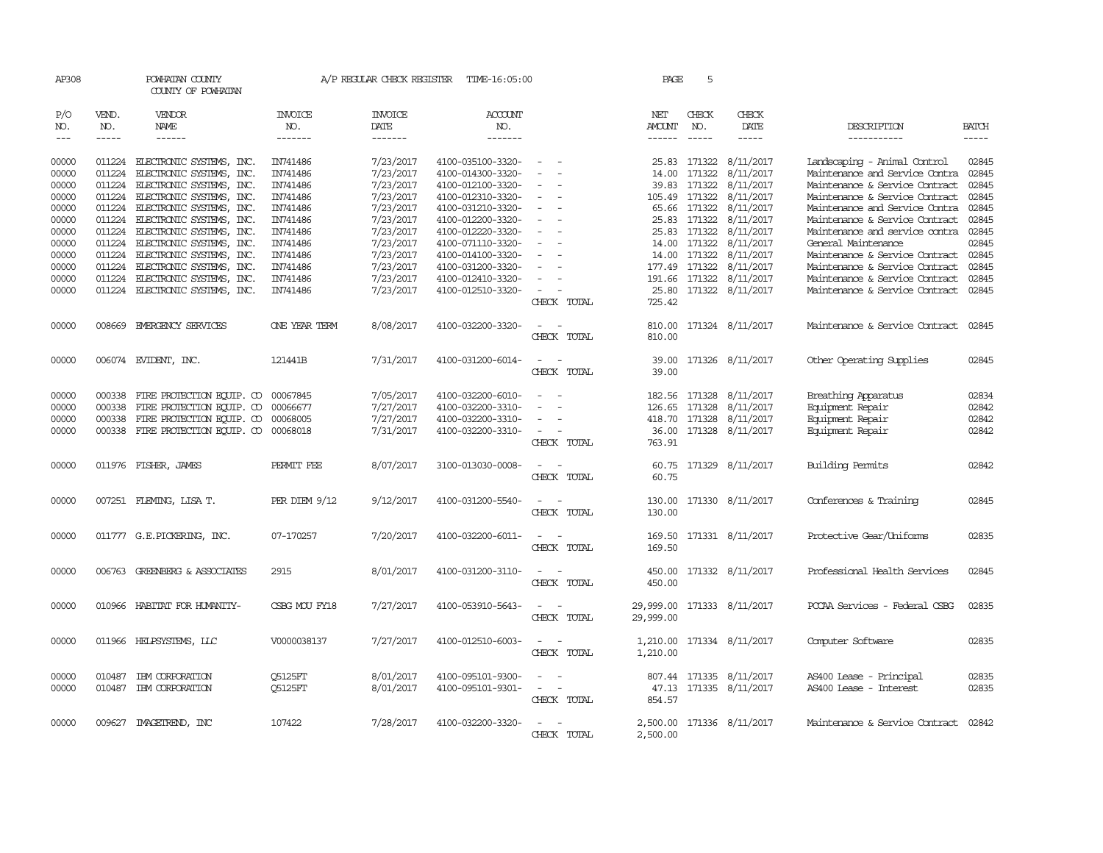| AP308               |                               | POWHATAN COUNTY<br>COUNTY OF POWHATAN                                                                                                                                                                                                                                                                                                                                                                                                                                                               |                           |                                   | A/P REGULAR CHECK REGISTER TIME-16:05:00 |                                                                                                              | PAGE                    | 5             |                              |                                |                               |
|---------------------|-------------------------------|-----------------------------------------------------------------------------------------------------------------------------------------------------------------------------------------------------------------------------------------------------------------------------------------------------------------------------------------------------------------------------------------------------------------------------------------------------------------------------------------------------|---------------------------|-----------------------------------|------------------------------------------|--------------------------------------------------------------------------------------------------------------|-------------------------|---------------|------------------------------|--------------------------------|-------------------------------|
| P/O<br>NO.<br>$---$ | VEND.<br>NO.<br>$\frac{1}{2}$ | <b>VENDOR</b><br>NAME<br>$\frac{1}{2} \left( \frac{1}{2} \right) \left( \frac{1}{2} \right) \left( \frac{1}{2} \right) \left( \frac{1}{2} \right) \left( \frac{1}{2} \right) \left( \frac{1}{2} \right) \left( \frac{1}{2} \right) \left( \frac{1}{2} \right) \left( \frac{1}{2} \right) \left( \frac{1}{2} \right) \left( \frac{1}{2} \right) \left( \frac{1}{2} \right) \left( \frac{1}{2} \right) \left( \frac{1}{2} \right) \left( \frac{1}{2} \right) \left( \frac{1}{2} \right) \left( \frac$ | INVOICE<br>NO.<br>------- | <b>INVOICE</b><br>DATE<br>------- | ACCOUNT<br>NO.<br>-------                |                                                                                                              | NET<br>AMOUNT<br>------ | CHECK<br>NO.  | CHECK<br>DATE<br>$- - - - -$ | DESCRIPTION<br>-----------     | <b>BATCH</b><br>$\frac{1}{2}$ |
| 00000               | 011224                        | ELECTRONIC SYSTEMS, INC.                                                                                                                                                                                                                                                                                                                                                                                                                                                                            | IN741486                  | 7/23/2017                         | 4100-035100-3320-                        | $\equiv$                                                                                                     | 25.83                   | 171322        | 8/11/2017                    | Landscaping - Animal Control   | 02845                         |
| 00000               | 011224                        | ELECTRONIC SYSTEMS, INC.                                                                                                                                                                                                                                                                                                                                                                                                                                                                            | IN741486                  | 7/23/2017                         | 4100-014300-3320-                        | $\sim$                                                                                                       | 14.00                   | 171322        | 8/11/2017                    | Maintenance and Service Contra | 02845                         |
| 00000               | 011224                        | ELECTRONIC SYSTEMS, INC.                                                                                                                                                                                                                                                                                                                                                                                                                                                                            | IN741486                  | 7/23/2017                         | 4100-012100-3320-                        |                                                                                                              | 39.83                   | 171322        | 8/11/2017                    | Maintenance & Service Contract | 02845                         |
| 00000               |                               | 011224 ELECTRONIC SYSTEMS, INC.                                                                                                                                                                                                                                                                                                                                                                                                                                                                     | IN741486                  | 7/23/2017                         | 4100-012310-3320-                        |                                                                                                              |                         | 105.49 171322 | 8/11/2017                    | Maintenance & Service Contract | 02845                         |
| 00000               |                               | 011224 ELECTRONIC SYSTEMS, INC.                                                                                                                                                                                                                                                                                                                                                                                                                                                                     | IN741486                  | 7/23/2017                         | 4100-031210-3320-                        |                                                                                                              |                         | 65.66 171322  | 8/11/2017                    | Maintenance and Service Contra | 02845                         |
| 00000               | 011224                        | ELECTRONIC SYSTEMS, INC.                                                                                                                                                                                                                                                                                                                                                                                                                                                                            | IN741486                  | 7/23/2017                         | 4100-012200-3320-                        |                                                                                                              |                         | 25.83 171322  | 8/11/2017                    | Maintenance & Service Contract | 02845                         |
| 00000               | 011224                        | ELECTRONIC SYSTEMS, INC.                                                                                                                                                                                                                                                                                                                                                                                                                                                                            | IN741486                  | 7/23/2017                         | 4100-012220-3320-                        |                                                                                                              |                         | 25.83 171322  | 8/11/2017                    | Maintenance and service contra | 02845                         |
| 00000               |                               | 011224 ELECTRONIC SYSTEMS, INC.                                                                                                                                                                                                                                                                                                                                                                                                                                                                     | IN741486                  | 7/23/2017                         | 4100-071110-3320-                        | $\overline{\phantom{a}}$                                                                                     |                         | 14.00 171322  | 8/11/2017                    | General Maintenance            | 02845                         |
| 00000               |                               | 011224 ELECTRONIC SYSTEMS, INC.                                                                                                                                                                                                                                                                                                                                                                                                                                                                     | IN741486                  | 7/23/2017                         | 4100-014100-3320-                        |                                                                                                              | 14.00                   | 171322        | 8/11/2017                    | Maintenance & Service Contract | 02845                         |
| 00000               | 011224                        | ELECTRONIC SYSTEMS, INC.                                                                                                                                                                                                                                                                                                                                                                                                                                                                            | IN741486                  | 7/23/2017                         | 4100-031200-3320-                        |                                                                                                              |                         | 177.49 171322 | 8/11/2017                    | Maintenance & Service Contract | 02845                         |
| 00000               | 011224                        | ELECTRONIC SYSTEMS, INC.                                                                                                                                                                                                                                                                                                                                                                                                                                                                            | IN741486                  | 7/23/2017                         | 4100-012410-3320-                        |                                                                                                              |                         |               | 191.66 171322 8/11/2017      | Maintenance & Service Contract | 02845<br>02845                |
| 00000               |                               | 011224 ELECTRONIC SYSTEMS, INC.                                                                                                                                                                                                                                                                                                                                                                                                                                                                     | IN741486                  | 7/23/2017                         | 4100-012510-3320-                        |                                                                                                              | 25.80                   |               | 171322 8/11/2017             | Maintenance & Service Contract |                               |
|                     |                               |                                                                                                                                                                                                                                                                                                                                                                                                                                                                                                     |                           |                                   |                                          | CHECK TOTAL                                                                                                  | 725.42                  |               |                              |                                |                               |
| 00000               |                               | 008669 EMERGENCY SERVICES                                                                                                                                                                                                                                                                                                                                                                                                                                                                           | <b>ONE YEAR TERM</b>      | 8/08/2017                         | 4100-032200-3320-                        | $\sim$<br>CHECK TOTAL                                                                                        | 810.00<br>810.00        |               | 171324 8/11/2017             | Maintenance & Service Contract | 02845                         |
| 00000               |                               | 006074 EVIDENT, INC.                                                                                                                                                                                                                                                                                                                                                                                                                                                                                | 121441B                   | 7/31/2017                         | 4100-031200-6014-                        | CHECK TOTAL                                                                                                  | 39.00                   |               | 39.00 171326 8/11/2017       | Other Operating Supplies       | 02845                         |
| 00000               | 000338                        | FIRE PROTECTION EQUIP. CO                                                                                                                                                                                                                                                                                                                                                                                                                                                                           | 00067845                  | 7/05/2017                         | 4100-032200-6010-                        |                                                                                                              |                         | 182.56 171328 | 8/11/2017                    | Breathing Apparatus            | 02834                         |
| 00000               | 000338                        | FIRE PROTECTION EQUIP. CO                                                                                                                                                                                                                                                                                                                                                                                                                                                                           | 00066677                  | 7/27/2017                         | 4100-032200-3310-                        | $\equiv$<br>$\overline{\phantom{a}}$                                                                         |                         | 126.65 171328 | 8/11/2017                    | Equipment Repair               | 02842                         |
| 00000               | 000338                        | FIRE PROTECTION EQUIP. CO                                                                                                                                                                                                                                                                                                                                                                                                                                                                           | 00068005                  | 7/27/2017                         | 4100-032200-3310-                        |                                                                                                              | 418.70                  |               | 171328 8/11/2017             | Equipment Repair               | 02842                         |
| 00000               |                               | 000338 FIRE PROTECTION EQUIP. CO 00068018                                                                                                                                                                                                                                                                                                                                                                                                                                                           |                           | 7/31/2017                         | 4100-032200-3310-                        |                                                                                                              |                         |               | 36.00 171328 8/11/2017       | Equipment Repair               | 02842                         |
|                     |                               |                                                                                                                                                                                                                                                                                                                                                                                                                                                                                                     |                           |                                   |                                          | CHECK TOTAL                                                                                                  | 763.91                  |               |                              |                                |                               |
|                     |                               |                                                                                                                                                                                                                                                                                                                                                                                                                                                                                                     |                           |                                   |                                          |                                                                                                              |                         |               |                              |                                |                               |
| 00000               |                               | 011976 FISHER, JAMES                                                                                                                                                                                                                                                                                                                                                                                                                                                                                | PERMIT FEE                | 8/07/2017                         | 3100-013030-0008-                        | CHECK TOTAL                                                                                                  | 60.75<br>60.75          |               | 171329 8/11/2017             | <b>Building Permits</b>        | 02842                         |
|                     |                               |                                                                                                                                                                                                                                                                                                                                                                                                                                                                                                     |                           |                                   |                                          |                                                                                                              |                         |               |                              |                                |                               |
| 00000               |                               | 007251 FLEMING, LISA T.                                                                                                                                                                                                                                                                                                                                                                                                                                                                             | $PER$ DIEM $9/12$         | 9/12/2017                         | 4100-031200-5540-                        |                                                                                                              | 130.00                  |               | 171330 8/11/2017             | Conferences & Training         | 02845                         |
|                     |                               |                                                                                                                                                                                                                                                                                                                                                                                                                                                                                                     |                           |                                   |                                          | CHECK TOTAL                                                                                                  | 130.00                  |               |                              |                                |                               |
|                     |                               |                                                                                                                                                                                                                                                                                                                                                                                                                                                                                                     |                           |                                   |                                          |                                                                                                              |                         |               |                              |                                |                               |
| 00000               |                               | 011777 G.E.PICKERING, INC.                                                                                                                                                                                                                                                                                                                                                                                                                                                                          | 07-170257                 | 7/20/2017                         | 4100-032200-6011-                        |                                                                                                              | 169.50                  |               | 171331 8/11/2017             | Protective Gear/Uniforms       | 02835                         |
|                     |                               |                                                                                                                                                                                                                                                                                                                                                                                                                                                                                                     |                           |                                   |                                          | CHECK TOTAL                                                                                                  | 169.50                  |               |                              |                                |                               |
| 00000               |                               | 006763 GREENBERG & ASSOCIATES                                                                                                                                                                                                                                                                                                                                                                                                                                                                       | 2915                      | 8/01/2017                         | 4100-031200-3110-                        |                                                                                                              |                         |               | 450.00 171332 8/11/2017      | Professional Health Services   | 02845                         |
|                     |                               |                                                                                                                                                                                                                                                                                                                                                                                                                                                                                                     |                           |                                   |                                          | CHECK TOTAL                                                                                                  | 450.00                  |               |                              |                                |                               |
|                     |                               |                                                                                                                                                                                                                                                                                                                                                                                                                                                                                                     |                           |                                   |                                          |                                                                                                              |                         |               |                              |                                |                               |
| 00000               |                               | 010966 HABITAT FOR HUMANITY-                                                                                                                                                                                                                                                                                                                                                                                                                                                                        | CSBG MOU FY18             | 7/27/2017                         | 4100-053910-5643-                        | $\sim$<br>CHECK TOTAL                                                                                        | 29,999.00<br>29,999.00  |               | 171333 8/11/2017             | PCCAA Services - Federal CSBG  | 02835                         |
|                     |                               |                                                                                                                                                                                                                                                                                                                                                                                                                                                                                                     |                           |                                   |                                          |                                                                                                              |                         |               |                              |                                |                               |
| 00000               |                               | 011966 HELPSYSTEMS, LLC                                                                                                                                                                                                                                                                                                                                                                                                                                                                             | V0000038137               | 7/27/2017                         | 4100-012510-6003-                        | $\frac{1}{2} \left( \frac{1}{2} \right) \left( \frac{1}{2} \right) = \frac{1}{2} \left( \frac{1}{2} \right)$ |                         |               | 1,210.00 171334 8/11/2017    | Computer Software              | 02835                         |
|                     |                               |                                                                                                                                                                                                                                                                                                                                                                                                                                                                                                     |                           |                                   |                                          | CHECK TOTAL                                                                                                  | 1,210.00                |               |                              |                                |                               |
|                     |                               |                                                                                                                                                                                                                                                                                                                                                                                                                                                                                                     |                           |                                   |                                          |                                                                                                              |                         |               |                              |                                |                               |
| 00000               | 010487                        | IBM CORPORATION                                                                                                                                                                                                                                                                                                                                                                                                                                                                                     | Q5125FT                   | 8/01/2017                         | 4100-095101-9300-                        |                                                                                                              |                         |               | 807.44 171335 8/11/2017      | AS400 Lease - Principal        | 02835                         |
| 00000               | 010487                        | IBM CORPORATION                                                                                                                                                                                                                                                                                                                                                                                                                                                                                     | Q5125FT                   | 8/01/2017                         | 4100-095101-9301-                        | $\overline{\phantom{a}}$<br>$\overline{\phantom{a}}$<br>CHECK TOTAL                                          | 854.57                  |               | 47.13 171335 8/11/2017       | AS400 Lease - Interest         | 02835                         |
|                     |                               |                                                                                                                                                                                                                                                                                                                                                                                                                                                                                                     |                           |                                   |                                          |                                                                                                              |                         |               |                              |                                |                               |
| 00000               |                               | 009627 IMAGEIREND, INC                                                                                                                                                                                                                                                                                                                                                                                                                                                                              | 107422                    | 7/28/2017                         | 4100-032200-3320-                        |                                                                                                              |                         |               | 2,500.00 171336 8/11/2017    | Maintenance & Service Contract | 02842                         |
|                     |                               |                                                                                                                                                                                                                                                                                                                                                                                                                                                                                                     |                           |                                   |                                          | CHECK TOTAL                                                                                                  | 2,500.00                |               |                              |                                |                               |
|                     |                               |                                                                                                                                                                                                                                                                                                                                                                                                                                                                                                     |                           |                                   |                                          |                                                                                                              |                         |               |                              |                                |                               |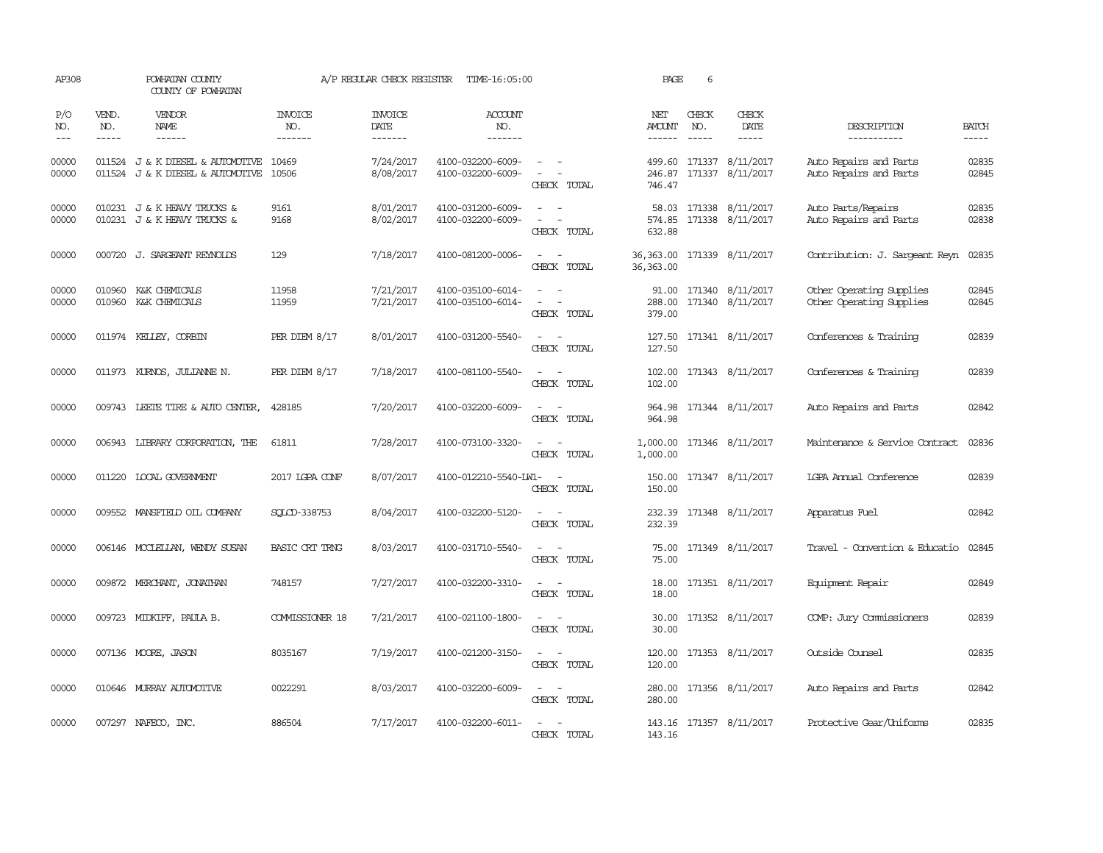| AP308               |              | POWHATAN COUNTY<br>COUNTY OF POWHATAN                                |                           | A/P REGULAR CHECK REGISTER               | TIME-16:05:00                          |                                                                                                                             | PAGE                           | 6            |                                            |                                                      |                |
|---------------------|--------------|----------------------------------------------------------------------|---------------------------|------------------------------------------|----------------------------------------|-----------------------------------------------------------------------------------------------------------------------------|--------------------------------|--------------|--------------------------------------------|------------------------------------------------------|----------------|
| P/O<br>NO.<br>$---$ | VEND.<br>NO. | VENDOR<br>NAME<br>$- - - - - -$                                      | INVOICE<br>NO.<br>------- | <b>INVOICE</b><br><b>DATE</b><br>------- | <b>ACCOUNT</b><br>NO.<br>-------       |                                                                                                                             | NET<br><b>AMOUNT</b><br>------ | CHECK<br>NO. | CHECK<br>DATE<br>-----                     | DESCRIPTION<br>-----------                           | <b>BATCH</b>   |
| 00000<br>00000      |              | 011524 J & K DIESEL & AUTOMOTIVE<br>011524 J & K DIESEL & AUTOMOTIVE | 10469<br>10506            | 7/24/2017<br>8/08/2017                   | 4100-032200-6009-<br>4100-032200-6009- | $\sim$<br>CHECK TOTAL                                                                                                       | 499.60<br>246.87<br>746.47     |              | 171337 8/11/2017<br>171337 8/11/2017       | Auto Repairs and Parts<br>Auto Repairs and Parts     | 02835<br>02845 |
| 00000<br>00000      |              | 010231 J & K HEAVY TRUCKS &<br>010231 J & K HEAVY TRUCKS &           | 9161<br>9168              | 8/01/2017<br>8/02/2017                   | 4100-031200-6009-<br>4100-032200-6009- | CHECK TOTAL                                                                                                                 | 574.85<br>632.88               |              | 58.03 171338 8/11/2017<br>171338 8/11/2017 | Auto Parts/Repairs<br>Auto Repairs and Parts         | 02835<br>02838 |
| 00000               |              | 000720 J. SARGEANT REYNOLDS                                          | 129                       | 7/18/2017                                | 4100-081200-0006-                      | CHECK TOTAL                                                                                                                 | 36,363.00<br>36, 363.00        |              | 171339 8/11/2017                           | Contribution: J. Sargeant Reyn                       | 02835          |
| 00000<br>00000      | 010960       | K&K CHEMICALS<br>010960 K&K CHEMICALS                                | 11958<br>11959            | 7/21/2017<br>7/21/2017                   | 4100-035100-6014-<br>4100-035100-6014- | $\equiv$<br>$\sim$<br>CHECK TOTAL                                                                                           | 91.00<br>288.00<br>379.00      |              | 171340 8/11/2017<br>171340 8/11/2017       | Other Operating Supplies<br>Other Operating Supplies | 02845<br>02845 |
| 00000               |              | 011974 KELLEY, CORBIN                                                | PER DIEM $8/17$           | 8/01/2017                                | 4100-031200-5540-                      | $\sim$ 100 $\sim$<br>CHECK TOTAL                                                                                            | 127.50<br>127.50               |              | 171341 8/11/2017                           | Conferences & Training                               | 02839          |
| 00000               |              | 011973 KURNOS, JULIANNE N.                                           | PER DIEM $8/17$           | 7/18/2017                                | 4100-081100-5540-                      | $\sim$<br>CHECK TOTAL                                                                                                       | 102.00<br>102.00               |              | 171343 8/11/2017                           | Conferences & Training                               | 02839          |
| 00000               |              | 009743 LEETE TIRE & AUTO CENTER,                                     | 428185                    | 7/20/2017                                | 4100-032200-6009-                      | $\sim$<br>$\sim$<br>CHECK TOTAL                                                                                             | 964.98<br>964.98               |              | 171344 8/11/2017                           | Auto Repairs and Parts                               | 02842          |
| 00000               |              | 006943 LIBRARY CORPORATION, THE                                      | 61811                     | 7/28/2017                                | 4100-073100-3320-                      | $\sim$<br>$\sim$<br>CHECK TOTAL                                                                                             | 1,000.00<br>1,000.00           |              | 171346 8/11/2017                           | Maintenance & Service Contract                       | 02836          |
| 00000               |              | 011220 LOCAL GOVERNMENT                                              | 2017 LGPA CONF            | 8/07/2017                                | 4100-012210-5540-LW1-                  | $\sim$<br>CHECK TOTAL                                                                                                       | 150.00<br>150.00               |              | 171347 8/11/2017                           | <b>IGPA</b> Annual Conference                        | 02839          |
| 00000               |              | 009552 MANSFIELD OIL COMPANY                                         | SOLCD-338753              | 8/04/2017                                | 4100-032200-5120-                      | $\overline{\phantom{a}}$<br>CHECK TOTAL                                                                                     | 232.39<br>232.39               |              | 171348 8/11/2017                           | Apparatus Fuel                                       | 02842          |
| 00000               |              | 006146 MCCLELLAN, WENDY SUSAN                                        | BASIC CRT TRNG            | 8/03/2017                                | 4100-031710-5540-                      | $\sim$<br>$\sim$<br>CHECK TOTAL                                                                                             | 75.00<br>75.00                 |              | 171349 8/11/2017                           | Travel - Convention & Educatio                       | 02845          |
| 00000               |              | 009872 MERCHANT, JONATHAN                                            | 748157                    | 7/27/2017                                | 4100-032200-3310-                      | $\overline{\phantom{a}}$<br>$\sim$<br>CHECK TOTAL                                                                           | 18.00<br>18.00                 |              | 171351 8/11/2017                           | Equipment Repair                                     | 02849          |
| 00000               |              | 009723 MIDKIFF, PAULA B.                                             | <b>COMMISSIONER 18</b>    | 7/21/2017                                | 4100-021100-1800-                      | $\sim$ $\sim$<br>CHECK TOTAL                                                                                                | 30.00<br>30.00                 |              | 171352 8/11/2017                           | COMP: Jury Commissioners                             | 02839          |
| 00000               |              | 007136 MOORE, JASON                                                  | 8035167                   | 7/19/2017                                | 4100-021200-3150-                      | $\frac{1}{2} \left( \frac{1}{2} \right) \left( \frac{1}{2} \right) = \frac{1}{2} \left( \frac{1}{2} \right)$<br>CHECK TOTAL | 120.00<br>120.00               |              | 171353 8/11/2017                           | Outside Counsel                                      | 02835          |
| 00000               |              | 010646 MURRAY AUTOMOTTVE                                             | 0022291                   | 8/03/2017                                | 4100-032200-6009-                      | $\overline{\phantom{a}}$<br>$\sim$<br>CHECK TOTAL                                                                           | 280.00<br>280.00               |              | 171356 8/11/2017                           | Auto Repairs and Parts                               | 02842          |
| 00000               |              | 007297 NAFECO, INC.                                                  | 886504                    | 7/17/2017                                | 4100-032200-6011-                      | $ -$<br>CHECK TOTAL                                                                                                         | 143.16                         |              | 143.16 171357 8/11/2017                    | Protective Gear/Uniforms                             | 02835          |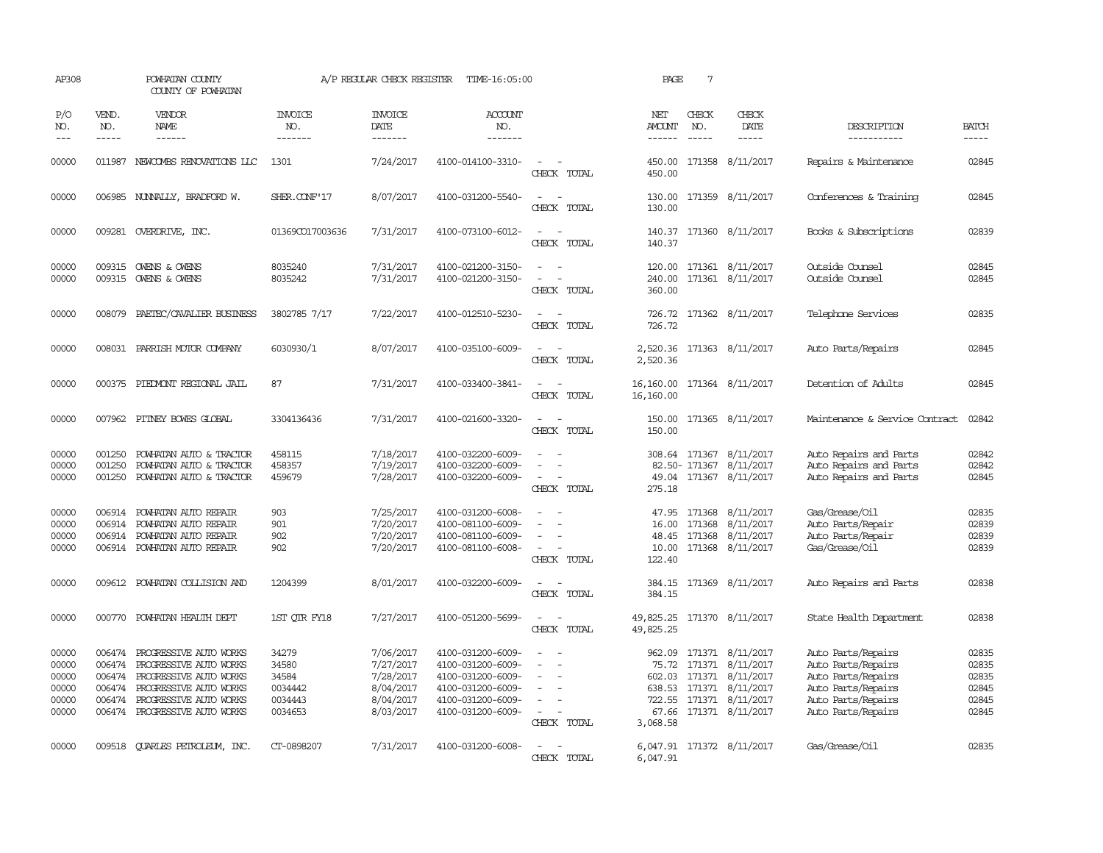| AP308                                              |                                                | POWHATAN COUNTY<br>COUNTY OF POWHATAN                                                                                                                           |                                                          | A/P REGULAR CHECK REGISTER                                                 | TIME-16:05:00                                                                                                              |                                                                                                                             | PAGE                                 | $7\phantom{.0}$               |                                                                                                                                           |                                                                                                                                  |                                                    |
|----------------------------------------------------|------------------------------------------------|-----------------------------------------------------------------------------------------------------------------------------------------------------------------|----------------------------------------------------------|----------------------------------------------------------------------------|----------------------------------------------------------------------------------------------------------------------------|-----------------------------------------------------------------------------------------------------------------------------|--------------------------------------|-------------------------------|-------------------------------------------------------------------------------------------------------------------------------------------|----------------------------------------------------------------------------------------------------------------------------------|----------------------------------------------------|
| P/O<br>NO.<br>$\frac{1}{2}$                        | VEND.<br>NO.<br>$- - - - -$                    | <b>VENDOR</b><br>NAME<br>------                                                                                                                                 | <b>INVOICE</b><br>NO.<br>-------                         | <b>INVOICE</b><br>DATE<br>-------                                          | <b>ACCOUNT</b><br>NO.<br>-------                                                                                           |                                                                                                                             | NET<br>AMOUNT<br>$- - - - - -$       | CHECK<br>NO.<br>$\frac{1}{2}$ | CHECK<br>DATE<br>$- - - - -$                                                                                                              | DESCRIPTION<br>-----------                                                                                                       | <b>BATCH</b><br>-----                              |
| 00000                                              |                                                | 011987 NEWCOMBS RENOVATIONS LLC                                                                                                                                 | 1301                                                     | 7/24/2017                                                                  | 4100-014100-3310-                                                                                                          | $\sim$<br>CHECK TOTAL                                                                                                       | 450.00                               |                               | 450.00 171358 8/11/2017                                                                                                                   | Repairs & Maintenance                                                                                                            | 02845                                              |
| 00000                                              |                                                | 006985 NUNNALLY, BRADFORD W.                                                                                                                                    | SHER.CONF'17                                             | 8/07/2017                                                                  | 4100-031200-5540-                                                                                                          | $\sim$ $\sim$<br>$\sim$<br>CHECK TOTAL                                                                                      | 130.00<br>130.00                     |                               | 171359 8/11/2017                                                                                                                          | Conferences & Training                                                                                                           | 02845                                              |
| 00000                                              |                                                | 009281 OVERDRIVE, INC.                                                                                                                                          | 01369CO17003636                                          | 7/31/2017                                                                  | 4100-073100-6012-                                                                                                          | $\overline{\phantom{a}}$<br>$\sim$<br>CHECK TOTAL                                                                           | 140.37                               |                               | 140.37 171360 8/11/2017                                                                                                                   | Books & Subscriptions                                                                                                            | 02839                                              |
| 00000<br>00000                                     | 009315<br>009315                               | OWENS & OWENS<br>OWENS & OWENS                                                                                                                                  | 8035240<br>8035242                                       | 7/31/2017<br>7/31/2017                                                     | 4100-021200-3150-<br>4100-021200-3150-                                                                                     | CHECK TOTAL                                                                                                                 | 120.00<br>240.00<br>360.00           |                               | 171361 8/11/2017<br>171361 8/11/2017                                                                                                      | Outside Counsel<br>Outside Counsel                                                                                               | 02845<br>02845                                     |
| 00000                                              | 008079                                         | PAETEC/CAVALIER BUSINESS                                                                                                                                        | 3802785 7/17                                             | 7/22/2017                                                                  | 4100-012510-5230-                                                                                                          | CHECK TOTAL                                                                                                                 | 726.72<br>726.72                     |                               | 171362 8/11/2017                                                                                                                          | Telephone Services                                                                                                               | 02835                                              |
| 00000                                              |                                                | 008031 PARRISH MOTOR COMPANY                                                                                                                                    | 6030930/1                                                | 8/07/2017                                                                  | 4100-035100-6009-                                                                                                          | CHECK TOTAL                                                                                                                 | 2,520.36<br>2,520.36                 |                               | 171363 8/11/2017                                                                                                                          | Auto Parts/Repairs                                                                                                               | 02845                                              |
| 00000                                              |                                                | 000375 PIEDMONT REGIONAL JAIL                                                                                                                                   | 87                                                       | 7/31/2017                                                                  | 4100-033400-3841-                                                                                                          | CHECK TOTAL                                                                                                                 | 16,160.00                            |                               | 16,160.00 171364 8/11/2017                                                                                                                | Detention of Adults                                                                                                              | 02845                                              |
| 00000                                              |                                                | 007962 PITNEY BOWES GLOBAL                                                                                                                                      | 3304136436                                               | 7/31/2017                                                                  | 4100-021600-3320-                                                                                                          | $\frac{1}{2} \left( \frac{1}{2} \right) \left( \frac{1}{2} \right) = \frac{1}{2} \left( \frac{1}{2} \right)$<br>CHECK TOTAL | 150.00<br>150.00                     |                               | 171365 8/11/2017                                                                                                                          | Maintenance & Service Contract                                                                                                   | 02842                                              |
| 00000<br>00000<br>00000                            | 001250<br>001250<br>001250                     | POWHATAN AUTO & TRACTOR<br>POWHATAN AUTO & TRACTOR<br>POWHATAN AUTO & TRACTOR                                                                                   | 458115<br>458357<br>459679                               | 7/18/2017<br>7/19/2017<br>7/28/2017                                        | 4100-032200-6009-<br>4100-032200-6009-<br>4100-032200-6009-                                                                | $\overline{\phantom{a}}$<br>CHECK TOTAL                                                                                     | 275.18                               |                               | 308.64 171367 8/11/2017<br>82.50-171367 8/11/2017<br>49.04 171367 8/11/2017                                                               | Auto Repairs and Parts<br>Auto Repairs and Parts<br>Auto Repairs and Parts                                                       | 02842<br>02842<br>02845                            |
| 00000<br>00000<br>00000<br>00000                   | 006914<br>006914<br>006914                     | POWHATAN AUTO REPAIR<br>POWHATAN AUTO REPAIR<br>POWHATAN AUTO REPAIR<br>006914 POWHATAN AUTO REPAIR                                                             | 903<br>901<br>902<br>902                                 | 7/25/2017<br>7/20/2017<br>7/20/2017<br>7/20/2017                           | 4100-031200-6008-<br>4100-081100-6009-<br>4100-081100-6009-<br>4100-081100-6008-                                           | CHECK TOTAL                                                                                                                 | 16.00<br>48.45<br>10.00<br>122.40    | 171368<br>171368              | 47.95 171368 8/11/2017<br>8/11/2017<br>8/11/2017<br>171368 8/11/2017                                                                      | Gas/Grease/Oil<br>Auto Parts/Repair<br>Auto Parts/Repair<br>Gas/Grease/Oil                                                       | 02835<br>02839<br>02839<br>02839                   |
| 00000                                              |                                                | 009612 POWHATAN COLLISION AND                                                                                                                                   | 1204399                                                  | 8/01/2017                                                                  | 4100-032200-6009-                                                                                                          | CHECK TOTAL                                                                                                                 | 384.15                               |                               | 384.15 171369 8/11/2017                                                                                                                   | Auto Repairs and Parts                                                                                                           | 02838                                              |
| 00000                                              | 000770                                         | POWHATAN HEALTH DEPT                                                                                                                                            | 1ST OTR FY18                                             | 7/27/2017                                                                  | 4100-051200-5699-                                                                                                          | $\equiv$<br>CHECK TOTAL                                                                                                     | 49,825.25<br>49,825.25               |                               | 171370 8/11/2017                                                                                                                          | State Health Department                                                                                                          | 02838                                              |
| 00000<br>00000<br>00000<br>00000<br>00000<br>00000 | 006474<br>006474<br>006474<br>006474<br>006474 | PROGRESSIVE AUTO WORKS<br>PROGRESSIVE AUTO WORKS<br>PROGRESSIVE AUTO WORKS<br>PROGRESSIVE AUTO WORKS<br>PROGRESSIVE AUTO WORKS<br>006474 PROGRESSIVE AUTO WORKS | 34279<br>34580<br>34584<br>0034442<br>0034443<br>0034653 | 7/06/2017<br>7/27/2017<br>7/28/2017<br>8/04/2017<br>8/04/2017<br>8/03/2017 | 4100-031200-6009-<br>4100-031200-6009-<br>4100-031200-6009-<br>4100-031200-6009-<br>4100-031200-6009-<br>4100-031200-6009- | $\sim$<br>$\equiv$<br>$\equiv$<br>$\overline{\phantom{a}}$<br>CHECK TOTAL                                                   | 962.09<br>75.72<br>67.66<br>3,068.58 |                               | 171371 8/11/2017<br>171371 8/11/2017<br>602.03 171371 8/11/2017<br>638.53 171371 8/11/2017<br>722.55 171371 8/11/2017<br>171371 8/11/2017 | Auto Parts/Repairs<br>Auto Parts/Repairs<br>Auto Parts/Repairs<br>Auto Parts/Repairs<br>Auto Parts/Repairs<br>Auto Parts/Repairs | 02835<br>02835<br>02835<br>02845<br>02845<br>02845 |
| 00000                                              |                                                | 009518 CUARLES PETROLEUM, INC.                                                                                                                                  | CT-0898207                                               | 7/31/2017                                                                  | 4100-031200-6008-                                                                                                          | CHECK TOTAL                                                                                                                 | 6,047.91                             |                               | 6,047.91 171372 8/11/2017                                                                                                                 | Gas/Grease/0il                                                                                                                   | 02835                                              |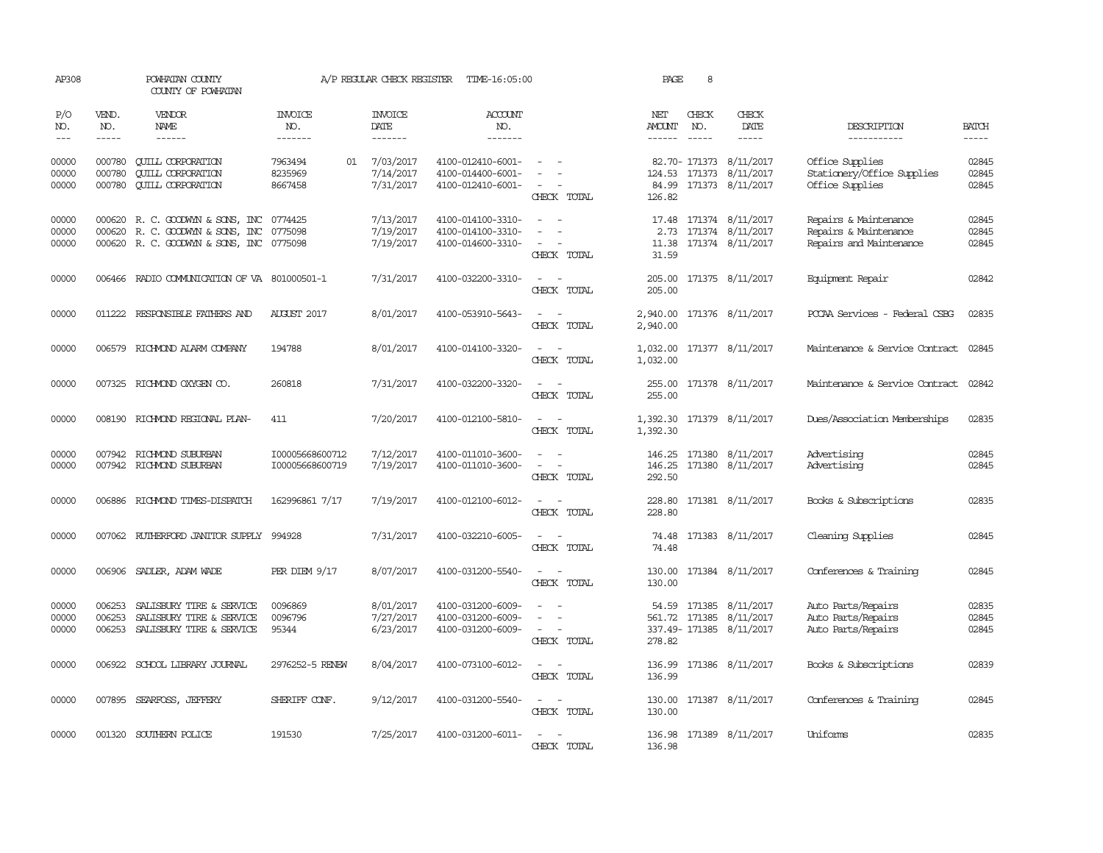| AP308                   |                                                                                                                                                                                                                                                                                                                                                                                                                                                                         | POWHATAN COUNTY<br>COUNTY OF POWHATAN                                                                     |                                     | A/P REGULAR CHECK REGISTER                | TIME-16:05:00                                               |                                                                                                                                                                   | PAGE                           | 8                             |                                                                        |                                                                           |                         |
|-------------------------|-------------------------------------------------------------------------------------------------------------------------------------------------------------------------------------------------------------------------------------------------------------------------------------------------------------------------------------------------------------------------------------------------------------------------------------------------------------------------|-----------------------------------------------------------------------------------------------------------|-------------------------------------|-------------------------------------------|-------------------------------------------------------------|-------------------------------------------------------------------------------------------------------------------------------------------------------------------|--------------------------------|-------------------------------|------------------------------------------------------------------------|---------------------------------------------------------------------------|-------------------------|
| P/O<br>NO.<br>$---$     | VEND.<br>NO.<br>$\begin{tabular}{ccccc} \multicolumn{2}{c }{\multicolumn{2}{c }{\multicolumn{2}{c }{\multicolumn{2}{c}}{\hspace{-2.2cm}}}} \multicolumn{2}{c }{\multicolumn{2}{c }{\hspace{-2.2cm}}\hline} \multicolumn{2}{c }{\hspace{-2.2cm}}\hline \multicolumn{2}{c }{\hspace{-2.2cm}}\hline \multicolumn{2}{c }{\hspace{-2.2cm}}\hline \multicolumn{2}{c }{\hspace{-2.2cm}}\hline \multicolumn{2}{c }{\hspace{-2.2cm}}\hline \multicolumn{2}{c }{\hspace{-2.2cm}}$ | VENDOR<br>NAME<br>------                                                                                  | <b>INVOICE</b><br>NO.<br>-------    | <b>INVOICE</b><br>DATE<br>$- - - - - - -$ | <b>ACCOUNT</b><br>NO.<br>-------                            |                                                                                                                                                                   | NET<br>AMOUNT<br>$- - - - - -$ | CHECK<br>NO.<br>$\frac{1}{2}$ | CHECK<br>DATE<br>-----                                                 | DESCRIPTION<br>-----------                                                | <b>BATCH</b><br>-----   |
| 00000<br>00000<br>00000 | 000780<br>000780<br>000780                                                                                                                                                                                                                                                                                                                                                                                                                                              | <b>CUILL CORPORATION</b><br><b>QUILL CORPORATION</b><br><b>CUILL CORPORATION</b>                          | 7963494<br>01<br>8235969<br>8667458 | 7/03/2017<br>7/14/2017<br>7/31/2017       | 4100-012410-6001-<br>4100-014400-6001-<br>4100-012410-6001- | CHECK TOTAL                                                                                                                                                       | 84.99<br>126.82                |                               | 82.70- 171373 8/11/2017<br>124.53 171373 8/11/2017<br>171373 8/11/2017 | Office Supplies<br>Stationery/Office Supplies<br>Office Supplies          | 02845<br>02845<br>02845 |
| 00000<br>00000<br>00000 | 000620                                                                                                                                                                                                                                                                                                                                                                                                                                                                  | R. C. GOODWYN & SONS, INC<br>000620 R. C. GOODWYN & SONS, INC<br>000620 R. C. GOODWYN & SONS, INC 0775098 | 0774425<br>0775098                  | 7/13/2017<br>7/19/2017<br>7/19/2017       | 4100-014100-3310-<br>4100-014100-3310-<br>4100-014600-3310- | $\overline{\phantom{a}}$<br>$\overline{\phantom{a}}$<br>CHECK TOTAL                                                                                               | 2.73<br>11.38<br>31.59         |                               | 17.48 171374 8/11/2017<br>171374 8/11/2017<br>171374 8/11/2017         | Repairs & Maintenance<br>Repairs & Maintenance<br>Repairs and Maintenance | 02845<br>02845<br>02845 |
| 00000                   |                                                                                                                                                                                                                                                                                                                                                                                                                                                                         | 006466 RADIO COMMUNICATION OF VA 801000501-1                                                              |                                     | 7/31/2017                                 | 4100-032200-3310-                                           | $\sim$ 100 $\sim$ 100 $\sim$<br>CHECK TOTAL                                                                                                                       | 205.00<br>205.00               |                               | 171375 8/11/2017                                                       | Equipment Repair                                                          | 02842                   |
| 00000                   |                                                                                                                                                                                                                                                                                                                                                                                                                                                                         | 011222 RESPONSIBLE FAIHERS AND                                                                            | <b>AUGUST 2017</b>                  | 8/01/2017                                 | 4100-053910-5643-                                           | $\frac{1}{2} \left( \frac{1}{2} \right) \left( \frac{1}{2} \right) \left( \frac{1}{2} \right) \left( \frac{1}{2} \right)$<br>CHECK TOTAL                          | 2,940.00<br>2,940.00           |                               | 171376 8/11/2017                                                       | PCCAA Services - Federal CSBG                                             | 02835                   |
| 00000                   |                                                                                                                                                                                                                                                                                                                                                                                                                                                                         | 006579 RICHMOND ALARM COMPANY                                                                             | 194788                              | 8/01/2017                                 | 4100-014100-3320-                                           | CHECK TOTAL                                                                                                                                                       | 1,032.00<br>1,032.00           |                               | 171377 8/11/2017                                                       | Maintenance & Service Contract 02845                                      |                         |
| 00000                   |                                                                                                                                                                                                                                                                                                                                                                                                                                                                         | 007325 RICHMOND OXYGEN CO.                                                                                | 260818                              | 7/31/2017                                 | 4100-032200-3320-                                           | CHECK TOTAL                                                                                                                                                       | 255.00<br>255.00               |                               | 171378 8/11/2017                                                       | Maintenance & Service Contract                                            | 02842                   |
| 00000                   | 008190                                                                                                                                                                                                                                                                                                                                                                                                                                                                  | RICHMOND REGIONAL PLAN-                                                                                   | 411                                 | 7/20/2017                                 | 4100-012100-5810-                                           | CHECK TOTAL                                                                                                                                                       | 1,392.30<br>1,392.30           |                               | 171379 8/11/2017                                                       | Dues/Association Memberships                                              | 02835                   |
| 00000<br>00000          |                                                                                                                                                                                                                                                                                                                                                                                                                                                                         | 007942 RICHMOND SUBURBAN<br>007942 RICHMOND SUBURBAN                                                      | I00005668600712<br>I00005668600719  | 7/12/2017<br>7/19/2017                    | 4100-011010-3600-<br>4100-011010-3600-                      | $\frac{1}{2} \left( \frac{1}{2} \right) \left( \frac{1}{2} \right) = \frac{1}{2} \left( \frac{1}{2} \right)$<br>$\sim$<br>$\overline{\phantom{a}}$<br>CHECK TOTAL | 146.25<br>146.25<br>292.50     |                               | 171380 8/11/2017<br>171380 8/11/2017                                   | Advertising<br>Advertising                                                | 02845<br>02845          |
| 00000                   |                                                                                                                                                                                                                                                                                                                                                                                                                                                                         | 006886 RICHMOND TIMES-DISPATCH                                                                            | 162996861 7/17                      | 7/19/2017                                 | 4100-012100-6012-                                           | $\sim$<br>$\sim$<br>CHECK TOTAL                                                                                                                                   | 228.80<br>228.80               |                               | 171381 8/11/2017                                                       | Books & Subscriptions                                                     | 02835                   |
| 00000                   |                                                                                                                                                                                                                                                                                                                                                                                                                                                                         | 007062 RUIHERFORD JANITOR SUPPLY 994928                                                                   |                                     | 7/31/2017                                 | 4100-032210-6005-                                           | $\overline{\phantom{a}}$<br>CHECK TOTAL                                                                                                                           | 74.48<br>74.48                 |                               | 171383 8/11/2017                                                       | Cleaning Supplies                                                         | 02845                   |
| 00000                   |                                                                                                                                                                                                                                                                                                                                                                                                                                                                         | 006906 SADLER, ADAM WADE                                                                                  | PER DIEM $9/17$                     | 8/07/2017                                 | 4100-031200-5540-                                           | $ -$<br>CHECK TOTAL                                                                                                                                               | 130.00<br>130.00               |                               | 171384 8/11/2017                                                       | Conferences & Training                                                    | 02845                   |
| 00000<br>00000<br>00000 | 006253<br>006253<br>006253                                                                                                                                                                                                                                                                                                                                                                                                                                              | SALISBURY TIRE & SERVICE<br>SALISBURY TIRE & SERVICE<br>SALISBURY TIRE & SERVICE                          | 0096869<br>0096796<br>95344         | 8/01/2017<br>7/27/2017<br>6/23/2017       | 4100-031200-6009-<br>4100-031200-6009-<br>4100-031200-6009- | $\equiv$<br>$\sim$<br>$\sim$<br>CHECK TOTAL                                                                                                                       | 54.59<br>278.82                |                               | 171385 8/11/2017<br>561.72 171385 8/11/2017<br>337.49-171385 8/11/2017 | Auto Parts/Repairs<br>Auto Parts/Repairs<br>Auto Parts/Repairs            | 02835<br>02845<br>02845 |
| 00000                   | 006922                                                                                                                                                                                                                                                                                                                                                                                                                                                                  | SCHOOL LIBRARY JOURNAL                                                                                    | 2976252-5 RENEW                     | 8/04/2017                                 | 4100-073100-6012-                                           | $\sim$<br>$\overline{\phantom{a}}$<br>CHECK TOTAL                                                                                                                 | 136.99<br>136.99               |                               | 171386 8/11/2017                                                       | Books & Subscriptions                                                     | 02839                   |
| 00000                   | 007895                                                                                                                                                                                                                                                                                                                                                                                                                                                                  | SEARFOSS, JEFFERY                                                                                         | SHERIFF CONF.                       | 9/12/2017                                 | 4100-031200-5540-                                           | $\frac{1}{2} \left( \frac{1}{2} \right) \left( \frac{1}{2} \right) \left( \frac{1}{2} \right) \left( \frac{1}{2} \right)$<br>CHECK TOTAL                          | 130.00<br>130.00               |                               | 171387 8/11/2017                                                       | Conferences & Training                                                    | 02845                   |
| 00000                   |                                                                                                                                                                                                                                                                                                                                                                                                                                                                         | 001320 SOUTHERN POLICE                                                                                    | 191530                              | 7/25/2017                                 | 4100-031200-6011-                                           | CHECK TOTAL                                                                                                                                                       | 136.98                         |                               | 136.98 171389 8/11/2017                                                | <b>Uniforms</b>                                                           | 02835                   |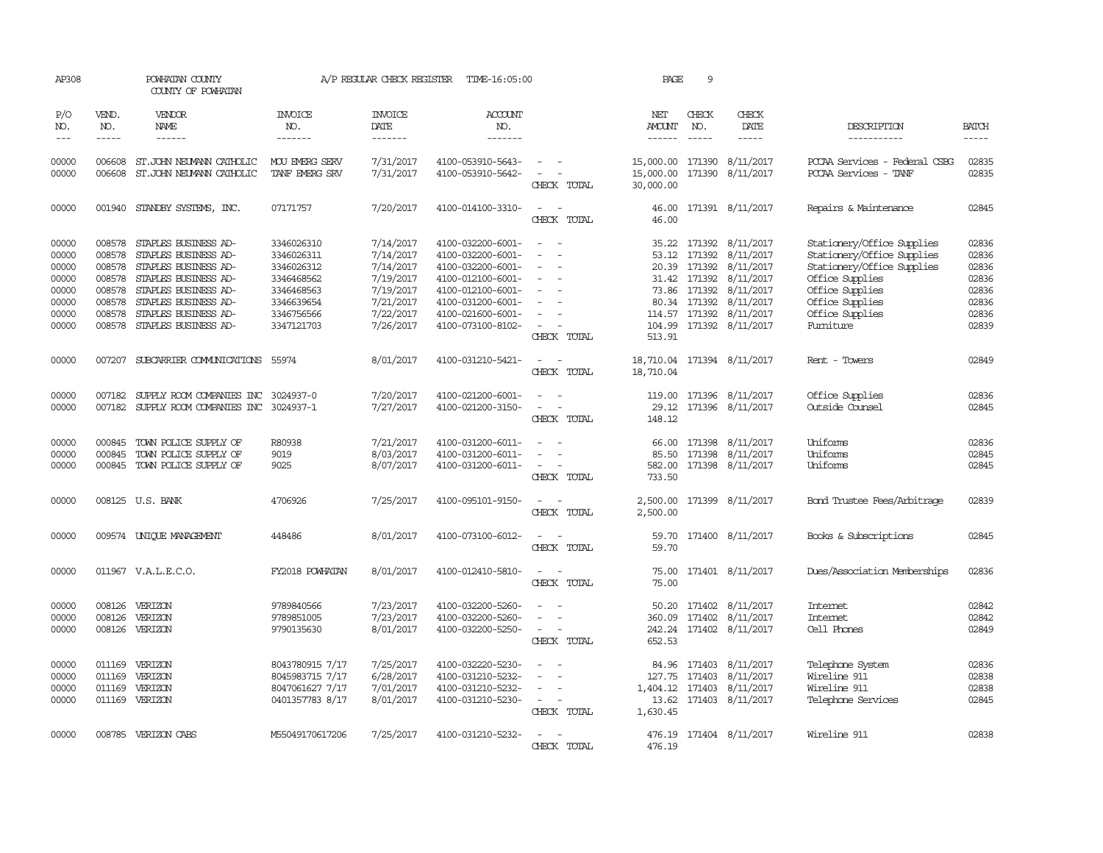| AP308                                                                |                                                                    | POWHATAN COUNTY<br>COUNTY OF POWHATAN                                                                                                                                                               |                                                                                                              | A/P REGULAR CHECK REGISTER                                                                           | TIME-16:05:00                                                                                                                                                        |                                                                               | PAGE                                    | 9                                                |                                                                                                                                                            |                                                                                                                                                                                |                                                                      |
|----------------------------------------------------------------------|--------------------------------------------------------------------|-----------------------------------------------------------------------------------------------------------------------------------------------------------------------------------------------------|--------------------------------------------------------------------------------------------------------------|------------------------------------------------------------------------------------------------------|----------------------------------------------------------------------------------------------------------------------------------------------------------------------|-------------------------------------------------------------------------------|-----------------------------------------|--------------------------------------------------|------------------------------------------------------------------------------------------------------------------------------------------------------------|--------------------------------------------------------------------------------------------------------------------------------------------------------------------------------|----------------------------------------------------------------------|
| P/O<br>NO.<br>$\frac{1}{2}$                                          | VEND.<br>NO.<br>-----                                              | VENDOR<br>NAME<br>$- - - - - -$                                                                                                                                                                     | INVOICE<br>NO.<br>-------                                                                                    | <b>INVOICE</b><br>DATE<br>-------                                                                    | <b>ACCOUNT</b><br>NO.<br>-------                                                                                                                                     |                                                                               | NET<br>AMOUNT<br>$- - - - - -$          | CHECK<br>NO.<br>$\frac{1}{2}$                    | CHECK<br>DATE<br>-----                                                                                                                                     | DESCRIPTION<br>-----------                                                                                                                                                     | <b>BATCH</b><br>$- - - - -$                                          |
| 00000<br>00000                                                       | 006608<br>006608                                                   | ST.JOHN NEUMANN CATHOLIC<br>ST.JOHN NEUMANN CATHOLIC                                                                                                                                                | MOU EMERG SERV<br>TANF EMERG SRV                                                                             | 7/31/2017<br>7/31/2017                                                                               | 4100-053910-5643-<br>4100-053910-5642-                                                                                                                               | $\overline{\phantom{a}}$<br>$\sim$<br>CHECK TOTAL                             | 15,000.00<br>15,000.00<br>30,000.00     |                                                  | 171390 8/11/2017<br>171390 8/11/2017                                                                                                                       | PCCAA Services - Federal CSBG<br>PCCAA Services - TANF                                                                                                                         | 02835<br>02835                                                       |
| 00000                                                                |                                                                    | 001940 STANDBY SYSTEMS, INC.                                                                                                                                                                        | 07171757                                                                                                     | 7/20/2017                                                                                            | 4100-014100-3310-                                                                                                                                                    | $\sim$<br>CHECK TOTAL                                                         | 46.00<br>46.00                          |                                                  | 171391 8/11/2017                                                                                                                                           | Repairs & Maintenance                                                                                                                                                          | 02845                                                                |
| 00000<br>00000<br>00000<br>00000<br>00000<br>00000<br>00000<br>00000 | 008578<br>008578<br>008578<br>008578<br>008578<br>008578<br>008578 | STAPLES BUSINESS AD-<br>STAPLES BUSINESS AD-<br>STAPLES BUSINESS AD-<br>STAPLES BUSINESS AD-<br>STAPLES BUSINESS AD-<br>STAPLES BUSINESS AD-<br>STAPLES BUSINESS AD-<br>008578 STAPLES BUSINESS AD- | 3346026310<br>3346026311<br>3346026312<br>3346468562<br>3346468563<br>3346639654<br>3346756566<br>3347121703 | 7/14/2017<br>7/14/2017<br>7/14/2017<br>7/19/2017<br>7/19/2017<br>7/21/2017<br>7/22/2017<br>7/26/2017 | 4100-032200-6001-<br>4100-032200-6001-<br>4100-032200-6001-<br>4100-012100-6001-<br>4100-012100-6001-<br>4100-031200-6001-<br>4100-021600-6001-<br>4100-073100-8102- | $\overline{\phantom{a}}$<br>$\overline{\phantom{a}}$<br>$\sim$<br>CHECK TOTAL | 35.22<br>53.12<br>513.91                | 171392<br>171392<br>31.42 171392<br>73.86 171392 | 8/11/2017<br>8/11/2017<br>20.39 171392 8/11/2017<br>8/11/2017<br>8/11/2017<br>80.34 171392 8/11/2017<br>114.57 171392 8/11/2017<br>104.99 171392 8/11/2017 | Stationery/Office Supplies<br>Stationery/Office Supplies<br>Stationery/Office Supplies<br>Office Supplies<br>Office Supplies<br>Office Supplies<br>Office Supplies<br>Fumiture | 02836<br>02836<br>02836<br>02836<br>02836<br>02836<br>02836<br>02839 |
| 00000                                                                |                                                                    | 007207 SUBCARRIER COMUNICATIONS 55974                                                                                                                                                               |                                                                                                              | 8/01/2017                                                                                            | 4100-031210-5421-                                                                                                                                                    | $\equiv$<br>CHECK TOTAL                                                       | 18,710.04                               |                                                  | 18,710.04 171394 8/11/2017                                                                                                                                 | Rent - Towers                                                                                                                                                                  | 02849                                                                |
| 00000<br>00000                                                       | 007182                                                             | SUPPLY ROOM COMPANIES INC<br>007182 SUPPLY ROOM COMPANIES INC 3024937-1                                                                                                                             | 3024937-0                                                                                                    | 7/20/2017<br>7/27/2017                                                                               | 4100-021200-6001-<br>4100-021200-3150-                                                                                                                               | $\equiv$<br>CHECK TOTAL                                                       | 119.00<br>29.12<br>148.12               |                                                  | 171396 8/11/2017<br>171396 8/11/2017                                                                                                                       | Office Supplies<br>Outside Counsel                                                                                                                                             | 02836<br>02845                                                       |
| 00000<br>00000<br>00000                                              | 000845<br>000845                                                   | TOWN POLICE SUPPLY OF<br>TOWN POLICE SUPPLY OF<br>000845 TOWN POLICE SUPPLY OF                                                                                                                      | R80938<br>9019<br>9025                                                                                       | 7/21/2017<br>8/03/2017<br>8/07/2017                                                                  | 4100-031200-6011-<br>4100-031200-6011-<br>4100-031200-6011-                                                                                                          | $\overline{\phantom{a}}$<br>$\overline{\phantom{a}}$<br>CHECK TOTAL           | 66.00<br>85.50<br>582.00<br>733.50      | 171398<br>171398                                 | 8/11/2017<br>8/11/2017<br>171398 8/11/2017                                                                                                                 | Uniforms<br>Uniforms<br>Uniforms                                                                                                                                               | 02836<br>02845<br>02845                                              |
| 00000                                                                |                                                                    | 008125 U.S. BANK                                                                                                                                                                                    | 4706926                                                                                                      | 7/25/2017                                                                                            | 4100-095101-9150-                                                                                                                                                    | $\sim$<br>CHECK TOTAL                                                         | 2,500.00<br>2,500.00                    |                                                  | 171399 8/11/2017                                                                                                                                           | <b>Bond Trustee Fees/Arbitrage</b>                                                                                                                                             | 02839                                                                |
| 00000                                                                |                                                                    | 009574 UNIQUE MANAGEMENT                                                                                                                                                                            | 448486                                                                                                       | 8/01/2017                                                                                            | 4100-073100-6012-                                                                                                                                                    | $\equiv$<br>CHECK TOTAL                                                       | 59.70<br>59.70                          |                                                  | 171400 8/11/2017                                                                                                                                           | Books & Subscriptions                                                                                                                                                          | 02845                                                                |
| 00000                                                                |                                                                    | 011967 V.A.L.E.C.O.                                                                                                                                                                                 | FY2018 POWHATAN                                                                                              | 8/01/2017                                                                                            | 4100-012410-5810-                                                                                                                                                    | CHECK TOTAL                                                                   | 75.00<br>75.00                          |                                                  | 171401 8/11/2017                                                                                                                                           | Dues/Association Memberships                                                                                                                                                   | 02836                                                                |
| 00000<br>00000<br>00000                                              | 008126<br>008126                                                   | VERIZON<br>VERIZON<br>008126 VERIZON                                                                                                                                                                | 9789840566<br>9789851005<br>9790135630                                                                       | 7/23/2017<br>7/23/2017<br>8/01/2017                                                                  | 4100-032200-5260-<br>4100-032200-5260-<br>4100-032200-5250-                                                                                                          | $\equiv$<br>$\overline{\phantom{a}}$<br>CHECK TOTAL                           | 50.20<br>360.09<br>242.24<br>652.53     | 171402<br>171402<br>171402                       | 8/11/2017<br>8/11/2017<br>8/11/2017                                                                                                                        | Internet<br>Internet<br>Cell Phones                                                                                                                                            | 02842<br>02842<br>02849                                              |
| 00000<br>00000<br>00000<br>00000                                     | 011169<br>011169<br>011169                                         | VERIZON<br>VERIZON<br>VERIZON<br>011169 VERIZON                                                                                                                                                     | 8043780915 7/17<br>8045983715 7/17<br>8047061627 7/17<br>0401357783 8/17                                     | 7/25/2017<br>6/28/2017<br>7/01/2017<br>8/01/2017                                                     | 4100-032220-5230-<br>4100-031210-5232-<br>4100-031210-5232-<br>4100-031210-5230-                                                                                     | $\sim$<br>CHECK TOTAL                                                         | 84.96<br>127.75<br>1,404.12<br>1,630.45 | 171403<br>171403<br>171403                       | 8/11/2017<br>8/11/2017<br>8/11/2017<br>13.62 171403 8/11/2017                                                                                              | Telephone System<br>Wireline 911<br>Wireline 911<br>Telephone Services                                                                                                         | 02836<br>02838<br>02838<br>02845                                     |
| 00000                                                                |                                                                    | 008785 VERIZON CABS                                                                                                                                                                                 | M55049170617206                                                                                              | 7/25/2017                                                                                            | 4100-031210-5232-                                                                                                                                                    | CHECK TOTAL                                                                   | 476.19<br>476.19                        |                                                  | 171404 8/11/2017                                                                                                                                           | Wireline 911                                                                                                                                                                   | 02838                                                                |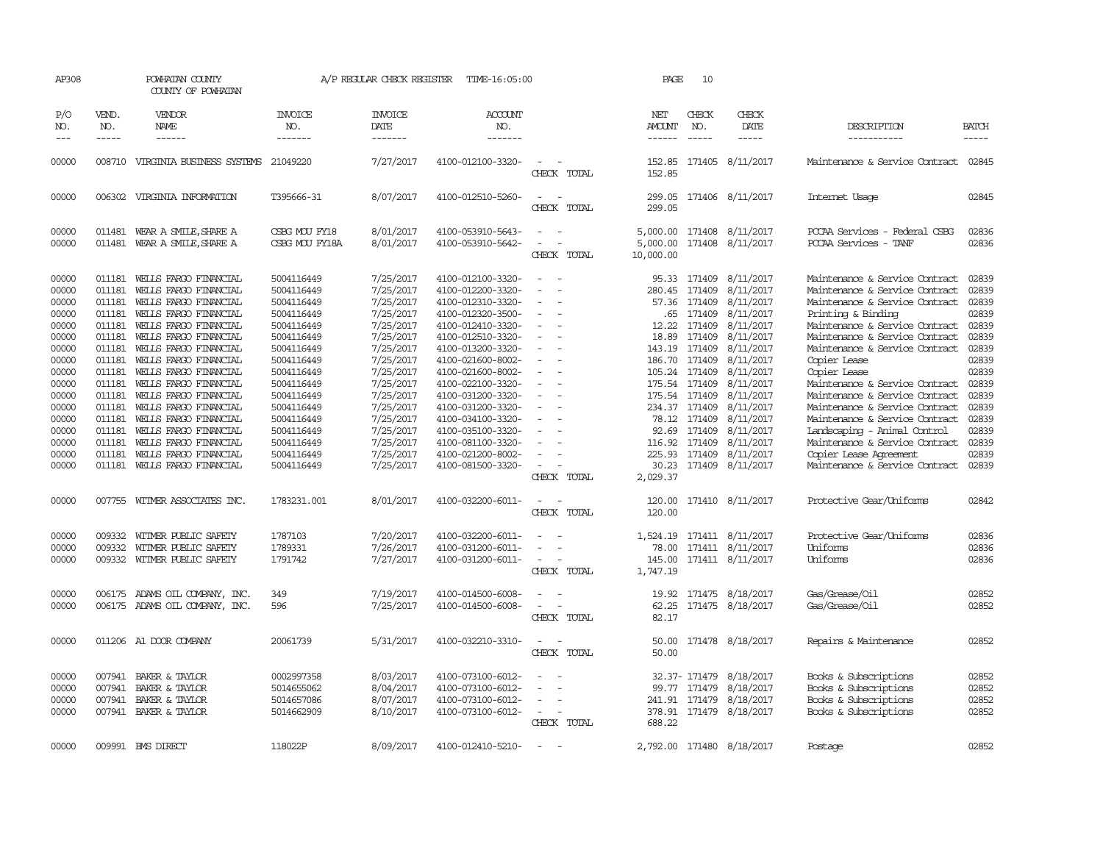| AP308                                                                                                                                                 |                                                                                                                                                              | POWHATAN COUNTY<br>COUNTY OF POWHATAN                                                                                                                                                                                                                                                                                                                                                                                                        |                                                                                                                                                                                                                                            | A/P REGULAR CHECK REGISTER                                                                                                                                                                                                | TIME-16:05:00                                                                                                                                                                                                                                                                                                                                                     |                                                                                                                                                                                                                                                                          |             | PAGE                                                            | 10                                                                                                                                                                                                         |                                                                                                                                                                                                                                                      |                                                                                                                                                                                                                                                                                                                                                                                                                                                                                                                                      |                                                                                                                                                       |
|-------------------------------------------------------------------------------------------------------------------------------------------------------|--------------------------------------------------------------------------------------------------------------------------------------------------------------|----------------------------------------------------------------------------------------------------------------------------------------------------------------------------------------------------------------------------------------------------------------------------------------------------------------------------------------------------------------------------------------------------------------------------------------------|--------------------------------------------------------------------------------------------------------------------------------------------------------------------------------------------------------------------------------------------|---------------------------------------------------------------------------------------------------------------------------------------------------------------------------------------------------------------------------|-------------------------------------------------------------------------------------------------------------------------------------------------------------------------------------------------------------------------------------------------------------------------------------------------------------------------------------------------------------------|--------------------------------------------------------------------------------------------------------------------------------------------------------------------------------------------------------------------------------------------------------------------------|-------------|-----------------------------------------------------------------|------------------------------------------------------------------------------------------------------------------------------------------------------------------------------------------------------------|------------------------------------------------------------------------------------------------------------------------------------------------------------------------------------------------------------------------------------------------------|--------------------------------------------------------------------------------------------------------------------------------------------------------------------------------------------------------------------------------------------------------------------------------------------------------------------------------------------------------------------------------------------------------------------------------------------------------------------------------------------------------------------------------------|-------------------------------------------------------------------------------------------------------------------------------------------------------|
| P/O<br>NO.<br>$---$                                                                                                                                   | VEND.<br>NO.<br>$\frac{1}{2}$                                                                                                                                | VENDOR<br>NAME<br>$- - - - - -$                                                                                                                                                                                                                                                                                                                                                                                                              | <b>INVOICE</b><br>NO.<br>-------                                                                                                                                                                                                           | <b>INVOICE</b><br>DATE<br>--------                                                                                                                                                                                        | <b>ACCOUNT</b><br>NO.<br>$- - - - - - -$                                                                                                                                                                                                                                                                                                                          |                                                                                                                                                                                                                                                                          |             | NET<br>AMOUNT<br>------                                         | CHECK<br>NO.<br>$\frac{1}{2}$                                                                                                                                                                              | CHECK<br>DATE<br>$- - - - -$                                                                                                                                                                                                                         | DESCRIPTION<br>-----------                                                                                                                                                                                                                                                                                                                                                                                                                                                                                                           | <b>BATCH</b><br>$- - - - -$                                                                                                                           |
| 00000                                                                                                                                                 |                                                                                                                                                              | 008710 VIRGINIA BUSINESS SYSTEMS 21049220                                                                                                                                                                                                                                                                                                                                                                                                    |                                                                                                                                                                                                                                            | 7/27/2017                                                                                                                                                                                                                 | 4100-012100-3320-                                                                                                                                                                                                                                                                                                                                                 | $\overline{\phantom{a}}$                                                                                                                                                                                                                                                 | CHECK TOTAL | 152.85<br>152.85                                                |                                                                                                                                                                                                            | 171405 8/11/2017                                                                                                                                                                                                                                     | Maintenance & Service Contract                                                                                                                                                                                                                                                                                                                                                                                                                                                                                                       | 02845                                                                                                                                                 |
| 00000                                                                                                                                                 |                                                                                                                                                              | 006302 VIRGINIA INFORMATION                                                                                                                                                                                                                                                                                                                                                                                                                  | T395666-31                                                                                                                                                                                                                                 | 8/07/2017                                                                                                                                                                                                                 | 4100-012510-5260-                                                                                                                                                                                                                                                                                                                                                 | $\sim$                                                                                                                                                                                                                                                                   | CHECK TOTAL | 299.05                                                          |                                                                                                                                                                                                            | 299.05 171406 8/11/2017                                                                                                                                                                                                                              | Internet Usage                                                                                                                                                                                                                                                                                                                                                                                                                                                                                                                       | 02845                                                                                                                                                 |
| 00000<br>00000                                                                                                                                        | 011481<br>011481                                                                                                                                             | WEAR A SMILE, SHARE A<br>WEAR A SMILE, SHARE A                                                                                                                                                                                                                                                                                                                                                                                               | CSBG MOU FY18<br>CSBG MOU FY18A                                                                                                                                                                                                            | 8/01/2017<br>8/01/2017                                                                                                                                                                                                    | 4100-053910-5643-<br>4100-053910-5642-                                                                                                                                                                                                                                                                                                                            | $\equiv$                                                                                                                                                                                                                                                                 | CHECK TOTAL | 5,000.00<br>10,000.00                                           |                                                                                                                                                                                                            | 5,000.00 171408 8/11/2017<br>171408 8/11/2017                                                                                                                                                                                                        | PCCAA Services - Federal CSBG<br>PCCAA Services<br>$-$ TANF                                                                                                                                                                                                                                                                                                                                                                                                                                                                          | 02836<br>02836                                                                                                                                        |
| 00000<br>00000<br>00000<br>00000<br>00000<br>00000<br>00000<br>00000<br>00000<br>00000<br>00000<br>00000<br>00000<br>00000<br>00000<br>00000<br>00000 | 011181<br>011181<br>011181<br>011181<br>011181<br>011181<br>011181<br>011181<br>011181<br>011181<br>011181<br>011181<br>011181<br>011181<br>011181<br>011181 | WELLS FARGO FINANCIAL<br>WELLS FARGO FINANCIAL<br>WELLS FARGO FINANCIAL<br>WELLS FARGO FINANCIAL<br>WELLS FARGO FINANCIAL<br>WELLS FARGO FINANCIAL<br>WELLS FARGO FINANCIAL<br>WELLS FARGO FINANCIAL<br>WELLS FARGO FINANCIAL<br>WEILS FARGO FINANCIAL<br>WELLS FARGO FINANCIAL<br>WELLS FARGO FINANCIAL<br>WEILS FARGO FINANCIAL<br>WELLS FARGO FINANCIAL<br>WEILS FARGO FINANCIAL<br>WELLS FARGO FINANCIAL<br>011181 WELLS FARGO FINANCIAL | 5004116449<br>5004116449<br>5004116449<br>5004116449<br>5004116449<br>5004116449<br>5004116449<br>5004116449<br>5004116449<br>5004116449<br>5004116449<br>5004116449<br>5004116449<br>5004116449<br>5004116449<br>5004116449<br>5004116449 | 7/25/2017<br>7/25/2017<br>7/25/2017<br>7/25/2017<br>7/25/2017<br>7/25/2017<br>7/25/2017<br>7/25/2017<br>7/25/2017<br>7/25/2017<br>7/25/2017<br>7/25/2017<br>7/25/2017<br>7/25/2017<br>7/25/2017<br>7/25/2017<br>7/25/2017 | 4100-012100-3320-<br>4100-012200-3320-<br>4100-012310-3320-<br>4100-012320-3500-<br>4100-012410-3320-<br>4100-012510-3320-<br>4100-013200-3320-<br>4100-021600-8002-<br>4100-021600-8002-<br>4100-022100-3320-<br>4100-031200-3320-<br>4100-031200-3320-<br>4100-034100-3320-<br>4100-035100-3320-<br>4100-081100-3320-<br>4100-021200-8002-<br>4100-081500-3320- | $\sim$<br>$\sim$<br>$\overline{\phantom{a}}$<br>$\sim$<br>$\sim$<br>$\sim$<br>$\overline{\phantom{a}}$<br>$\overline{\phantom{a}}$<br>$\sim$<br>$\sim$<br>$\overline{\phantom{a}}$<br>$\overline{\phantom{a}}$<br>$\overline{\phantom{a}}$<br>$\sim$<br>$\sim$ 100 $\mu$ | CHECK TOTAL | 95.33<br>280.45<br>57.36<br>12.22<br>18.89<br>92.69<br>2,029.37 | 171409<br>.65 171409<br>171409<br>171409<br>143.19 171409<br>186.70 171409<br>105.24 171409<br>175.54 171409<br>175.54 171409<br>234.37 171409<br>78.12 171409<br>171409<br>116.92 171409<br>225.93 171409 | 171409 8/11/2017<br>8/11/2017<br>171409 8/11/2017<br>8/11/2017<br>8/11/2017<br>8/11/2017<br>8/11/2017<br>8/11/2017<br>8/11/2017<br>8/11/2017<br>8/11/2017<br>8/11/2017<br>8/11/2017<br>8/11/2017<br>8/11/2017<br>8/11/2017<br>30.23 171409 8/11/2017 | Maintenance & Service Contract<br>Maintenance & Service Contract<br>Maintenance & Service Contract<br>Printing & Binding<br>Maintenance & Service Contract<br>Maintenance & Service Contract<br>Maintenance & Service Contract<br>Copier Lease<br>Copier Lease<br>Maintenance & Service Contract<br>Maintenance & Service Contract<br>Maintenance & Service Contract<br>Maintenance & Service Contract<br>Landscaping - Animal Control<br>Maintenance & Service Contract<br>Copier Lease Agreement<br>Maintenance & Service Contract | 02839<br>02839<br>02839<br>02839<br>02839<br>02839<br>02839<br>02839<br>02839<br>02839<br>02839<br>02839<br>02839<br>02839<br>02839<br>02839<br>02839 |
| 00000                                                                                                                                                 |                                                                                                                                                              | 007755 WITMER ASSOCIATES INC.                                                                                                                                                                                                                                                                                                                                                                                                                | 1783231.001                                                                                                                                                                                                                                | 8/01/2017                                                                                                                                                                                                                 | 4100-032200-6011-                                                                                                                                                                                                                                                                                                                                                 | $ -$                                                                                                                                                                                                                                                                     | CHECK TOTAL | 120.00<br>120.00                                                |                                                                                                                                                                                                            | 171410 8/11/2017                                                                                                                                                                                                                                     | Protective Gear/Uniforms                                                                                                                                                                                                                                                                                                                                                                                                                                                                                                             | 02842                                                                                                                                                 |
| 00000<br>00000<br>00000                                                                                                                               | 009332<br>009332                                                                                                                                             | WITMER PUBLIC SAFETY<br>WITMER PUBLIC SAFETY<br>009332 WITMER PUBLIC SAFETY                                                                                                                                                                                                                                                                                                                                                                  | 1787103<br>1789331<br>1791742                                                                                                                                                                                                              | 7/20/2017<br>7/26/2017<br>7/27/2017                                                                                                                                                                                       | 4100-032200-6011-<br>4100-031200-6011-<br>4100-031200-6011-                                                                                                                                                                                                                                                                                                       | $\overline{\phantom{a}}$<br>$\sim$                                                                                                                                                                                                                                       | CHECK TOTAL | 78.00<br>1,747.19                                               |                                                                                                                                                                                                            | 1,524.19 171411 8/11/2017<br>171411 8/11/2017<br>145.00 171411 8/11/2017                                                                                                                                                                             | Protective Gear/Uniforms<br>Uniforms<br>Uniforms                                                                                                                                                                                                                                                                                                                                                                                                                                                                                     | 02836<br>02836<br>02836                                                                                                                               |
| 00000<br>00000                                                                                                                                        |                                                                                                                                                              | 006175 ADAMS OIL COMPANY, INC.<br>006175 ADAMS OIL COMPANY, INC.                                                                                                                                                                                                                                                                                                                                                                             | 349<br>596                                                                                                                                                                                                                                 | 7/19/2017<br>7/25/2017                                                                                                                                                                                                    | 4100-014500-6008-<br>4100-014500-6008-                                                                                                                                                                                                                                                                                                                            | $\sim$<br>$\sim$                                                                                                                                                                                                                                                         | CHECK TOTAL | 62.25<br>82.17                                                  |                                                                                                                                                                                                            | 19.92 171475 8/18/2017<br>171475 8/18/2017                                                                                                                                                                                                           | Gas/Grease/Oil<br>Gas/Grease/0il                                                                                                                                                                                                                                                                                                                                                                                                                                                                                                     | 02852<br>02852                                                                                                                                        |
| 00000                                                                                                                                                 |                                                                                                                                                              | 011206 A1 DOOR COMPANY                                                                                                                                                                                                                                                                                                                                                                                                                       | 20061739                                                                                                                                                                                                                                   | 5/31/2017                                                                                                                                                                                                                 | 4100-032210-3310-                                                                                                                                                                                                                                                                                                                                                 | $\sim$ 100 $\mu$                                                                                                                                                                                                                                                         | CHECK TOTAL | 50.00<br>50.00                                                  |                                                                                                                                                                                                            | 171478 8/18/2017                                                                                                                                                                                                                                     | Repairs & Maintenance                                                                                                                                                                                                                                                                                                                                                                                                                                                                                                                | 02852                                                                                                                                                 |
| 00000<br>00000<br>00000<br>00000                                                                                                                      | 007941<br>007941                                                                                                                                             | BAKER & TAYLOR<br>BAKER & TAYLOR<br>007941 BAKER & TAYLOR<br>007941 BAKER & TAYLOR                                                                                                                                                                                                                                                                                                                                                           | 0002997358<br>5014655062<br>5014657086<br>5014662909                                                                                                                                                                                       | 8/03/2017<br>8/04/2017<br>8/07/2017<br>8/10/2017                                                                                                                                                                          | 4100-073100-6012-<br>4100-073100-6012-<br>4100-073100-6012-<br>4100-073100-6012-                                                                                                                                                                                                                                                                                  | $\equiv$<br>$\equiv$<br>$\overline{\phantom{a}}$                                                                                                                                                                                                                         | CHECK TOTAL | 688.22                                                          | 99.77 171479                                                                                                                                                                                               | 32.37-171479 8/18/2017<br>8/18/2017<br>241.91 171479 8/18/2017<br>378.91 171479 8/18/2017                                                                                                                                                            | Books & Subscriptions<br>Books & Subscriptions<br>Books & Subscriptions<br>Books & Subscriptions                                                                                                                                                                                                                                                                                                                                                                                                                                     | 02852<br>02852<br>02852<br>02852                                                                                                                      |
| 00000                                                                                                                                                 |                                                                                                                                                              | 009991 BMS DIRECT                                                                                                                                                                                                                                                                                                                                                                                                                            | 118022P                                                                                                                                                                                                                                    | 8/09/2017                                                                                                                                                                                                                 | 4100-012410-5210-                                                                                                                                                                                                                                                                                                                                                 |                                                                                                                                                                                                                                                                          |             |                                                                 |                                                                                                                                                                                                            | 2,792.00 171480 8/18/2017                                                                                                                                                                                                                            | Postage                                                                                                                                                                                                                                                                                                                                                                                                                                                                                                                              | 02852                                                                                                                                                 |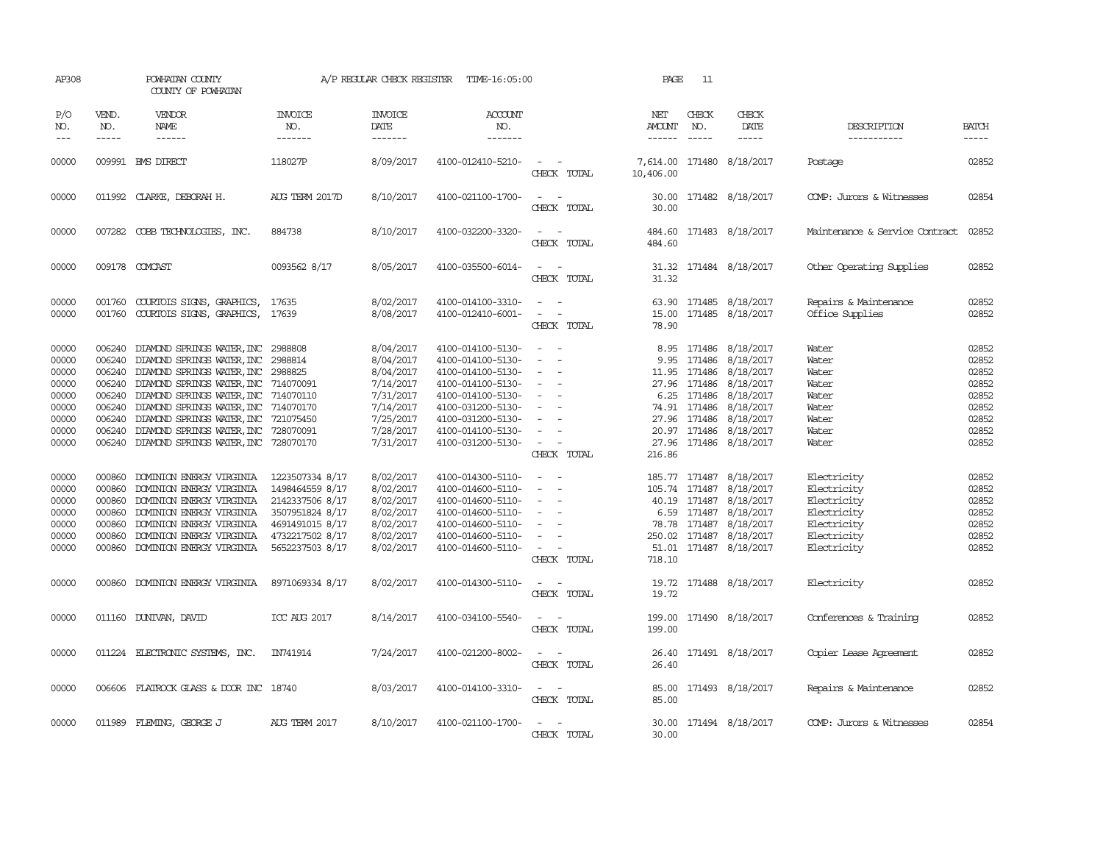| AP308                                                                         |                                                          | POWHATAN COUNTY<br>COUNTY OF POWHATAN                                                                                                                                                                                                                                                                            |                                                                                                                                   | A/P REGULAR CHECK REGISTER                                                                                        | TIME-16:05:00                                                                                                                                                                             |                                                                                                                             | PAGE                    | 11                                                                                    |                                                                                                                                                                          |                                                                                                       |                                                                               |
|-------------------------------------------------------------------------------|----------------------------------------------------------|------------------------------------------------------------------------------------------------------------------------------------------------------------------------------------------------------------------------------------------------------------------------------------------------------------------|-----------------------------------------------------------------------------------------------------------------------------------|-------------------------------------------------------------------------------------------------------------------|-------------------------------------------------------------------------------------------------------------------------------------------------------------------------------------------|-----------------------------------------------------------------------------------------------------------------------------|-------------------------|---------------------------------------------------------------------------------------|--------------------------------------------------------------------------------------------------------------------------------------------------------------------------|-------------------------------------------------------------------------------------------------------|-------------------------------------------------------------------------------|
| P/O<br>NO.<br>$---$                                                           | VEND.<br>NO.<br>$- - - - -$                              | VENDOR<br>NAME<br>------                                                                                                                                                                                                                                                                                         | <b>INVOICE</b><br>NO.<br>-------                                                                                                  | <b>INVOICE</b><br>DATE<br>-------                                                                                 | <b>ACCOUNT</b><br>NO.<br>-------                                                                                                                                                          |                                                                                                                             | NET<br>AMOUNT<br>------ | CHECK<br>NO.<br>$\frac{1}{2}$                                                         | CHECK<br>DATE<br>$\frac{1}{2}$                                                                                                                                           | DESCRIPTION<br>-----------                                                                            | <b>BATCH</b><br>-----                                                         |
| 00000                                                                         |                                                          | 009991 BMS DIRECT                                                                                                                                                                                                                                                                                                | 118027P                                                                                                                           | 8/09/2017                                                                                                         | 4100-012410-5210-                                                                                                                                                                         | $\overline{\phantom{a}}$<br>CHECK TOTAL                                                                                     | 7,614.00<br>10,406.00   |                                                                                       | 171480 8/18/2017                                                                                                                                                         | Postage                                                                                               | 02852                                                                         |
| 00000                                                                         |                                                          | 011992 CLARKE, DEBORAH H.                                                                                                                                                                                                                                                                                        | AUG TERM 2017D                                                                                                                    | 8/10/2017                                                                                                         | 4100-021100-1700-                                                                                                                                                                         | $\sim$<br>CHECK TOTAL                                                                                                       | 30.00<br>30.00          |                                                                                       | 171482 8/18/2017                                                                                                                                                         | COMP: Jurors & Witnesses                                                                              | 02854                                                                         |
| 00000                                                                         |                                                          | 007282 COBB TECHNOLOGIES, INC.                                                                                                                                                                                                                                                                                   | 884738                                                                                                                            | 8/10/2017                                                                                                         | 4100-032200-3320-                                                                                                                                                                         | $\equiv$<br>CHECK TOTAL                                                                                                     | 484.60<br>484.60        |                                                                                       | 171483 8/18/2017                                                                                                                                                         | Maintenance & Service Contract                                                                        | 02852                                                                         |
| 00000                                                                         |                                                          | 009178 COMCAST                                                                                                                                                                                                                                                                                                   | 0093562 8/17                                                                                                                      | 8/05/2017                                                                                                         | 4100-035500-6014-                                                                                                                                                                         | $\overline{\phantom{a}}$<br>CHECK TOTAL                                                                                     | 31.32                   |                                                                                       | 31.32 171484 8/18/2017                                                                                                                                                   | Other Operating Supplies                                                                              | 02852                                                                         |
| 00000<br>00000                                                                | 001760                                                   | COURTOIS SIGNS, GRAPHICS,<br>001760 COURTOIS SIGNS, GRAPHICS,                                                                                                                                                                                                                                                    | 17635<br>17639                                                                                                                    | 8/02/2017<br>8/08/2017                                                                                            | 4100-014100-3310-<br>4100-012410-6001-                                                                                                                                                    | $\sim$ $ \sim$<br>$\sim$<br>CHECK TOTAL                                                                                     | 15.00<br>78.90          |                                                                                       | 63.90 171485 8/18/2017<br>171485 8/18/2017                                                                                                                               | Repairs & Maintenance<br>Office Supplies                                                              | 02852<br>02852                                                                |
| 00000<br>00000<br>00000<br>00000<br>00000<br>00000<br>00000<br>00000<br>00000 | 006240<br>006240<br>006240<br>006240<br>006240           | DIAMOND SPRINGS WATER, INC<br>DIAMOND SPRINGS WATER, INC<br>006240 DIAMOND SPRINGS WATER, INC<br>006240 DIAMOND SPRINGS WATER, INC<br>DIAMOND SPRINGS WATER, INC<br>006240 DIAMOND SPRINGS WATER, INC<br>DIAMOND SPRINGS WATER, INC<br>DIAMOND SPRINGS WATER, INC<br>006240 DIAMOND SPRINGS WATER, INC 728070170 | 2988808<br>2988814<br>2988825<br>714070091<br>714070110<br>714070170<br>721075450<br>728070091                                    | 8/04/2017<br>8/04/2017<br>8/04/2017<br>7/14/2017<br>7/31/2017<br>7/14/2017<br>7/25/2017<br>7/28/2017<br>7/31/2017 | 4100-014100-5130-<br>4100-014100-5130-<br>4100-014100-5130-<br>4100-014100-5130-<br>4100-014100-5130-<br>4100-031200-5130-<br>4100-031200-5130-<br>4100-014100-5130-<br>4100-031200-5130- | $\sim$<br>$\sim$<br>$\overline{\phantom{a}}$<br>$\equiv$<br>$\sim$<br>CHECK TOTAL                                           | 8.95<br>9.95<br>216.86  | 171486<br>11.95 171486<br>27.96 171486<br>6.25 171486<br>74.91 171486<br>27.96 171486 | 171486 8/18/2017<br>8/18/2017<br>8/18/2017<br>8/18/2017<br>8/18/2017<br>8/18/2017<br>8/18/2017<br>20.97 171486 8/18/2017<br>27.96 171486 8/18/2017                       | Water<br>Water<br>Water<br>Water<br>Water<br>Water<br>Water<br>Water<br>Water                         | 02852<br>02852<br>02852<br>02852<br>02852<br>02852<br>02852<br>02852<br>02852 |
| 00000<br>00000<br>00000<br>00000<br>00000<br>00000<br>00000                   | 000860<br>000860<br>000860<br>000860<br>000860<br>000860 | DOMINION ENERGY VIRGINIA<br>DOMINION ENERGY VIRGINIA<br>DOMINION ENERGY VIRGINIA<br>DOMINION ENERGY VIRGINIA<br>DOMINION ENERGY VIRGINIA<br>DOMINION ENERGY VIRGINIA<br>000860 DOMINION ENERGY VIRGINIA                                                                                                          | 1223507334 8/17<br>1498464559 8/17<br>2142337506 8/17<br>3507951824 8/17<br>4691491015 8/17<br>4732217502 8/17<br>5652237503 8/17 | 8/02/2017<br>8/02/2017<br>8/02/2017<br>8/02/2017<br>8/02/2017<br>8/02/2017<br>8/02/2017                           | 4100-014300-5110-<br>4100-014600-5110-<br>4100-014600-5110-<br>4100-014600-5110-<br>4100-014600-5110-<br>4100-014600-5110-<br>4100-014600-5110-                                           | $\sim$<br>$\overline{\phantom{a}}$<br>$\overline{\phantom{a}}$<br>$\equiv$<br>$\sim$ 100 $\mu$<br>CHECK TOTAL               | 718.10                  | 6.59 171487                                                                           | 185.77 171487 8/18/2017<br>105.74 171487 8/18/2017<br>40.19 171487 8/18/2017<br>8/18/2017<br>78.78 171487 8/18/2017<br>250.02 171487 8/18/2017<br>51.01 171487 8/18/2017 | Electricity<br>Electricity<br>Electricity<br>Electricity<br>Electricity<br>Electricity<br>Electricity | 02852<br>02852<br>02852<br>02852<br>02852<br>02852<br>02852                   |
| 00000                                                                         |                                                          | 000860 DOMINION ENERGY VIRGINIA                                                                                                                                                                                                                                                                                  | 8971069334 8/17                                                                                                                   | 8/02/2017                                                                                                         | 4100-014300-5110-                                                                                                                                                                         | $\frac{1}{2} \left( \frac{1}{2} \right) \left( \frac{1}{2} \right) = \frac{1}{2} \left( \frac{1}{2} \right)$<br>CHECK TOTAL | 19.72                   |                                                                                       | 19.72 171488 8/18/2017                                                                                                                                                   | Electricity                                                                                           | 02852                                                                         |
| 00000                                                                         |                                                          | 011160 DUNIVAN, DAVID                                                                                                                                                                                                                                                                                            | ICC AUG 2017                                                                                                                      | 8/14/2017                                                                                                         | 4100-034100-5540-                                                                                                                                                                         | $\frac{1}{2} \left( \frac{1}{2} \right) \left( \frac{1}{2} \right) = \frac{1}{2} \left( \frac{1}{2} \right)$<br>CHECK TOTAL | 199.00<br>199.00        |                                                                                       | 171490 8/18/2017                                                                                                                                                         | Conferences & Training                                                                                | 02852                                                                         |
| 00000                                                                         |                                                          | 011224 ELECTRONIC SYSTEMS, INC.                                                                                                                                                                                                                                                                                  | IN741914                                                                                                                          | 7/24/2017                                                                                                         | 4100-021200-8002-                                                                                                                                                                         | $\frac{1}{2} \left( \frac{1}{2} \right) \left( \frac{1}{2} \right) = \frac{1}{2} \left( \frac{1}{2} \right)$<br>CHECK TOTAL | 26.40                   |                                                                                       | 26.40 171491 8/18/2017                                                                                                                                                   | Copier Lease Agreement                                                                                | 02852                                                                         |
| 00000                                                                         |                                                          | 006606 FLATROCK GLASS & DOOR INC 18740                                                                                                                                                                                                                                                                           |                                                                                                                                   | 8/03/2017                                                                                                         | 4100-014100-3310-                                                                                                                                                                         | $\frac{1}{2} \left( \frac{1}{2} \right) \left( \frac{1}{2} \right) = \frac{1}{2} \left( \frac{1}{2} \right)$<br>CHECK TOTAL | 85.00                   |                                                                                       | 85.00 171493 8/18/2017                                                                                                                                                   | Repairs & Maintenance                                                                                 | 02852                                                                         |
| 00000                                                                         |                                                          | 011989 FLEMING, GEORGE J                                                                                                                                                                                                                                                                                         | <b>AUG TERM 2017</b>                                                                                                              | 8/10/2017                                                                                                         | 4100-021100-1700-                                                                                                                                                                         | $\overline{\phantom{a}}$<br>CHECK TOTAL                                                                                     | 30.00                   |                                                                                       | 30.00 171494 8/18/2017                                                                                                                                                   | COMP: Jurors & Witnesses                                                                              | 02854                                                                         |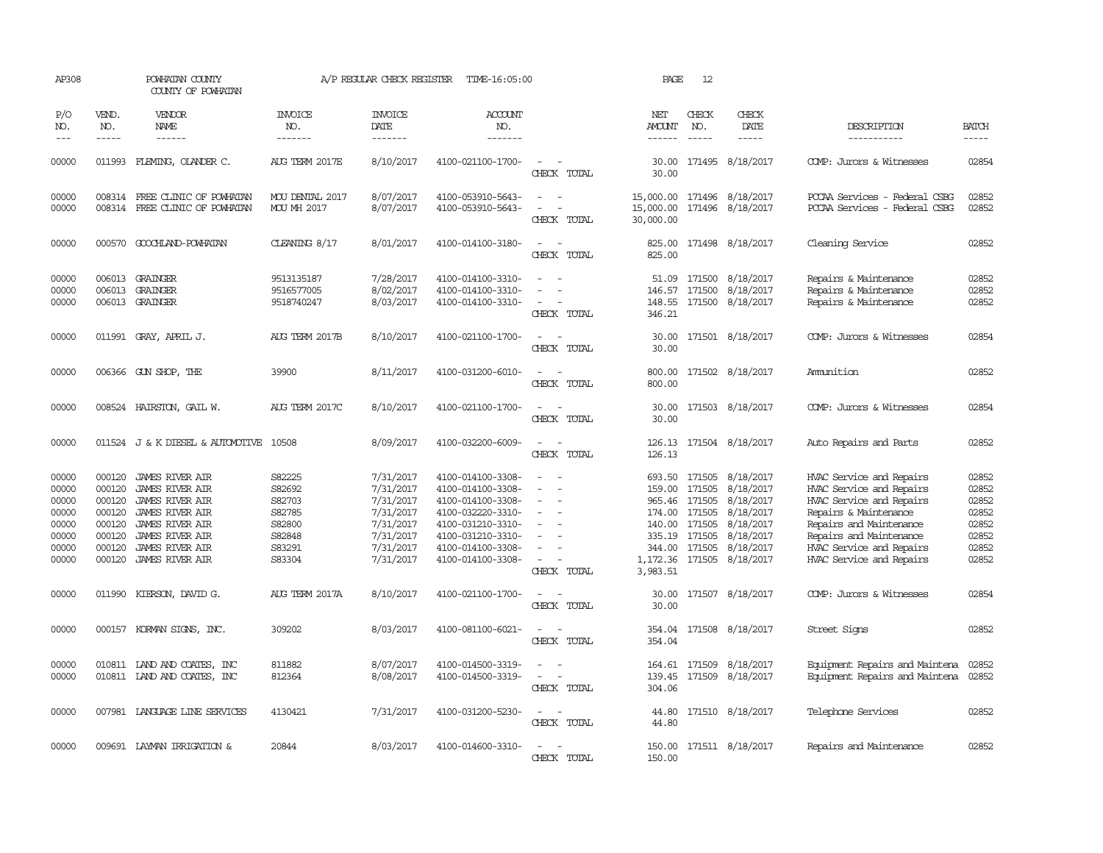| AP308                                                                |                                                                              | POWHATAN COUNTY<br>COUNTY OF POWHATAN                                                                                                                                                   |                                                                              | A/P REGULAR CHECK REGISTER                                                                           | TIME-16:05:00                                                                                                                                                        |                                                                               | PAGE                      | 12                            |                                                                                                                                                                                                           |                                                                                                                                                                                                                         |                                                                      |
|----------------------------------------------------------------------|------------------------------------------------------------------------------|-----------------------------------------------------------------------------------------------------------------------------------------------------------------------------------------|------------------------------------------------------------------------------|------------------------------------------------------------------------------------------------------|----------------------------------------------------------------------------------------------------------------------------------------------------------------------|-------------------------------------------------------------------------------|---------------------------|-------------------------------|-----------------------------------------------------------------------------------------------------------------------------------------------------------------------------------------------------------|-------------------------------------------------------------------------------------------------------------------------------------------------------------------------------------------------------------------------|----------------------------------------------------------------------|
| P/O<br>NO.<br>$---$                                                  | VEND.<br>NO.                                                                 | VENDOR<br>NAME<br>$- - - - - -$                                                                                                                                                         | <b>INVOICE</b><br>NO.<br>-------                                             | <b>INVOICE</b><br>DATE<br>$- - - - - - -$                                                            | <b>ACCOUNT</b><br>NO.<br>-------                                                                                                                                     |                                                                               | NET<br>AMOUNT<br>------   | CHECK<br>NO.<br>$\frac{1}{2}$ | CHECK<br>DATE<br>$- - - - -$                                                                                                                                                                              | DESCRIPTION<br>-----------                                                                                                                                                                                              | <b>BATCH</b><br>-----                                                |
| 00000                                                                |                                                                              | 011993 FLEMING, OLANDER C.                                                                                                                                                              | AUG TERM 2017E                                                               | 8/10/2017                                                                                            | 4100-021100-1700-                                                                                                                                                    | $\sim$<br>CHECK TOTAL                                                         | 30.00                     |                               | 30.00 171495 8/18/2017                                                                                                                                                                                    | COMP: Jurors & Witnesses                                                                                                                                                                                                | 02854                                                                |
| 00000<br>00000                                                       | 008314                                                                       | FREE CLINIC OF POWHATAN<br>008314 FREE CLINIC OF POWHATAN                                                                                                                               | MOU DENTAL 2017<br>MOU MH 2017                                               | 8/07/2017<br>8/07/2017                                                                               | 4100-053910-5643-<br>4100-053910-5643-                                                                                                                               | $\equiv$<br>$\equiv$<br>CHECK TOTAL                                           | 15,000.00<br>30,000.00    |                               | 15,000.00 171496 8/18/2017<br>171496 8/18/2017                                                                                                                                                            | PCCAA Services - Federal CSBG<br>PCCAA Services - Federal CSBG                                                                                                                                                          | 02852<br>02852                                                       |
| 00000                                                                |                                                                              | 000570 GOOCHLAND-POWHATAN                                                                                                                                                               | CLEANING 8/17                                                                | 8/01/2017                                                                                            | 4100-014100-3180-                                                                                                                                                    | $\sim$<br>CHECK TOTAL                                                         | 825.00                    |                               | 825.00 171498 8/18/2017                                                                                                                                                                                   | Cleaning Service                                                                                                                                                                                                        | 02852                                                                |
| 00000<br>00000<br>00000                                              |                                                                              | 006013 GRAINGER<br>006013 GRAINGER<br>006013 GRAINGER                                                                                                                                   | 9513135187<br>9516577005<br>9518740247                                       | 7/28/2017<br>8/02/2017<br>8/03/2017                                                                  | 4100-014100-3310-<br>4100-014100-3310-<br>4100-014100-3310-                                                                                                          | $\sim$<br>$\overline{\phantom{a}}$<br>CHECK TOTAL                             | 51.09<br>148.55<br>346.21 |                               | 171500 8/18/2017<br>146.57 171500 8/18/2017<br>171500 8/18/2017                                                                                                                                           | Repairs & Maintenance<br>Repairs & Maintenance<br>Repairs & Maintenance                                                                                                                                                 | 02852<br>02852<br>02852                                              |
| 00000                                                                |                                                                              | 011991 GRAY, APRIL J.                                                                                                                                                                   | AUG TERM 2017B                                                               | 8/10/2017                                                                                            | 4100-021100-1700-                                                                                                                                                    | $\sim$<br>CHECK TOTAL                                                         | 30.00<br>30.00            |                               | 171501 8/18/2017                                                                                                                                                                                          | COMP: Jurors & Witnesses                                                                                                                                                                                                | 02854                                                                |
| 00000                                                                |                                                                              | 006366 GUN SHOP, THE                                                                                                                                                                    | 39900                                                                        | 8/11/2017                                                                                            | 4100-031200-6010-                                                                                                                                                    | CHECK TOTAL                                                                   | 800.00<br>800.00          |                               | 171502 8/18/2017                                                                                                                                                                                          | Ammition                                                                                                                                                                                                                | 02852                                                                |
| 00000                                                                |                                                                              | 008524 HAIRSTON, GAIL W.                                                                                                                                                                | AUG TERM 2017C                                                               | 8/10/2017                                                                                            | 4100-021100-1700-                                                                                                                                                    | $\sim$ $\sim$<br>CHECK TOTAL                                                  | 30.00<br>30.00            |                               | 171503 8/18/2017                                                                                                                                                                                          | COMP: Jurors & Witnesses                                                                                                                                                                                                | 02854                                                                |
| 00000                                                                |                                                                              | 011524 J & K DIESEL & AUTOMOTIVE 10508                                                                                                                                                  |                                                                              | 8/09/2017                                                                                            | 4100-032200-6009-                                                                                                                                                    | CHECK TOTAL                                                                   | 126.13                    |                               | 126.13 171504 8/18/2017                                                                                                                                                                                   | Auto Repairs and Parts                                                                                                                                                                                                  | 02852                                                                |
| 00000<br>00000<br>00000<br>00000<br>00000<br>00000<br>00000<br>00000 | 000120<br>000120<br>000120<br>000120<br>000120<br>000120<br>000120<br>000120 | JAMES RIVER AIR<br>JAMES RIVER AIR<br>JAMES RIVER AIR<br><b>JAMES RIVER AIR</b><br><b>JAMES RIVER AIR</b><br><b>JAMES RIVER AIR</b><br><b>JAMES RIVER AIR</b><br><b>JAMES RIVER AIR</b> | S82225<br>S82692<br>S82703<br>S82785<br>S82800<br>S82848<br>S83291<br>S83304 | 7/31/2017<br>7/31/2017<br>7/31/2017<br>7/31/2017<br>7/31/2017<br>7/31/2017<br>7/31/2017<br>7/31/2017 | 4100-014100-3308-<br>4100-014100-3308-<br>4100-014100-3308-<br>4100-032220-3310-<br>4100-031210-3310-<br>4100-031210-3310-<br>4100-014100-3308-<br>4100-014100-3308- | $\overline{\phantom{a}}$<br>$\overline{\phantom{a}}$<br>$\sim$<br>CHECK TOTAL | 3,983.51                  | 174.00 171505                 | 693.50 171505 8/18/2017<br>159.00 171505 8/18/2017<br>965.46 171505 8/18/2017<br>8/18/2017<br>140.00 171505 8/18/2017<br>335.19 171505 8/18/2017<br>344.00 171505 8/18/2017<br>1, 172.36 171505 8/18/2017 | HVAC Service and Repairs<br>HVAC Service and Repairs<br>HVAC Service and Repairs<br>Repairs & Maintenance<br>Repairs and Maintenance<br>Repairs and Maintenance<br>HVAC Service and Repairs<br>HVAC Service and Repairs | 02852<br>02852<br>02852<br>02852<br>02852<br>02852<br>02852<br>02852 |
| 00000                                                                | 011990                                                                       | KIERSON, DAVID G.                                                                                                                                                                       | AUG TERM 2017A                                                               | 8/10/2017                                                                                            | 4100-021100-1700-                                                                                                                                                    | $\overline{\phantom{a}}$<br>CHECK TOTAL                                       | 30.00<br>30.00            |                               | 171507 8/18/2017                                                                                                                                                                                          | COMP: Jurors & Witnesses                                                                                                                                                                                                | 02854                                                                |
| 00000                                                                |                                                                              | 000157 KORMAN SIGNS, INC.                                                                                                                                                               | 309202                                                                       | 8/03/2017                                                                                            | 4100-081100-6021-                                                                                                                                                    | $\overline{\phantom{a}}$<br>CHECK TOTAL                                       | 354.04                    |                               | 354.04 171508 8/18/2017                                                                                                                                                                                   | Street Signs                                                                                                                                                                                                            | 02852                                                                |
| 00000<br>00000                                                       |                                                                              | 010811 LAND AND COATES, INC<br>010811 LAND AND COATES, INC                                                                                                                              | 811882<br>812364                                                             | 8/07/2017<br>8/08/2017                                                                               | 4100-014500-3319-<br>4100-014500-3319-                                                                                                                               | $\sim$<br>CHECK TOTAL                                                         | 139.45<br>304.06          |                               | 164.61 171509 8/18/2017<br>171509 8/18/2017                                                                                                                                                               | Equipment Repairs and Maintena<br>Equipment Repairs and Maintena                                                                                                                                                        | 02852<br>02852                                                       |
| 00000                                                                |                                                                              | 007981 LANGUAGE LINE SERVICES                                                                                                                                                           | 4130421                                                                      | 7/31/2017                                                                                            | 4100-031200-5230-                                                                                                                                                    | CHECK TOTAL                                                                   | 44.80<br>44.80            |                               | 171510 8/18/2017                                                                                                                                                                                          | Telephone Services                                                                                                                                                                                                      | 02852                                                                |
| 00000                                                                |                                                                              | 009691 LAYMAN IRRIGATION &                                                                                                                                                              | 20844                                                                        | 8/03/2017                                                                                            | 4100-014600-3310-                                                                                                                                                    | $\sim$<br>CHECK TOTAL                                                         | 150.00                    |                               | 150.00 171511 8/18/2017                                                                                                                                                                                   | Repairs and Maintenance                                                                                                                                                                                                 | 02852                                                                |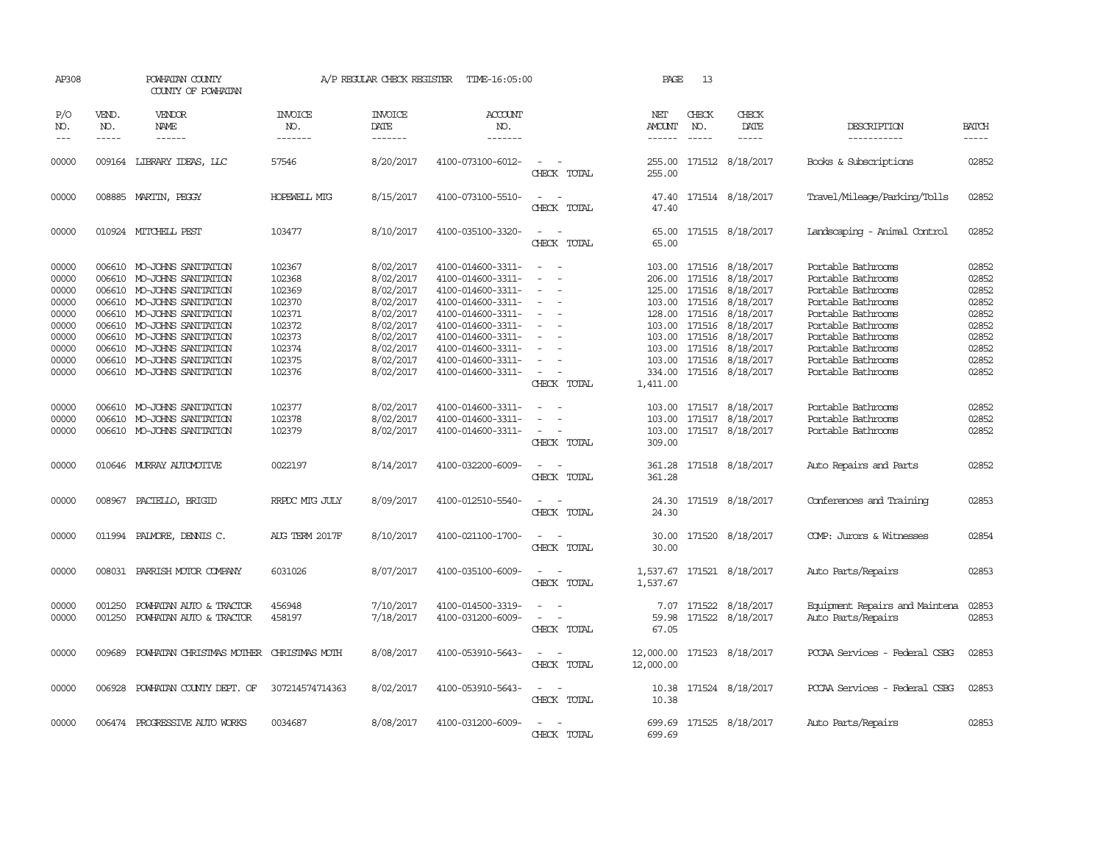| AP308                                                                                  |                             | POWHATAN COUNTY<br>COUNTY OF POWHATAN                                                                                                                                                                                                                                                      |                                                                                                  | A/P REGULAR CHECK REGISTER                                                                                                     | TIME-16:05:00                                                                                                                                                                                                  |                                                                                                                                                                                             | PAGE                                             | 13                            |                                                                                                                                                                                                                                                |                                                                                                                                                                                                                          |                                                                                        |
|----------------------------------------------------------------------------------------|-----------------------------|--------------------------------------------------------------------------------------------------------------------------------------------------------------------------------------------------------------------------------------------------------------------------------------------|--------------------------------------------------------------------------------------------------|--------------------------------------------------------------------------------------------------------------------------------|----------------------------------------------------------------------------------------------------------------------------------------------------------------------------------------------------------------|---------------------------------------------------------------------------------------------------------------------------------------------------------------------------------------------|--------------------------------------------------|-------------------------------|------------------------------------------------------------------------------------------------------------------------------------------------------------------------------------------------------------------------------------------------|--------------------------------------------------------------------------------------------------------------------------------------------------------------------------------------------------------------------------|----------------------------------------------------------------------------------------|
| P/O<br>NO.<br>$--$                                                                     | VEND.<br>NO.<br>$- - - - -$ | VENDOR<br>NAME<br>$- - - - - -$                                                                                                                                                                                                                                                            | <b>INVOICE</b><br>NO.<br>-------                                                                 | <b>INVOICE</b><br>DATE<br>-------                                                                                              | <b>ACCOUNT</b><br>NO.<br>-------                                                                                                                                                                               |                                                                                                                                                                                             | NET<br>AMOUNT<br>------                          | CHECK<br>NO.<br>$\frac{1}{2}$ | CHECK<br>DATE<br>-----                                                                                                                                                                                                                         | DESCRIPTION<br>-----------                                                                                                                                                                                               | <b>BATCH</b><br>-----                                                                  |
| 00000                                                                                  | 009164                      | LIBRARY IDEAS, LLC                                                                                                                                                                                                                                                                         | 57546                                                                                            | 8/20/2017                                                                                                                      | 4100-073100-6012-                                                                                                                                                                                              | $\sim$<br>CHECK TOTAL                                                                                                                                                                       | 255.00<br>255.00                                 |                               | 171512 8/18/2017                                                                                                                                                                                                                               | Books & Subscriptions                                                                                                                                                                                                    | 02852                                                                                  |
| 00000                                                                                  |                             | 008885 MARTIN, PEGGY                                                                                                                                                                                                                                                                       | HOPEWELL MIG                                                                                     | 8/15/2017                                                                                                                      | 4100-073100-5510-                                                                                                                                                                                              | $\equiv$<br>CHECK TOTAL                                                                                                                                                                     | 47.40<br>47.40                                   |                               | 171514 8/18/2017                                                                                                                                                                                                                               | Travel/Mileage/Parking/Tolls                                                                                                                                                                                             | 02852                                                                                  |
| 00000                                                                                  |                             | 010924 MITCHELL PEST                                                                                                                                                                                                                                                                       | 103477                                                                                           | 8/10/2017                                                                                                                      | 4100-035100-3320-                                                                                                                                                                                              | $\equiv$<br>CHECK TOTAL                                                                                                                                                                     | 65.00<br>65.00                                   |                               | 171515 8/18/2017                                                                                                                                                                                                                               | Landscaping - Animal Control                                                                                                                                                                                             | 02852                                                                                  |
| 00000<br>00000<br>00000<br>00000<br>00000<br>00000<br>00000<br>00000<br>00000<br>00000 | 006610<br>006610            | 006610 MO-JOHNS SANITATION<br>MO-JOHNS SANITATION<br>006610 MO-JOHNS SANITATION<br>006610 MO-JOHNS SANITATION<br>006610 MO-JOHNS SANITATION<br>006610 MO-JOHNS SANITATION<br>MO-JOHNS SANITATION<br>006610 MO-JOHNS SANITATION<br>006610 MO-JOHNS SANITATION<br>006610 MO-JOHNS SANITATION | 102367<br>102368<br>102369<br>102370<br>102371<br>102372<br>102373<br>102374<br>102375<br>102376 | 8/02/2017<br>8/02/2017<br>8/02/2017<br>8/02/2017<br>8/02/2017<br>8/02/2017<br>8/02/2017<br>8/02/2017<br>8/02/2017<br>8/02/2017 | 4100-014600-3311-<br>4100-014600-3311-<br>4100-014600-3311-<br>4100-014600-3311-<br>4100-014600-3311-<br>4100-014600-3311-<br>4100-014600-3311-<br>4100-014600-3311-<br>4100-014600-3311-<br>4100-014600-3311- | $\sim$<br>$\equiv$<br>$\overline{\phantom{a}}$<br>$\overline{\phantom{a}}$<br>$\equiv$<br>$\overline{\phantom{a}}$<br>$\equiv$<br>$\overline{\phantom{a}}$<br>$\sim$ 10 $\,$<br>CHECK TOTAL | 206.00<br>128.00<br>103.00<br>334.00<br>1,411.00 |                               | 103.00 171516 8/18/2017<br>171516 8/18/2017<br>125.00 171516 8/18/2017<br>103.00 171516 8/18/2017<br>171516 8/18/2017<br>103.00 171516 8/18/2017<br>103.00 171516 8/18/2017<br>171516 8/18/2017<br>103.00 171516 8/18/2017<br>171516 8/18/2017 | Portable Bathrooms<br>Portable Bathrooms<br>Portable Bathrooms<br>Portable Bathrooms<br>Portable Bathrooms<br>Portable Bathrooms<br>Portable Bathrooms<br>Portable Bathrooms<br>Portable Bathrooms<br>Portable Bathrooms | 02852<br>02852<br>02852<br>02852<br>02852<br>02852<br>02852<br>02852<br>02852<br>02852 |
| 00000<br>00000<br>00000                                                                | 006610<br>006610            | MO-JOHNS SANITATION<br>MO-JOHNS SANITATION<br>006610 MO-JOHNS SANITATION                                                                                                                                                                                                                   | 102377<br>102378<br>102379                                                                       | 8/02/2017<br>8/02/2017<br>8/02/2017                                                                                            | 4100-014600-3311-<br>4100-014600-3311-<br>4100-014600-3311-                                                                                                                                                    | $\sim$<br>$\overline{\phantom{a}}$<br>$\overline{a}$<br>$\overline{\phantom{a}}$<br>CHECK TOTAL                                                                                             | 103.00<br>103.00<br>309.00                       |                               | 103.00 171517 8/18/2017<br>171517 8/18/2017<br>171517 8/18/2017                                                                                                                                                                                | Portable Bathrooms<br>Portable Bathrooms<br>Portable Bathrooms                                                                                                                                                           | 02852<br>02852<br>02852                                                                |
| 00000                                                                                  |                             | 010646 MURRAY AUTOMOTTVE                                                                                                                                                                                                                                                                   | 0022197                                                                                          | 8/14/2017                                                                                                                      | 4100-032200-6009-                                                                                                                                                                                              | $\overline{\phantom{a}}$<br>CHECK TOTAL                                                                                                                                                     | 361.28<br>361.28                                 |                               | 171518 8/18/2017                                                                                                                                                                                                                               | Auto Repairs and Parts                                                                                                                                                                                                   | 02852                                                                                  |
| 00000                                                                                  | 008967                      | PACIELLO, BRIGID                                                                                                                                                                                                                                                                           | RRPDC MTG JULY                                                                                   | 8/09/2017                                                                                                                      | 4100-012510-5540-                                                                                                                                                                                              | CHECK TOTAL                                                                                                                                                                                 | 24.30<br>24.30                                   |                               | 171519 8/18/2017                                                                                                                                                                                                                               | Conferences and Training                                                                                                                                                                                                 | 02853                                                                                  |
| 00000                                                                                  |                             | 011994 PALMORE, DENNIS C.                                                                                                                                                                                                                                                                  | AUG TERM 2017F                                                                                   | 8/10/2017                                                                                                                      | 4100-021100-1700-                                                                                                                                                                                              | $\equiv$<br>CHECK TOTAL                                                                                                                                                                     | 30.00<br>30.00                                   |                               | 171520 8/18/2017                                                                                                                                                                                                                               | COMP: Jurors & Witnesses                                                                                                                                                                                                 | 02854                                                                                  |
| 00000                                                                                  |                             | 008031 PARRISH MOTOR COMPANY                                                                                                                                                                                                                                                               | 6031026                                                                                          | 8/07/2017                                                                                                                      | 4100-035100-6009-                                                                                                                                                                                              | CHECK TOTAL                                                                                                                                                                                 | 1,537.67                                         |                               | 1,537.67 171521 8/18/2017                                                                                                                                                                                                                      | Auto Parts/Repairs                                                                                                                                                                                                       | 02853                                                                                  |
| 00000<br>00000                                                                         | 001250<br>001250            | POWHATAN AUTO & TRACTOR<br>POWHATAN AUTO & TRACTOR                                                                                                                                                                                                                                         | 456948<br>458197                                                                                 | 7/10/2017<br>7/18/2017                                                                                                         | 4100-014500-3319-<br>4100-031200-6009-                                                                                                                                                                         | $\equiv$<br>$\overline{\phantom{a}}$<br>CHECK TOTAL                                                                                                                                         | 7.07<br>59.98<br>67.05                           |                               | 171522 8/18/2017<br>171522 8/18/2017                                                                                                                                                                                                           | Equipment Repairs and Maintena<br>Auto Parts/Repairs                                                                                                                                                                     | 02853<br>02853                                                                         |
| 00000                                                                                  | 009689                      | POWHATAN CHRISTMAS MOTHER                                                                                                                                                                                                                                                                  | CHRISTMAS MOTH                                                                                   | 8/08/2017                                                                                                                      | 4100-053910-5643-                                                                                                                                                                                              | $\overline{\phantom{a}}$<br>CHECK TOTAL                                                                                                                                                     | 12,000.00<br>12,000.00                           |                               | 171523 8/18/2017                                                                                                                                                                                                                               | PCCAA Services - Federal CSBG                                                                                                                                                                                            | 02853                                                                                  |
| 00000                                                                                  | 006928                      | POWHATAN COUNTY DEPT. OF                                                                                                                                                                                                                                                                   | 307214574714363                                                                                  | 8/02/2017                                                                                                                      | 4100-053910-5643-                                                                                                                                                                                              | $\sim$<br>CHECK TOTAL                                                                                                                                                                       | 10.38<br>10.38                                   |                               | 171524 8/18/2017                                                                                                                                                                                                                               | PCCAA Services - Federal CSBG                                                                                                                                                                                            | 02853                                                                                  |
| 00000                                                                                  |                             | 006474 PROGRESSIVE AUTO WORKS                                                                                                                                                                                                                                                              | 0034687                                                                                          | 8/08/2017                                                                                                                      | 4100-031200-6009-                                                                                                                                                                                              | CHECK TOTAL                                                                                                                                                                                 | 699.69                                           |                               | 699.69 171525 8/18/2017                                                                                                                                                                                                                        | Auto Parts/Repairs                                                                                                                                                                                                       | 02853                                                                                  |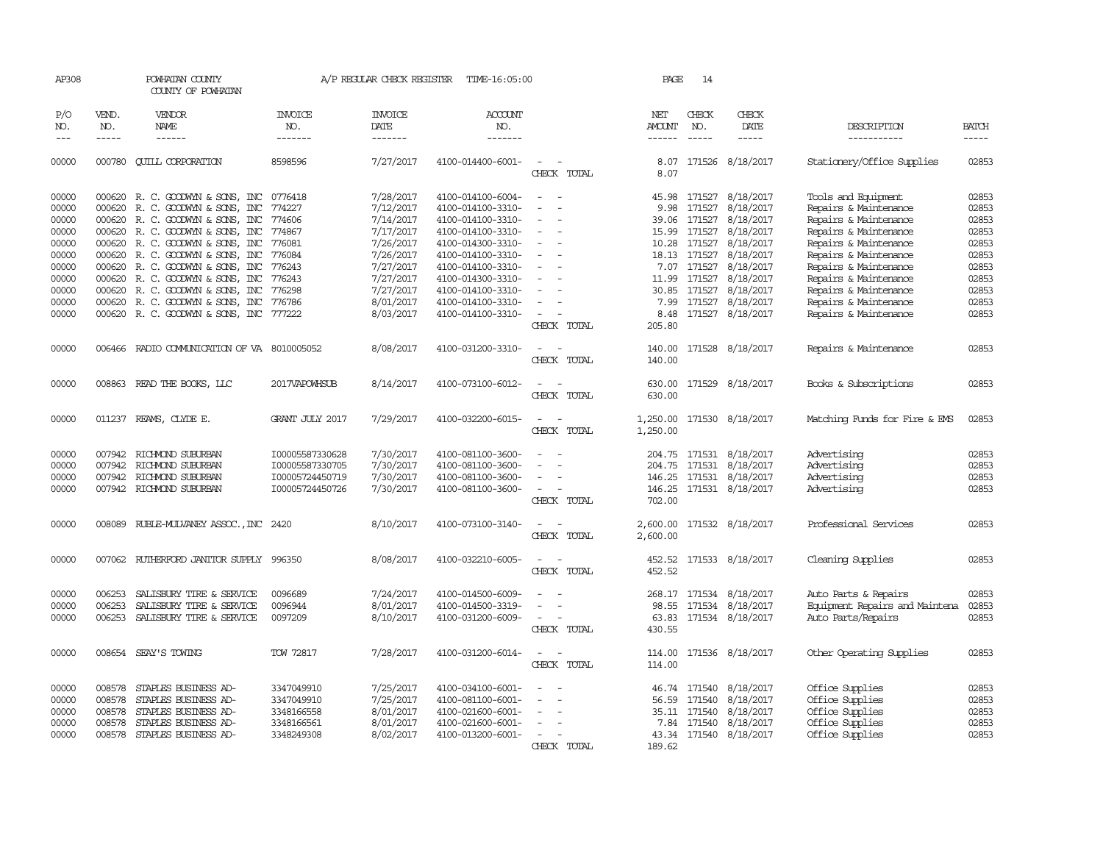| AP308          |                  | POWHATAN COUNTY<br>COUNTY OF POWHATAN        |                          | A/P REGULAR CHECK REGISTER    | TIME-16:05:00                          |                                         | PAGE                 | 14                     |                           |                                    |                |
|----------------|------------------|----------------------------------------------|--------------------------|-------------------------------|----------------------------------------|-----------------------------------------|----------------------|------------------------|---------------------------|------------------------------------|----------------|
| P/O<br>NO.     | VEND.<br>NO.     | VENDOR<br><b>NAME</b>                        | <b>INVOICE</b><br>NO.    | <b>INVOICE</b><br><b>DATE</b> | <b>ACCOUNT</b><br>NO.                  |                                         | NET<br><b>AMOUNT</b> | CHECK<br>NO.           | CHECK<br>DATE             | DESCRIPTION                        | <b>BATCH</b>   |
| $---$          | $- - - - -$      | ------                                       | -------                  | -------                       | -------                                |                                         | $- - - - - -$        | $\frac{1}{2}$          | $- - - - -$               | -----------                        | -----          |
| 00000          |                  | 000780 CUILL CORPORATION                     | 8598596                  | 7/27/2017                     | 4100-014400-6001-                      | $\overline{\phantom{a}}$<br>CHECK TOTAL | 8.07<br>8.07         | 171526                 | 8/18/2017                 | Stationery/Office Supplies         | 02853          |
| 00000          |                  | 000620 R. C. GOODWIN & SONS, INC             | 0776418                  | 7/28/2017                     | 4100-014100-6004-                      | $\sim$<br>$\overline{\phantom{a}}$      |                      | 45.98 171527           | 8/18/2017                 | Tools and Equipment                | 02853          |
| 00000          |                  | 000620 R.C. GOODWYN & SONS, INC              | 774227                   | 7/12/2017                     | 4100-014100-3310-                      | $\equiv$<br>$\overline{a}$              | 9.98                 | 171527                 | 8/18/2017                 | Repairs & Maintenance              | 02853          |
| 00000          |                  | 000620 R.C. GOODWYN & SONS, INC              | 774606                   | 7/14/2017                     | 4100-014100-3310-                      | $\sim$                                  | 39.06                | 171527                 | 8/18/2017                 | Repairs & Maintenance              | 02853          |
| 00000          |                  | 000620 R. C. GOODWIN & SONS, INC             | 774867                   | 7/17/2017                     | 4100-014100-3310-                      | $\sim$                                  | 15.99                | 171527                 | 8/18/2017                 | Repairs & Maintenance              | 02853          |
| 00000          |                  | 000620 R. C. GOODWYN & SONS, INC             | 776081                   | 7/26/2017                     | 4100-014300-3310-                      | $\overline{\phantom{a}}$                | 10.28                | 171527                 | 8/18/2017                 | Repairs & Maintenance              | 02853          |
| 00000          |                  | 000620 R.C. GOODWYN & SONS, INC              | 776084                   | 7/26/2017                     | 4100-014100-3310-                      | $\equiv$                                | 18.13                | 171527                 | 8/18/2017                 | Repairs & Maintenance              | 02853          |
| 00000          |                  | 000620 R. C. GOODWIN & SONS, INC             | 776243                   | 7/27/2017                     | 4100-014100-3310-                      |                                         |                      | 7.07 171527            | 8/18/2017                 | Repairs & Maintenance              | 02853          |
| 00000          |                  | 000620 R. C. GOODWYN & SONS, INC             | 776243                   | 7/27/2017                     | 4100-014300-3310-                      | $\equiv$<br>$\sim$                      |                      | 11.99 171527           | 8/18/2017                 | Repairs & Maintenance              | 02853          |
| 00000          |                  | 000620 R. C. GOODWIN & SONS, INC             | 776298                   | 7/27/2017                     | 4100-014100-3310-                      |                                         | 30.85                | 171527                 | 8/18/2017                 | Repairs & Maintenance              | 02853          |
| 00000          |                  | 000620 R. C. GOODWYN & SONS, INC             | 776786                   | 8/01/2017                     | 4100-014100-3310-                      |                                         | 7.99                 | 171527                 | 8/18/2017                 | Repairs & Maintenance              | 02853          |
| 00000          |                  | 000620 R. C. GOODWYN & SONS, INC 777222      |                          | 8/03/2017                     | 4100-014100-3310-                      | $\sim$                                  | 8.48                 |                        | 171527 8/18/2017          | Repairs & Maintenance              | 02853          |
|                |                  |                                              |                          |                               |                                        | CHECK TOTAL                             | 205.80               |                        |                           |                                    |                |
| 00000          |                  | 006466 RADIO COMMUNICATION OF VA 8010005052  |                          | 8/08/2017                     | 4100-031200-3310-                      | $\sim$                                  | 140.00               |                        | 171528 8/18/2017          | Repairs & Maintenance              | 02853          |
|                |                  |                                              |                          |                               |                                        | CHECK TOTAL                             | 140.00               |                        |                           |                                    |                |
| 00000          |                  | 008863 READ THE BOOKS, LLC                   | 2017VAPOWHSUB            | 8/14/2017                     | 4100-073100-6012-                      |                                         | 630.00               |                        | 171529 8/18/2017          | Books & Subscriptions              | 02853          |
|                |                  |                                              |                          |                               |                                        | CHECK TOTAL                             | 630.00               |                        |                           |                                    |                |
|                |                  |                                              |                          |                               |                                        |                                         |                      |                        |                           |                                    |                |
| 00000          |                  | 011237 REAMS, CLYDE E.                       | GRANT JULY 2017          | 7/29/2017                     | 4100-032200-6015-                      | $\overline{\phantom{a}}$<br>CHECK TOTAL |                      |                        | 1,250.00 171530 8/18/2017 | Matching Funds for Fire & EMS      | 02853          |
|                |                  |                                              |                          |                               |                                        |                                         | 1,250.00             |                        |                           |                                    |                |
| 00000          | 007942           | RICHMOND SUBURBAN                            | I00005587330628          | 7/30/2017                     | 4100-081100-3600-                      |                                         | 204.75 171531        |                        | 8/18/2017                 | Advertising                        | 02853          |
| 00000          |                  | 007942 RICHMOND SUBURBAN                     | I00005587330705          | 7/30/2017                     | 4100-081100-3600-                      |                                         | 204.75               | 171531                 | 8/18/2017                 | Advertising                        | 02853          |
| 00000          |                  | 007942 RICHMOND SUBURBAN                     | I00005724450719          | 7/30/2017                     | 4100-081100-3600-                      | $\equiv$                                |                      |                        | 146.25 171531 8/18/2017   | Advertising                        | 02853          |
| 00000          |                  | 007942 RICHMOND SUBURBAN                     | I00005724450726          | 7/30/2017                     | 4100-081100-3600-                      | $\sim$                                  | 146.25               |                        | 171531 8/18/2017          | Advertising                        | 02853          |
|                |                  |                                              |                          |                               |                                        | CHECK TOTAL                             | 702.00               |                        |                           |                                    |                |
| 00000          |                  | 008089 RUBLE-MULVANEY ASSOC., INC 2420       |                          | 8/10/2017                     | 4100-073100-3140-                      | $\overline{\phantom{a}}$                | 2,600.00             |                        | 171532 8/18/2017          | Professional Services              | 02853          |
|                |                  |                                              |                          |                               |                                        | CHECK TOTAL                             | 2,600.00             |                        |                           |                                    |                |
| 00000          |                  | 007062 RUIHERFORD JANITOR SUPPLY 996350      |                          | 8/08/2017                     | 4100-032210-6005-                      | $\overline{\phantom{a}}$                | 452.52               |                        | 171533 8/18/2017          | Cleaning Supplies                  | 02853          |
|                |                  |                                              |                          |                               |                                        | CHECK TOTAL                             | 452.52               |                        |                           |                                    |                |
|                |                  |                                              |                          |                               |                                        |                                         |                      |                        |                           |                                    |                |
| 00000          | 006253           | SALISBURY TIRE & SERVICE                     | 0096689                  | 7/24/2017                     | 4100-014500-6009-                      | $\overline{\phantom{a}}$<br>$\equiv$    |                      |                        | 268.17 171534 8/18/2017   | Auto Parts & Repairs               | 02853          |
| 00000          | 006253           | SALISBURY TIRE & SERVICE                     | 0096944                  | 8/01/2017                     | 4100-014500-3319-                      | $\sim$                                  | 98.55                | 171534                 | 8/18/2017                 | Equipment Repairs and Maintena     | 02853          |
| 00000          | 006253           | SALISBURY TIRE & SERVICE                     | 0097209                  | 8/10/2017                     | 4100-031200-6009-                      | $\overline{\phantom{a}}$                | 63.83                |                        | 171534 8/18/2017          | Auto Parts/Repairs                 | 02853          |
|                |                  |                                              |                          |                               |                                        | CHECK TOTAL                             | 430.55               |                        |                           |                                    |                |
| 00000          | 008654           | SEAY'S TOWING                                | <b>TOW 72817</b>         | 7/28/2017                     | 4100-031200-6014-                      |                                         | 114.00               |                        | 171536 8/18/2017          | Other Operating Supplies           | 02853          |
|                |                  |                                              |                          |                               |                                        | CHECK TOTAL                             | 114.00               |                        |                           |                                    |                |
|                |                  |                                              |                          |                               |                                        |                                         |                      |                        |                           |                                    |                |
| 00000<br>00000 | 008578<br>008578 | STAPLES BUSINESS AD-                         | 3347049910<br>3347049910 | 7/25/2017<br>7/25/2017        | 4100-034100-6001-<br>4100-081100-6001- |                                         | 46.74                | 171540                 | 8/18/2017<br>8/18/2017    | Office Supplies<br>Office Supplies | 02853<br>02853 |
| 00000          | 008578           | STAPLES BUSINESS AD-<br>STAPLES BUSINESS AD- | 3348166558               | 8/01/2017                     | 4100-021600-6001-                      | $\equiv$                                | 56.59                | 171540<br>35.11 171540 | 8/18/2017                 | Office Supplies                    | 02853          |
| 00000          | 008578           | STAPLES BUSINESS AD-                         | 3348166561               | 8/01/2017                     | 4100-021600-6001-                      | $\equiv$                                | 7.84                 | 171540                 | 8/18/2017                 | Office Supplies                    | 02853          |
| 00000          |                  | 008578 STAPLES BUSINESS AD-                  | 3348249308               | 8/02/2017                     | 4100-013200-6001-                      | $\overline{\phantom{a}}$                |                      |                        | 43.34 171540 8/18/2017    | Office Supplies                    | 02853          |
|                |                  |                                              |                          |                               |                                        | CHECK TOTAL                             | 189.62               |                        |                           |                                    |                |
|                |                  |                                              |                          |                               |                                        |                                         |                      |                        |                           |                                    |                |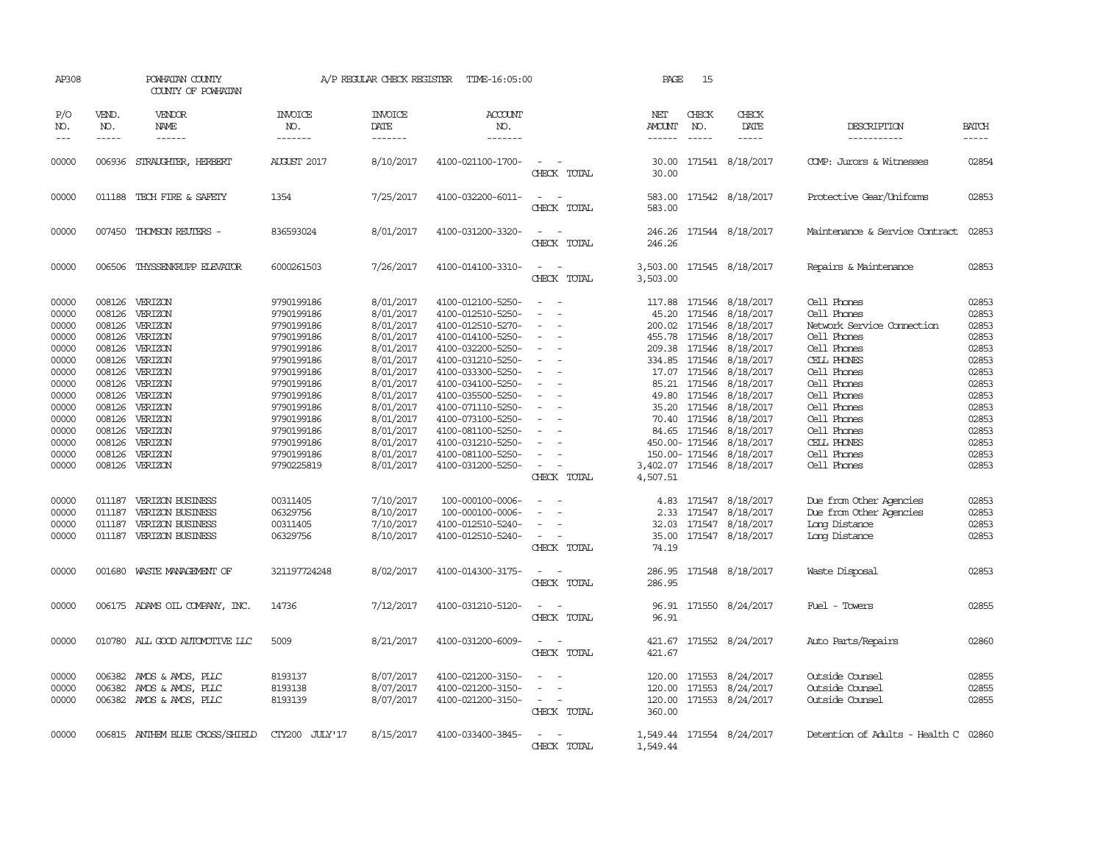| AP308                                                                                                                                                                   |                                                                                                                                                              | POWHATAN COUNTY<br>COUNTY OF POWHATAN                                                                                                                                                                                                                                  |                                                                                                                                                                                                                                                                | A/P REGULAR CHECK REGISTER                                                                                                                                                                                                                          | TIME-16:05:00                                                                                                                                                                                                                                                                                                                                                                                             |                                                                                                                                                                              | PAGE                                                                                       | 15                                         |                                                                                                                                                                                                                                                                                                                                                                                                                                |                                                                                                                                                                                                                                                                                                                                      |                                                                                                                                                                         |
|-------------------------------------------------------------------------------------------------------------------------------------------------------------------------|--------------------------------------------------------------------------------------------------------------------------------------------------------------|------------------------------------------------------------------------------------------------------------------------------------------------------------------------------------------------------------------------------------------------------------------------|----------------------------------------------------------------------------------------------------------------------------------------------------------------------------------------------------------------------------------------------------------------|-----------------------------------------------------------------------------------------------------------------------------------------------------------------------------------------------------------------------------------------------------|-----------------------------------------------------------------------------------------------------------------------------------------------------------------------------------------------------------------------------------------------------------------------------------------------------------------------------------------------------------------------------------------------------------|------------------------------------------------------------------------------------------------------------------------------------------------------------------------------|--------------------------------------------------------------------------------------------|--------------------------------------------|--------------------------------------------------------------------------------------------------------------------------------------------------------------------------------------------------------------------------------------------------------------------------------------------------------------------------------------------------------------------------------------------------------------------------------|--------------------------------------------------------------------------------------------------------------------------------------------------------------------------------------------------------------------------------------------------------------------------------------------------------------------------------------|-------------------------------------------------------------------------------------------------------------------------------------------------------------------------|
| P/O<br>NO.<br>$---$                                                                                                                                                     | VEND.<br>NO.<br>$- - - - -$                                                                                                                                  | VENDOR<br><b>NAME</b><br>------                                                                                                                                                                                                                                        | <b>INVOICE</b><br>NO.<br>-------                                                                                                                                                                                                                               | <b>INVOICE</b><br>DATE<br>-------                                                                                                                                                                                                                   | <b>ACCOUNT</b><br>NO.<br>-------                                                                                                                                                                                                                                                                                                                                                                          |                                                                                                                                                                              | <b>NET</b><br>AMOUNT<br>------                                                             | CHECK<br>NO.                               | CHECK<br>DATE<br>$- - - - -$                                                                                                                                                                                                                                                                                                                                                                                                   | DESCRIPTION<br>-----------                                                                                                                                                                                                                                                                                                           | <b>BATCH</b><br>-----                                                                                                                                                   |
| 00000                                                                                                                                                                   | 006936                                                                                                                                                       | STRAUGHTER, HERBERT                                                                                                                                                                                                                                                    | <b>AUGUST 2017</b>                                                                                                                                                                                                                                             | 8/10/2017                                                                                                                                                                                                                                           | 4100-021100-1700-                                                                                                                                                                                                                                                                                                                                                                                         | $\sim$<br>CHECK TOTAL                                                                                                                                                        | 30.00<br>30.00                                                                             |                                            | 171541 8/18/2017                                                                                                                                                                                                                                                                                                                                                                                                               | COMP: Jurors & Witnesses                                                                                                                                                                                                                                                                                                             | 02854                                                                                                                                                                   |
| 00000                                                                                                                                                                   |                                                                                                                                                              | 011188 TECH FIRE & SAFETY                                                                                                                                                                                                                                              | 1354                                                                                                                                                                                                                                                           | 7/25/2017                                                                                                                                                                                                                                           | 4100-032200-6011-                                                                                                                                                                                                                                                                                                                                                                                         | $\overline{\phantom{a}}$<br>CHECK TOTAL                                                                                                                                      | 583.00<br>583.00                                                                           |                                            | 171542 8/18/2017                                                                                                                                                                                                                                                                                                                                                                                                               | Protective Gear/Uniforms                                                                                                                                                                                                                                                                                                             | 02853                                                                                                                                                                   |
| 00000                                                                                                                                                                   |                                                                                                                                                              | 007450 THOMSON REUTERS -                                                                                                                                                                                                                                               | 836593024                                                                                                                                                                                                                                                      | 8/01/2017                                                                                                                                                                                                                                           | 4100-031200-3320-                                                                                                                                                                                                                                                                                                                                                                                         | $\equiv$<br>CHECK TOTAL                                                                                                                                                      | 246.26                                                                                     |                                            | 246.26 171544 8/18/2017                                                                                                                                                                                                                                                                                                                                                                                                        | Maintenance & Service Contract                                                                                                                                                                                                                                                                                                       | 02853                                                                                                                                                                   |
| 00000                                                                                                                                                                   |                                                                                                                                                              | 006506 THYSSENKRUPP ELEVATOR                                                                                                                                                                                                                                           | 6000261503                                                                                                                                                                                                                                                     | 7/26/2017                                                                                                                                                                                                                                           | 4100-014100-3310-                                                                                                                                                                                                                                                                                                                                                                                         | $\sim$<br>$\sim$<br>CHECK TOTAL                                                                                                                                              | 3,503.00                                                                                   |                                            | 3,503.00 171545 8/18/2017                                                                                                                                                                                                                                                                                                                                                                                                      | Repairs & Maintenance                                                                                                                                                                                                                                                                                                                | 02853                                                                                                                                                                   |
| 00000<br>00000<br>00000<br>00000<br>00000<br>00000<br>00000<br>00000<br>00000<br>00000<br>00000<br>00000<br>00000<br>00000<br>00000<br>00000<br>00000<br>00000<br>00000 | 008126<br>008126<br>008126<br>008126<br>008126<br>008126<br>008126<br>008126<br>008126<br>008126<br>008126<br>008126<br>008126<br>011187<br>011187<br>011187 | VERIZON<br>008126 VERIZON<br>VERIZON<br>VERIZON<br>VERIZON<br>VERIZON<br>VERIZON<br>VERIZON<br>VERIZON<br>VERIZON<br>VERIZON<br>VERIZON<br>VERIZON<br>VERIZON<br>008126 VERIZON<br>VERIZON BUSINESS<br>VERIZON BUSINESS<br>VERIZON BUSINESS<br>011187 VERIZON BUSINESS | 9790199186<br>9790199186<br>9790199186<br>9790199186<br>9790199186<br>9790199186<br>9790199186<br>9790199186<br>9790199186<br>9790199186<br>9790199186<br>9790199186<br>9790199186<br>9790199186<br>9790225819<br>00311405<br>06329756<br>00311405<br>06329756 | 8/01/2017<br>8/01/2017<br>8/01/2017<br>8/01/2017<br>8/01/2017<br>8/01/2017<br>8/01/2017<br>8/01/2017<br>8/01/2017<br>8/01/2017<br>8/01/2017<br>8/01/2017<br>8/01/2017<br>8/01/2017<br>8/01/2017<br>7/10/2017<br>8/10/2017<br>7/10/2017<br>8/10/2017 | 4100-012100-5250-<br>4100-012510-5250-<br>4100-012510-5270-<br>4100-014100-5250-<br>4100-032200-5250-<br>4100-031210-5250-<br>4100-033300-5250-<br>4100-034100-5250-<br>4100-035500-5250-<br>4100-071110-5250-<br>4100-073100-5250-<br>4100-081100-5250-<br>4100-031210-5250-<br>4100-081100-5250-<br>4100-031200-5250-<br>100-000100-0006-<br>100-000100-0006-<br>4100-012510-5240-<br>4100-012510-5240- | $\equiv$<br>$\equiv$<br>$\equiv$<br>$\equiv$<br>$\equiv$<br>$\sim$<br>$\sim$<br>$\equiv$<br>$\equiv$<br>$\sim$<br>$\sim$<br>CHECK TOTAL<br>$\equiv$<br>$\sim$<br>CHECK TOTAL | 117.88<br>45.20<br>200.02<br>334.85<br>35.20<br>4,507.51<br>4.83<br>2.33<br>32.03<br>74.19 | 171546<br>450.00- 171546<br>150.00- 171546 | 171546 8/18/2017<br>171546 8/18/2017<br>171546 8/18/2017<br>455.78 171546 8/18/2017<br>209.38 171546 8/18/2017<br>171546 8/18/2017<br>17.07 171546 8/18/2017<br>85.21 171546 8/18/2017<br>49.80 171546 8/18/2017<br>8/18/2017<br>70.40 171546 8/18/2017<br>84.65 171546 8/18/2017<br>8/18/2017<br>8/18/2017<br>3,402.07 171546 8/18/2017<br>171547 8/18/2017<br>171547 8/18/2017<br>171547 8/18/2017<br>35.00 171547 8/18/2017 | Cell Phones<br>Cell Phones<br>Network Service Connection<br>Cell Phones<br>Cell Phones<br>CELL PHONES<br>Cell Phones<br>Cell Phones<br>Cell Phones<br>Cell Phones<br>Cell Phones<br>Cell Phones<br>CELL PHONES<br>Cell Phones<br>Cell Phones<br>Due from Other Agencies<br>Due from Other Agencies<br>Long Distance<br>Long Distance | 02853<br>02853<br>02853<br>02853<br>02853<br>02853<br>02853<br>02853<br>02853<br>02853<br>02853<br>02853<br>02853<br>02853<br>02853<br>02853<br>02853<br>02853<br>02853 |
| 00000                                                                                                                                                                   |                                                                                                                                                              | 001680 WASTE MANAGEMENT OF                                                                                                                                                                                                                                             | 321197724248                                                                                                                                                                                                                                                   | 8/02/2017                                                                                                                                                                                                                                           | 4100-014300-3175-                                                                                                                                                                                                                                                                                                                                                                                         | $\overline{\phantom{a}}$<br>CHECK TOTAL                                                                                                                                      | 286.95<br>286.95                                                                           |                                            | 171548 8/18/2017                                                                                                                                                                                                                                                                                                                                                                                                               | Waste Disposal                                                                                                                                                                                                                                                                                                                       | 02853                                                                                                                                                                   |
| 00000                                                                                                                                                                   |                                                                                                                                                              | 006175 ADAMS OIL COMPANY, INC.                                                                                                                                                                                                                                         | 14736                                                                                                                                                                                                                                                          | 7/12/2017                                                                                                                                                                                                                                           | 4100-031210-5120-                                                                                                                                                                                                                                                                                                                                                                                         | $\overline{\phantom{a}}$<br>CHECK TOTAL                                                                                                                                      | 96.91<br>96.91                                                                             |                                            | 171550 8/24/2017                                                                                                                                                                                                                                                                                                                                                                                                               | Fuel - Towers                                                                                                                                                                                                                                                                                                                        | 02855                                                                                                                                                                   |
| 00000                                                                                                                                                                   |                                                                                                                                                              | 010780 ALL GOOD AUTOMOTTVE LLC                                                                                                                                                                                                                                         | 5009                                                                                                                                                                                                                                                           | 8/21/2017                                                                                                                                                                                                                                           | 4100-031200-6009-                                                                                                                                                                                                                                                                                                                                                                                         | $\equiv$<br>CHECK TOTAL                                                                                                                                                      | 421.67<br>421.67                                                                           |                                            | 171552 8/24/2017                                                                                                                                                                                                                                                                                                                                                                                                               | Auto Parts/Repairs                                                                                                                                                                                                                                                                                                                   | 02860                                                                                                                                                                   |
| 00000<br>00000<br>00000                                                                                                                                                 | 006382<br>006382                                                                                                                                             | AMOS & AMOS, PLLC<br>AMOS & AMOS, PLLC<br>006382 AMOS & AMOS, PLLC                                                                                                                                                                                                     | 8193137<br>8193138<br>8193139                                                                                                                                                                                                                                  | 8/07/2017<br>8/07/2017<br>8/07/2017                                                                                                                                                                                                                 | 4100-021200-3150-<br>4100-021200-3150-<br>4100-021200-3150-                                                                                                                                                                                                                                                                                                                                               | $\equiv$<br>$\equiv$<br>$\overline{\phantom{a}}$<br>CHECK TOTAL                                                                                                              | 120.00<br>120.00<br>360.00                                                                 | 171553                                     | 171553 8/24/2017<br>8/24/2017<br>120.00 171553 8/24/2017                                                                                                                                                                                                                                                                                                                                                                       | Outside Counsel<br>Outside Counsel<br>Outside Counsel                                                                                                                                                                                                                                                                                | 02855<br>02855<br>02855                                                                                                                                                 |
| 00000                                                                                                                                                                   |                                                                                                                                                              | 006815 ANTHEM BLUE CROSS/SHIELD                                                                                                                                                                                                                                        | CTY200 JULY'17                                                                                                                                                                                                                                                 | 8/15/2017                                                                                                                                                                                                                                           | 4100-033400-3845-                                                                                                                                                                                                                                                                                                                                                                                         | CHECK TOTAL                                                                                                                                                                  | 1,549.44                                                                                   |                                            | 1,549.44 171554 8/24/2017                                                                                                                                                                                                                                                                                                                                                                                                      | Detention of Adults - Health C 02860                                                                                                                                                                                                                                                                                                 |                                                                                                                                                                         |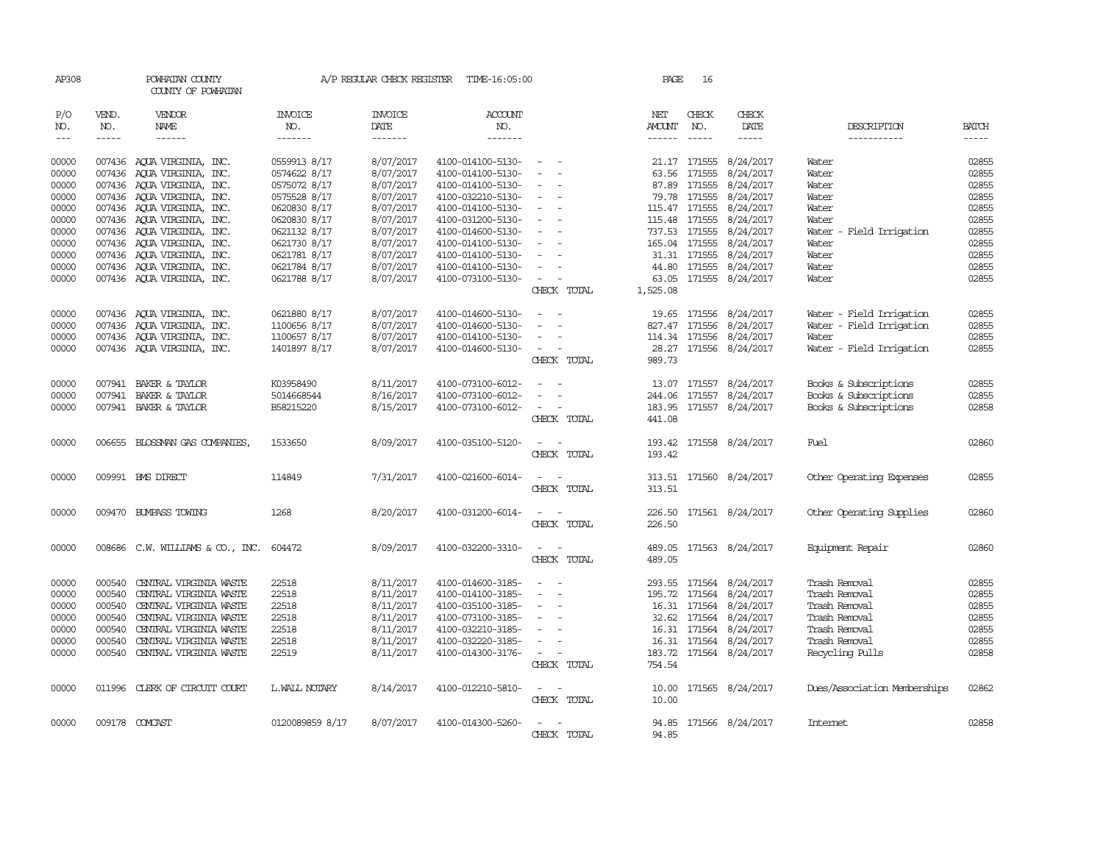| AP308               |                  | POWHATAN COUNTY<br>COUNTY OF POWHATAN |                 | A/P REGULAR CHECK REGISTER | TIME-16:05:00     |                                      | PAGE          | 16            |                                                                                                                                                                                                                                                                                                                                                                                                                                                         |                              |              |
|---------------------|------------------|---------------------------------------|-----------------|----------------------------|-------------------|--------------------------------------|---------------|---------------|---------------------------------------------------------------------------------------------------------------------------------------------------------------------------------------------------------------------------------------------------------------------------------------------------------------------------------------------------------------------------------------------------------------------------------------------------------|------------------------------|--------------|
| P/O                 | VEND.            | VENDOR                                | <b>INVOICE</b>  | <b>INVOICE</b>             | <b>ACCOUNT</b>    |                                      | NET           | CHECK         | CHECK                                                                                                                                                                                                                                                                                                                                                                                                                                                   |                              |              |
| NO.                 | NO.              | NAME                                  | NO.             | DATE                       | NO.               |                                      | AMOUNT        | NO.           | DATE                                                                                                                                                                                                                                                                                                                                                                                                                                                    | DESCRIPTION                  | <b>BATCH</b> |
| $\qquad \qquad - -$ | $- - - - -$      | ------                                | -------         | -------                    | -------           |                                      | $- - - - - -$ | $- - - - -$   | $\begin{tabular}{ccccc} \multicolumn{2}{c }{\multicolumn{2}{c }{\multicolumn{2}{c }{\multicolumn{2}{c}}{\hspace{-2.2cm}}}} \multicolumn{2}{c }{\multicolumn{2}{c }{\hspace{-2.2cm}}\hline} \multicolumn{2}{c }{\hspace{-2.2cm}}\hline \multicolumn{2}{c }{\hspace{-2.2cm}}\hline \multicolumn{2}{c }{\hspace{-2.2cm}}\hline \multicolumn{2}{c }{\hspace{-2.2cm}}\hline \multicolumn{2}{c }{\hspace{-2.2cm}}\hline \multicolumn{2}{c }{\hspace{-2.2cm}}$ | -----------                  | -----        |
| 00000               |                  | 007436 AOUA VIRGINIA, INC.            | 0559913 8/17    | 8/07/2017                  | 4100-014100-5130- | $\sim$                               |               | 21.17 171555  | 8/24/2017                                                                                                                                                                                                                                                                                                                                                                                                                                               | Water                        | 02855        |
| 00000               |                  | 007436 AQUA VIRGINIA, INC.            | 0574622 8/17    | 8/07/2017                  | 4100-014100-5130- | $\overline{a}$                       |               | 63.56 171555  | 8/24/2017                                                                                                                                                                                                                                                                                                                                                                                                                                               | Water                        | 02855        |
| 00000               |                  | 007436 AOUA VIRGINIA, INC.            | 0575072 8/17    | 8/07/2017                  | 4100-014100-5130- | $\overline{\phantom{a}}$             |               | 87.89 171555  | 8/24/2017                                                                                                                                                                                                                                                                                                                                                                                                                                               | Water                        | 02855        |
| 00000               |                  | 007436 AQUA VIRGINIA, INC.            | 0575528 8/17    | 8/07/2017                  | 4100-032210-5130- | $\sim$                               |               | 79.78 171555  | 8/24/2017                                                                                                                                                                                                                                                                                                                                                                                                                                               | Water                        | 02855        |
| 00000               |                  | 007436 AQUA VIRGINIA, INC.            | 0620830 8/17    | 8/07/2017                  | 4100-014100-5130- | $\overline{\phantom{a}}$             |               | 115.47 171555 | 8/24/2017                                                                                                                                                                                                                                                                                                                                                                                                                                               | Water                        | 02855        |
| 00000               |                  | 007436 AQUA VIRGINIA, INC.            | 0620830 8/17    | 8/07/2017                  | 4100-031200-5130- | $\overline{\phantom{a}}$             |               | 115.48 171555 | 8/24/2017                                                                                                                                                                                                                                                                                                                                                                                                                                               | Water                        | 02855        |
| 00000               |                  | 007436 AQUA VIRGINIA, INC.            | 0621132 8/17    | 8/07/2017                  | 4100-014600-5130- | $\sim$                               |               | 737.53 171555 | 8/24/2017                                                                                                                                                                                                                                                                                                                                                                                                                                               | Water - Field Irrigation     | 02855        |
| 00000               |                  | 007436 AOUA VIRGINIA, INC.            | 0621730 8/17    | 8/07/2017                  | 4100-014100-5130- | $\overline{\phantom{a}}$             |               | 165.04 171555 | 8/24/2017                                                                                                                                                                                                                                                                                                                                                                                                                                               | Water                        | 02855        |
|                     |                  |                                       |                 |                            |                   | $\overline{\phantom{a}}$             |               |               |                                                                                                                                                                                                                                                                                                                                                                                                                                                         |                              |              |
| 00000               |                  | 007436 AQUA VIRGINIA, INC.            | 0621781 8/17    | 8/07/2017                  | 4100-014100-5130- |                                      |               | 31.31 171555  | 8/24/2017                                                                                                                                                                                                                                                                                                                                                                                                                                               | Water                        | 02855        |
| 00000               |                  | 007436 AQUA VIRGINIA, INC.            | 0621784 8/17    | 8/07/2017                  | 4100-014100-5130- | $\overline{\phantom{a}}$             | 44.80         | 171555        | 8/24/2017                                                                                                                                                                                                                                                                                                                                                                                                                                               | Water                        | 02855        |
| 00000               |                  | 007436 AQUA VIRGINIA, INC.            | 0621788 8/17    | 8/07/2017                  | 4100-073100-5130- | $\sim$ $ \sim$                       | 63.05         |               | 171555 8/24/2017                                                                                                                                                                                                                                                                                                                                                                                                                                        | Water                        | 02855        |
|                     |                  |                                       |                 |                            |                   | CHECK TOTAL                          | 1,525.08      |               |                                                                                                                                                                                                                                                                                                                                                                                                                                                         |                              |              |
| 00000               | 007436           | AOUA VIRGINIA, INC.                   | 0621880 8/17    | 8/07/2017                  | 4100-014600-5130- |                                      | 19.65         | 171556        | 8/24/2017                                                                                                                                                                                                                                                                                                                                                                                                                                               | Water - Field Irrigation     | 02855        |
| 00000               | 007436           | AQUA VIRGINIA, INC.                   | 1100656 8/17    | 8/07/2017                  | 4100-014600-5130- |                                      |               | 827.47 171556 | 8/24/2017                                                                                                                                                                                                                                                                                                                                                                                                                                               | Water - Field Irrigation     | 02855        |
| 00000               |                  | 007436 AOUA VIRGINIA, INC.            | 1100657 8/17    | 8/07/2017                  | 4100-014100-5130- | $\sim$<br>$\sim$                     |               | 114.34 171556 | 8/24/2017                                                                                                                                                                                                                                                                                                                                                                                                                                               | Water                        | 02855        |
| 00000               |                  | 007436 AQUA VIRGINIA, INC.            | 1401897 8/17    | 8/07/2017                  | 4100-014600-5130- | $\overline{\phantom{a}}$             |               | 28.27 171556  | 8/24/2017                                                                                                                                                                                                                                                                                                                                                                                                                                               | Water - Field Irrigation     | 02855        |
|                     |                  |                                       |                 |                            |                   | CHECK TOTAL                          | 989.73        |               |                                                                                                                                                                                                                                                                                                                                                                                                                                                         |                              |              |
|                     |                  |                                       |                 |                            |                   |                                      |               |               |                                                                                                                                                                                                                                                                                                                                                                                                                                                         |                              |              |
| 00000               |                  | 007941 BAKER & TAYLOR                 | K03958490       | 8/11/2017                  | 4100-073100-6012- | $\overline{a}$                       | 13.07         | 171557        | 8/24/2017                                                                                                                                                                                                                                                                                                                                                                                                                                               | Books & Subscriptions        | 02855        |
| 00000               | 007941           | BAKER & TAYLOR                        | 5014668544      | 8/16/2017                  | 4100-073100-6012- |                                      |               | 244.06 171557 | 8/24/2017                                                                                                                                                                                                                                                                                                                                                                                                                                               | Books & Subscriptions        | 02855        |
| 00000               |                  | 007941 BAKER & TAYLOR                 | B58215220       | 8/15/2017                  | 4100-073100-6012- | $\overline{\phantom{a}}$<br>$\equiv$ |               |               | 183.95 171557 8/24/2017                                                                                                                                                                                                                                                                                                                                                                                                                                 | Books & Subscriptions        | 02858        |
|                     |                  |                                       |                 |                            |                   | CHECK TOTAL                          | 441.08        |               |                                                                                                                                                                                                                                                                                                                                                                                                                                                         |                              |              |
|                     |                  |                                       |                 |                            |                   |                                      |               |               |                                                                                                                                                                                                                                                                                                                                                                                                                                                         |                              |              |
| 00000               |                  | 006655 BLOSSMAN GAS COMPANIES         | 1533650         | 8/09/2017                  | 4100-035100-5120- | $\overline{\phantom{a}}$             |               |               | 193.42 171558 8/24/2017                                                                                                                                                                                                                                                                                                                                                                                                                                 | Fuel                         | 02860        |
|                     |                  |                                       |                 |                            |                   | CHECK TOTAL                          | 193.42        |               |                                                                                                                                                                                                                                                                                                                                                                                                                                                         |                              |              |
| 00000               |                  | 009991 BMS DIRECT                     | 114849          | 7/31/2017                  | 4100-021600-6014- |                                      |               |               | 313.51 171560 8/24/2017                                                                                                                                                                                                                                                                                                                                                                                                                                 | Other Operating Expenses     | 02855        |
|                     |                  |                                       |                 |                            |                   | CHECK TOTAL                          | 313.51        |               |                                                                                                                                                                                                                                                                                                                                                                                                                                                         |                              |              |
|                     |                  |                                       |                 |                            |                   |                                      |               |               |                                                                                                                                                                                                                                                                                                                                                                                                                                                         |                              |              |
| 00000               |                  | 009470 BUMPASS TOWING                 | 1268            | 8/20/2017                  | 4100-031200-6014- | $\overline{\phantom{a}}$<br>$\sim$   |               |               | 226.50 171561 8/24/2017                                                                                                                                                                                                                                                                                                                                                                                                                                 | Other Operating Supplies     | 02860        |
|                     |                  |                                       |                 |                            |                   | CHECK TOTAL                          | 226.50        |               |                                                                                                                                                                                                                                                                                                                                                                                                                                                         |                              |              |
|                     |                  |                                       |                 |                            |                   |                                      |               |               |                                                                                                                                                                                                                                                                                                                                                                                                                                                         |                              |              |
| 00000               |                  | 008686 C.W. WILLIAMS & CO., INC.      | 604472          | 8/09/2017                  | 4100-032200-3310- | $\sim$<br>$\sim$                     |               |               | 489.05 171563 8/24/2017                                                                                                                                                                                                                                                                                                                                                                                                                                 | Equipment Repair             | 02860        |
|                     |                  |                                       |                 |                            |                   | CHECK TOTAL                          | 489.05        |               |                                                                                                                                                                                                                                                                                                                                                                                                                                                         |                              |              |
| 00000               | 000540           | CENTRAL VIRGINIA WASTE                | 22518           | 8/11/2017                  | 4100-014600-3185- | $\sim$<br>$\sim$                     |               |               | 293.55 171564 8/24/2017                                                                                                                                                                                                                                                                                                                                                                                                                                 | Trash Removal                | 02855        |
|                     | 000540           | CENTRAL VIRGINIA WASTE                | 22518           | 8/11/2017                  | 4100-014100-3185- | $\overline{\phantom{a}}$<br>$\sim$   |               | 195.72 171564 | 8/24/2017                                                                                                                                                                                                                                                                                                                                                                                                                                               | Trash Removal                | 02855        |
| 00000               |                  |                                       |                 |                            |                   | $\sim$                               |               |               |                                                                                                                                                                                                                                                                                                                                                                                                                                                         |                              |              |
| 00000<br>00000      | 000540<br>000540 | CENTRAL VIRGINIA WASTE                | 22518           | 8/11/2017                  | 4100-035100-3185- | $\equiv$                             |               | 16.31 171564  | 8/24/2017                                                                                                                                                                                                                                                                                                                                                                                                                                               | Trash Removal                | 02855        |
|                     |                  | CENTRAL VIRGINIA WASTE                | 22518           | 8/11/2017                  | 4100-073100-3185- |                                      |               |               | 32.62 171564 8/24/2017                                                                                                                                                                                                                                                                                                                                                                                                                                  | Trash Removal                | 02855        |
| 00000               | 000540           | CENTRAL VIRGINIA WASTE                | 22518           | 8/11/2017                  | 4100-032210-3185- | $\overline{\phantom{a}}$             |               | 16.31 171564  | 8/24/2017                                                                                                                                                                                                                                                                                                                                                                                                                                               | Trash Removal                | 02855        |
| 00000               | 000540           | CENTRAL VIRGINIA WASTE                | 22518           | 8/11/2017                  | 4100-032220-3185- | $\overline{\phantom{a}}$             | 16.31         | 171564        | 8/24/2017                                                                                                                                                                                                                                                                                                                                                                                                                                               | Trash Removal                | 02855        |
| 00000               |                  | 000540 CENTRAL VIRGINIA WASTE         | 22519           | 8/11/2017                  | 4100-014300-3176- | $\sim$ $\sim$                        |               |               | 183.72 171564 8/24/2017                                                                                                                                                                                                                                                                                                                                                                                                                                 | Recycling Pulls              | 02858        |
|                     |                  |                                       |                 |                            |                   | CHECK TOTAL                          | 754.54        |               |                                                                                                                                                                                                                                                                                                                                                                                                                                                         |                              |              |
| 00000               |                  | 011996 CLERK OF CIRCUIT COURT         | L.WALL NOTARY   | 8/14/2017                  | 4100-012210-5810- |                                      |               |               | 10.00 171565 8/24/2017                                                                                                                                                                                                                                                                                                                                                                                                                                  | Dues/Association Memberships | 02862        |
|                     |                  |                                       |                 |                            |                   | CHECK TOTAL                          | 10.00         |               |                                                                                                                                                                                                                                                                                                                                                                                                                                                         |                              |              |
|                     |                  |                                       |                 |                            |                   |                                      |               |               |                                                                                                                                                                                                                                                                                                                                                                                                                                                         |                              |              |
| 00000               |                  | 009178 COMCAST                        | 0120089859 8/17 | 8/07/2017                  | 4100-014300-5260- |                                      |               |               | 94.85 171566 8/24/2017                                                                                                                                                                                                                                                                                                                                                                                                                                  | <b>Internet</b>              | 02858        |
|                     |                  |                                       |                 |                            |                   | CHECK TOTAL                          | 94.85         |               |                                                                                                                                                                                                                                                                                                                                                                                                                                                         |                              |              |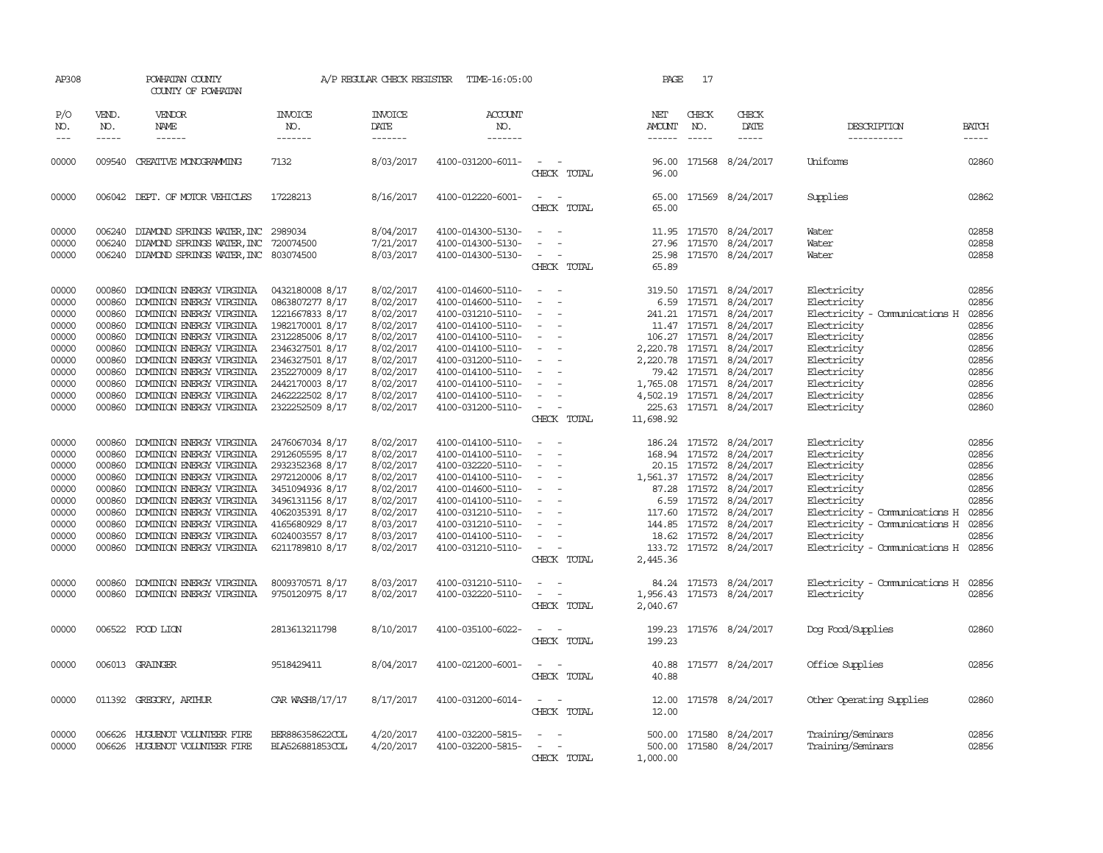| ALJUU                                                                                           |                                                                                        | EVILLEN WANII<br>COUNTY OF POWHATAN                                                                                                                                                                                                                                                                                            |                                                                                                                                                                                                               |                                                                                                                                             | ALL MEGOLIAN CHECK NEGLOLEN A LIME-10.00.00                                                                                                                                                                                         |                                                                                                                                                                                                                                                         | ---                     |                                                                                                                                                                                                                                                                                                                                                                                                              |                                                                                                                                                                                                                                                                                                           |                                                                                                                                                                                                                |                                                                                                 |
|-------------------------------------------------------------------------------------------------|----------------------------------------------------------------------------------------|--------------------------------------------------------------------------------------------------------------------------------------------------------------------------------------------------------------------------------------------------------------------------------------------------------------------------------|---------------------------------------------------------------------------------------------------------------------------------------------------------------------------------------------------------------|---------------------------------------------------------------------------------------------------------------------------------------------|-------------------------------------------------------------------------------------------------------------------------------------------------------------------------------------------------------------------------------------|---------------------------------------------------------------------------------------------------------------------------------------------------------------------------------------------------------------------------------------------------------|-------------------------|--------------------------------------------------------------------------------------------------------------------------------------------------------------------------------------------------------------------------------------------------------------------------------------------------------------------------------------------------------------------------------------------------------------|-----------------------------------------------------------------------------------------------------------------------------------------------------------------------------------------------------------------------------------------------------------------------------------------------------------|----------------------------------------------------------------------------------------------------------------------------------------------------------------------------------------------------------------|-------------------------------------------------------------------------------------------------|
| P/O<br>NO.<br>$---$                                                                             | VEND.<br>NO.<br>-----                                                                  | <b>VENDOR</b><br>NAME<br>$- - - - - -$                                                                                                                                                                                                                                                                                         | <b>INVOICE</b><br>NO.<br>-------                                                                                                                                                                              | <b>INVOICE</b><br>DATE<br>-------                                                                                                           | <b>ACCOUNT</b><br>NO.<br>$- - - - - - -$                                                                                                                                                                                            |                                                                                                                                                                                                                                                         | NET<br>AMOUNT<br>------ | CHECK<br>NO.<br>$\frac{1}{2} \frac{1}{2} \frac{1}{2} \frac{1}{2} \frac{1}{2} \frac{1}{2} \frac{1}{2} \frac{1}{2} \frac{1}{2} \frac{1}{2} \frac{1}{2} \frac{1}{2} \frac{1}{2} \frac{1}{2} \frac{1}{2} \frac{1}{2} \frac{1}{2} \frac{1}{2} \frac{1}{2} \frac{1}{2} \frac{1}{2} \frac{1}{2} \frac{1}{2} \frac{1}{2} \frac{1}{2} \frac{1}{2} \frac{1}{2} \frac{1}{2} \frac{1}{2} \frac{1}{2} \frac{1}{2} \frac{$ | CHECK<br>DATE<br>$- - - - -$                                                                                                                                                                                                                                                                              | DESCRIPTION<br>-----------                                                                                                                                                                                     | <b>BATCH</b><br>$- - - - -$                                                                     |
| 00000                                                                                           | 009540                                                                                 | CREATIVE MONOGRAMMING                                                                                                                                                                                                                                                                                                          | 7132                                                                                                                                                                                                          | 8/03/2017                                                                                                                                   | 4100-031200-6011-                                                                                                                                                                                                                   | $\sim$<br>CHECK TOTAL                                                                                                                                                                                                                                   | 96.00<br>96.00          |                                                                                                                                                                                                                                                                                                                                                                                                              | 171568 8/24/2017                                                                                                                                                                                                                                                                                          | Uniforms                                                                                                                                                                                                       | 02860                                                                                           |
| 00000                                                                                           |                                                                                        | 006042 DEPT. OF MOTOR VEHICLES                                                                                                                                                                                                                                                                                                 | 17228213                                                                                                                                                                                                      | 8/16/2017                                                                                                                                   | 4100-012220-6001-                                                                                                                                                                                                                   | CHECK TOTAL                                                                                                                                                                                                                                             | 65.00<br>65.00          |                                                                                                                                                                                                                                                                                                                                                                                                              | 171569 8/24/2017                                                                                                                                                                                                                                                                                          | Supplies                                                                                                                                                                                                       | 02862                                                                                           |
| 00000<br>00000<br>00000                                                                         | 006240<br>006240                                                                       | DIAMOND SPRINGS WATER, INC 2989034<br>DIAMOND SPRINGS WATER, INC<br>006240 DIAMOND SPRINGS WATER, INC 803074500                                                                                                                                                                                                                | 720074500                                                                                                                                                                                                     | 8/04/2017<br>7/21/2017<br>8/03/2017                                                                                                         | 4100-014300-5130-<br>4100-014300-5130-<br>4100-014300-5130-                                                                                                                                                                         | $ -$<br>$\overline{\phantom{a}}$<br>$\sim$ $ -$<br>CHECK TOTAL                                                                                                                                                                                          | 65.89                   |                                                                                                                                                                                                                                                                                                                                                                                                              | 11.95 171570 8/24/2017<br>27.96 171570 8/24/2017<br>25.98 171570 8/24/2017                                                                                                                                                                                                                                | Water<br>Water<br>Water                                                                                                                                                                                        | 02858<br>02858<br>02858                                                                         |
| 00000<br>00000<br>00000<br>00000<br>00000<br>00000<br>00000<br>00000<br>00000<br>00000<br>00000 | 000860<br>000860<br>000860<br>000860<br>000860<br>000860<br>000860<br>000860<br>000860 | DOMINION ENERGY VIRGINIA<br>DOMINION ENERGY VIRGINIA<br>DOMINION ENERGY VIRGINIA<br>000860 DOMINION ENERGY VIRGINIA<br>DOMINION ENERGY VIRGINIA<br>DOMINION ENERGY VIRGINIA<br>DOMINION ENERGY VIRGINIA<br>DOMINION ENERGY VIRGINIA<br>DOMINION ENERGY VIRGINIA<br>DOMINION ENERGY VIRGINIA<br>000860 DOMINION ENERGY VIRGINIA | 0432180008 8/17<br>0863807277 8/17<br>1221667833 8/17<br>1982170001 8/17<br>2312285006 8/17<br>2346327501 8/17<br>2346327501 8/17<br>2352270009 8/17<br>2442170003 8/17<br>2462222502 8/17<br>2322252509 8/17 | 8/02/2017<br>8/02/2017<br>8/02/2017<br>8/02/2017<br>8/02/2017<br>8/02/2017<br>8/02/2017<br>8/02/2017<br>8/02/2017<br>8/02/2017<br>8/02/2017 | 4100-014600-5110-<br>4100-014600-5110-<br>4100-031210-5110-<br>4100-014100-5110-<br>4100-014100-5110-<br>4100-014100-5110-<br>4100-031200-5110-<br>4100-014100-5110-<br>4100-014100-5110-<br>4100-014100-5110-<br>4100-031200-5110- | $\sim$<br>$\sim$<br>$\sim$ $ \sim$<br>$\sim$ $-$<br>$\overline{\phantom{a}}$<br>$\sim$<br>$\sim$ $-$<br>$\sim$ $ \sim$<br>$\sim$<br>$\sim 100$ m $^{-1}$<br>$\overline{\phantom{a}}$<br>$\sim$ $ \sim$<br>CHECK TOTAL                                   | 11,698.92               |                                                                                                                                                                                                                                                                                                                                                                                                              | 319.50 171571 8/24/2017<br>6.59 171571 8/24/2017<br>241.21 171571 8/24/2017<br>11.47 171571 8/24/2017<br>106.27 171571 8/24/2017<br>2,220.78 171571 8/24/2017<br>2,220.78 171571 8/24/2017<br>79.42 171571 8/24/2017<br>1,765.08 171571 8/24/2017<br>4,502.19 171571 8/24/2017<br>225.63 171571 8/24/2017 | Electricity<br>Electricity<br>Electricity - Comunications H<br>Electricity<br>Electricity<br>Electricity<br>Electricity<br>Electricity<br>Electricity<br>Electricity<br>Electricity                            | 02856<br>02856<br>02856<br>02856<br>02856<br>02856<br>02856<br>02856<br>02856<br>02856<br>02860 |
| 00000<br>00000<br>00000<br>00000<br>00000<br>00000<br>00000<br>00000<br>00000<br>00000          | 000860<br>000860<br>000860<br>000860<br>000860<br>000860<br>000860<br>000860<br>000860 | DOMINION ENERGY VIRGINIA<br>DOMINION ENERGY VIRGINIA<br>DOMINION ENERGY VIRGINIA<br>DOMINION ENERGY VIRGINIA<br>DOMINION ENERGY VIRGINIA<br>DOMINION ENERGY VIRGINIA<br>DOMINION ENERGY VIRGINIA<br>DOMINION ENERGY VIRGINIA<br>DOMINION ENERGY VIRGINIA<br>000860 DOMINION ENERGY VIRGINIA                                    | 2476067034 8/17<br>2912605595 8/17<br>2932352368 8/17<br>2972120006 8/17<br>3451094936 8/17<br>3496131156 8/17<br>4062035391 8/17<br>4165680929 8/17<br>6024003557 8/17<br>6211789810 8/17                    | 8/02/2017<br>8/02/2017<br>8/02/2017<br>8/02/2017<br>8/02/2017<br>8/02/2017<br>8/02/2017<br>8/03/2017<br>8/03/2017<br>8/02/2017              | 4100-014100-5110-<br>4100-014100-5110-<br>4100-032220-5110-<br>4100-014100-5110-<br>4100-014600-5110-<br>4100-014100-5110-<br>4100-031210-5110-<br>4100-031210-5110-<br>4100-014100-5110-<br>4100-031210-5110-                      | $\sim$ $ -$<br>$\sim$<br>$\sim$ 100 $\sim$<br>$\sim 1000$ m $^{-1}$<br>$\overline{\phantom{a}}$<br>$\alpha$ , and $\alpha$<br><b>Contract Contract</b><br>$\sim$ $-$<br>$\overline{\phantom{a}}$<br>$\sim$ $-$<br>$\sim$<br>$\sim$ $  -$<br>CHECK TOTAL | 2,445.36                |                                                                                                                                                                                                                                                                                                                                                                                                              | 186.24 171572 8/24/2017<br>168.94 171572 8/24/2017<br>20.15 171572 8/24/2017<br>1,561.37 171572 8/24/2017<br>87.28 171572 8/24/2017<br>6.59 171572 8/24/2017<br>117.60 171572 8/24/2017<br>144.85 171572 8/24/2017<br>18.62 171572 8/24/2017<br>133.72 171572 8/24/2017                                   | Electricity<br>Electricity<br>Electricity<br>Electricity<br>Electricity<br>Electricity<br>Electricity - Comunications H<br>Electricity - Comunications H<br>Electricity<br>Electricity - Comunications H 02856 | 02856<br>02856<br>02856<br>02856<br>02856<br>02856<br>02856<br>02856<br>02856                   |
| 00000<br>00000                                                                                  | 000860                                                                                 | DOMINION ENERGY VIRGINIA<br>000860 DOMINION ENERGY VIRGINIA                                                                                                                                                                                                                                                                    | 8009370571 8/17<br>9750120975 8/17                                                                                                                                                                            | 8/03/2017<br>8/02/2017                                                                                                                      | 4100-031210-5110-<br>4100-032220-5110-                                                                                                                                                                                              | $\overline{\phantom{a}}$<br>$\sim$<br>$\sim$<br>CHECK TOTAL                                                                                                                                                                                             | 2,040.67                |                                                                                                                                                                                                                                                                                                                                                                                                              | 84.24 171573 8/24/2017<br>1,956.43 171573 8/24/2017                                                                                                                                                                                                                                                       | Electricity - Comunications H 02856<br>Electricity                                                                                                                                                             | 02856                                                                                           |
| 00000                                                                                           |                                                                                        | 006522 FOOD LION                                                                                                                                                                                                                                                                                                               | 2813613211798                                                                                                                                                                                                 | 8/10/2017                                                                                                                                   | 4100-035100-6022-                                                                                                                                                                                                                   | $\frac{1}{2} \left( \frac{1}{2} \right) \left( \frac{1}{2} \right) = \frac{1}{2} \left( \frac{1}{2} \right)$<br>CHECK TOTAL                                                                                                                             | 199.23                  |                                                                                                                                                                                                                                                                                                                                                                                                              | 199.23 171576 8/24/2017                                                                                                                                                                                                                                                                                   | Dog Food/Supplies                                                                                                                                                                                              | 02860                                                                                           |
| 00000                                                                                           |                                                                                        | 006013 GRAINGER                                                                                                                                                                                                                                                                                                                | 9518429411                                                                                                                                                                                                    | 8/04/2017                                                                                                                                   | 4100-021200-6001-                                                                                                                                                                                                                   | $\frac{1}{2} \left( \frac{1}{2} \right) \left( \frac{1}{2} \right) = \frac{1}{2} \left( \frac{1}{2} \right)$<br>CHECK TOTAL                                                                                                                             | 40.88                   |                                                                                                                                                                                                                                                                                                                                                                                                              | 40.88 171577 8/24/2017                                                                                                                                                                                                                                                                                    | Office Supplies                                                                                                                                                                                                | 02856                                                                                           |
| 00000                                                                                           |                                                                                        | 011392 GREGORY, ARTHUR                                                                                                                                                                                                                                                                                                         | CAR WASH8/17/17                                                                                                                                                                                               | 8/17/2017                                                                                                                                   | 4100-031200-6014-                                                                                                                                                                                                                   | CHECK TOTAL                                                                                                                                                                                                                                             | 12.00<br>12.00          |                                                                                                                                                                                                                                                                                                                                                                                                              | 171578 8/24/2017                                                                                                                                                                                                                                                                                          | Other Operating Supplies                                                                                                                                                                                       | 02860                                                                                           |
| 00000<br>00000                                                                                  | 006626                                                                                 | HUGUENOT VOLUNTEER FIRE<br>006626 HUGUENOT VOLUNTEER FIRE                                                                                                                                                                                                                                                                      | BER886358622COL<br>BLA526881853COL                                                                                                                                                                            | 4/20/2017<br>4/20/2017                                                                                                                      | 4100-032200-5815-<br>4100-032200-5815-                                                                                                                                                                                              | $\sim$ $ \sim$<br>CHECK TOTAL                                                                                                                                                                                                                           | 1,000.00                |                                                                                                                                                                                                                                                                                                                                                                                                              | 500.00 171580 8/24/2017<br>500.00 171580 8/24/2017                                                                                                                                                                                                                                                        | Training/Seminars<br>Training/Seminars                                                                                                                                                                         | 02856<br>02856                                                                                  |

AP308 POWHATAN COUNTY A/P REGULAR CHECK REGISTER TIME-16:05:00 PAGE 17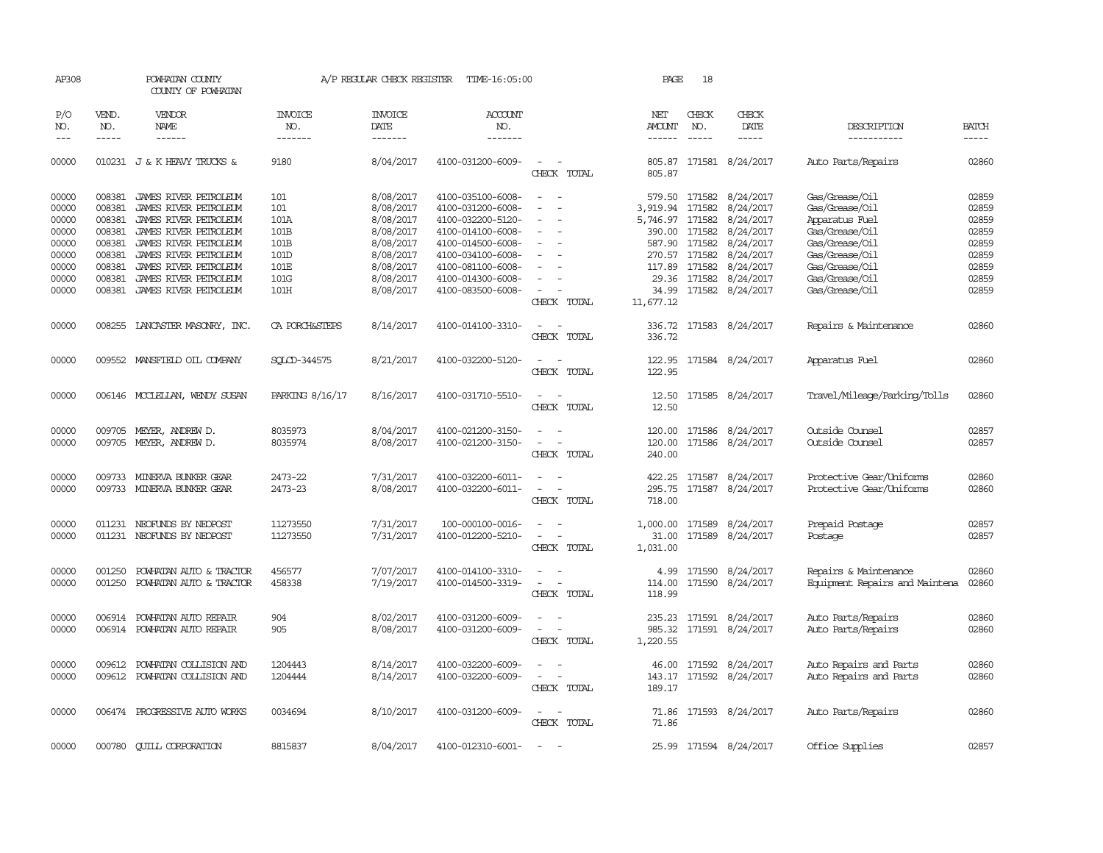| AP308               |                               | POWHATAN COUNTY<br>COUNTY OF POWHATAN          |                                  | A/P REGULAR CHECK REGISTER        | TIME-16:05:00                          |                                                                     | PAGE                 | 18                            |                           |                                  |                             |
|---------------------|-------------------------------|------------------------------------------------|----------------------------------|-----------------------------------|----------------------------------------|---------------------------------------------------------------------|----------------------|-------------------------------|---------------------------|----------------------------------|-----------------------------|
| P/O<br>NO.<br>$---$ | VEND.<br>NO.<br>$\frac{1}{2}$ | <b>VENDOR</b><br>NAME<br>$- - - - - -$         | <b>INVOICE</b><br>NO.<br>------- | <b>INVOICE</b><br>DATE<br>------- | ACCOUNT<br>NO.<br>-------              |                                                                     | NET<br><b>AMOUNT</b> | CHECK<br>NO.<br>$\frac{1}{2}$ | CHECK<br>DATE<br>-----    | DESCRIPTION<br>-----------       | <b>BATCH</b><br>$- - - - -$ |
| 00000               |                               | 010231 J & K HEAVY TRUCKS &                    | 9180                             | 8/04/2017                         | 4100-031200-6009-                      | $\sim$<br>CHECK TOTAL                                               | 805.87<br>805.87     |                               | 171581 8/24/2017          | Auto Parts/Repairs               | 02860                       |
| 00000<br>00000      | 008381<br>008381              | JAMES RIVER PETROLEUM<br>JAMES RIVER PETROLEUM | 101<br>101                       | 8/08/2017<br>8/08/2017            | 4100-035100-6008-<br>4100-031200-6008- | $\sim$<br>$\overline{\phantom{a}}$                                  | 3,919.94             | 579.50 171582<br>171582       | 8/24/2017<br>8/24/2017    | Gas/Grease/Oil<br>Gas/Grease/Oil | 02859<br>02859              |
| 00000               | 008381                        | JAMES RIVER PETROLEUM                          | 101A                             | 8/08/2017                         | 4100-032200-5120-                      |                                                                     | 5,746.97             | 171582                        | 8/24/2017                 | Apparatus Fuel                   | 02859                       |
| 00000               | 008381                        | JAMES RIVER PETROLEUM                          | 101B                             | 8/08/2017                         | 4100-014100-6008-                      | $\overline{\phantom{a}}$                                            | 390.00 171582        |                               | 8/24/2017                 | Gas/Grease/Oil                   | 02859                       |
| 00000               | 008381                        | JAMES RIVER PETROLEUM                          | 101B                             | 8/08/2017                         | 4100-014500-6008-                      | $\overline{\phantom{a}}$                                            |                      | 587.90 171582                 | 8/24/2017                 | Gas/Grease/Oil                   | 02859                       |
| 00000               | 008381                        | JAMES RIVER PETROLEUM                          | 101D                             | 8/08/2017                         | 4100-034100-6008-                      |                                                                     | 270.57               | 171582                        | 8/24/2017                 | Gas/Grease/Oil                   | 02859                       |
| 00000               | 008381                        | JAMES RIVER PETROLEUM                          | 101E                             | 8/08/2017                         | 4100-081100-6008-                      |                                                                     |                      | 117.89 171582                 | 8/24/2017                 | Gas/Grease/Oil                   | 02859                       |
| 00000               |                               | 008381 JAMES RIVER PEIROLEUM                   | 101G                             |                                   | 4100-014300-6008-                      | $\sim$                                                              |                      | 29.36 171582                  |                           | Gas/Grease/Oil                   | 02859                       |
| 00000               |                               |                                                | 101H                             | 8/08/2017<br>8/08/2017            | 4100-083500-6008-                      | $\overline{\phantom{a}}$                                            | 34.99                | 171582                        | 8/24/2017<br>8/24/2017    | Gas/Grease/Oil                   | 02859                       |
|                     |                               | 008381 JAMES RIVER PETROLEUM                   |                                  |                                   |                                        | CHECK TOTAL                                                         | 11,677.12            |                               |                           |                                  |                             |
| 00000               |                               | 008255 LANCASTER MASONRY, INC.                 | CA PORCH&STEPS                   | 8/14/2017                         | 4100-014100-3310-                      | $\sim$<br>$\sim$<br>CHECK TOTAL                                     | 336.72<br>336.72     |                               | 171583 8/24/2017          | Repairs & Maintenance            | 02860                       |
| 00000               |                               | 009552 MANSFIELD OIL COMPANY                   | SQLCD-344575                     | 8/21/2017                         | 4100-032200-5120-                      | $\sim$<br>$\sim$<br>CHECK TOTAL                                     | 122.95               |                               | 122.95 171584 8/24/2017   | Apparatus Fuel                   | 02860                       |
| 00000               |                               | 006146 MCCLELLAN, WENDY SUSAN                  | PARKING 8/16/17                  | 8/16/2017                         | 4100-031710-5510-                      | $\overline{\phantom{a}}$<br>$\overline{\phantom{a}}$<br>CHECK TOTAL | 12.50<br>12.50       |                               | 171585 8/24/2017          | Travel/Mileage/Parking/Tolls     | 02860                       |
| 00000               |                               | 009705 MEYER, ANDREW D.                        | 8035973                          | 8/04/2017                         | 4100-021200-3150-                      | $\sim$<br>$\overline{\phantom{a}}$                                  | 120.00               | 171586                        | 8/24/2017                 | Outside Counsel                  | 02857                       |
| 00000               |                               | 009705 MEYER, ANDREW D.                        | 8035974                          | 8/08/2017                         | 4100-021200-3150-                      | $\overline{\phantom{a}}$                                            | 120.00               |                               | 171586 8/24/2017          | Outside Counsel                  | 02857                       |
|                     |                               |                                                |                                  |                                   |                                        | CHECK TOTAL                                                         | 240.00               |                               |                           |                                  |                             |
| 00000               |                               | 009733 MINERVA BUNKER GEAR                     | 2473-22                          | 7/31/2017                         | 4100-032200-6011-                      | $\overline{\phantom{a}}$<br>$\overline{\phantom{a}}$                | 422.25               |                               | 171587 8/24/2017          | Protective Gear/Uniforms         | 02860                       |
| 00000               |                               | 009733 MINERVA BUNKER GEAR                     | 2473-23                          | 8/08/2017                         | 4100-032200-6011-                      | $\sim$<br>$\overline{\phantom{a}}$<br>CHECK TOTAL                   | 295.75<br>718.00     | 171587                        | 8/24/2017                 | Protective Gear/Uniforms         | 02860                       |
| 00000               |                               | 011231 NEOFUNDS BY NEOPOST                     | 11273550                         | 7/31/2017                         | 100-000100-0016-                       | $\overline{\phantom{a}}$<br>$\sim$                                  |                      |                               | 1,000.00 171589 8/24/2017 | Prepaid Postage                  | 02857                       |
| 00000               |                               | 011231 NEOFUNDS BY NEOPOST                     | 11273550                         | 7/31/2017                         | 4100-012200-5210-                      | $\equiv$                                                            | 31.00                |                               | 171589 8/24/2017          | Postage                          | 02857                       |
|                     |                               |                                                |                                  |                                   |                                        | CHECK TOTAL                                                         | 1,031.00             |                               |                           |                                  |                             |
| 00000               | 001250                        | POWHATAN AUTO & TRACTOR                        | 456577                           | 7/07/2017                         | 4100-014100-3310-                      | $\overline{\phantom{a}}$                                            | 4.99                 |                               | 171590 8/24/2017          | Repairs & Maintenance            | 02860                       |
| 00000               | 001250                        | POWHATAN AUTO & TRACTOR                        | 458338                           | 7/19/2017                         | 4100-014500-3319-                      | $\sim$                                                              | 114.00               |                               | 171590 8/24/2017          | Equipment Repairs and Maintena   | 02860                       |
|                     |                               |                                                |                                  |                                   |                                        | CHECK TOTAL                                                         | 118.99               |                               |                           |                                  |                             |
| 00000               | 006914                        | POWHATAN AUTO REPAIR                           | 904                              | 8/02/2017                         | 4100-031200-6009-                      |                                                                     |                      |                               | 235.23 171591 8/24/2017   | Auto Parts/Repairs               | 02860                       |
| 00000               |                               | 006914 POWHATAN AUTO REPAIR                    | 905                              | 8/08/2017                         | 4100-031200-6009-                      | $\sim$ $\sim$                                                       |                      |                               | 985.32 171591 8/24/2017   | Auto Parts/Repairs               | 02860                       |
|                     |                               |                                                |                                  |                                   |                                        | CHECK TOTAL                                                         | 1,220.55             |                               |                           |                                  |                             |
| 00000               | 009612                        | POWHATAN COLLISION AND                         | 1204443                          | 8/14/2017                         | 4100-032200-6009-                      |                                                                     |                      |                               | 46.00 171592 8/24/2017    | Auto Repairs and Parts           | 02860                       |
| 00000               | 009612                        | POWHATAN COLLISION AND                         | 1204444                          | 8/14/2017                         | 4100-032200-6009-                      | $\sim$<br>$\overline{\phantom{a}}$                                  | 143.17               |                               | 171592 8/24/2017          | Auto Repairs and Parts           | 02860                       |
|                     |                               |                                                |                                  |                                   |                                        | CHECK TOTAL                                                         | 189.17               |                               |                           |                                  |                             |
| 00000               |                               | 006474 PROGRESSIVE AUTO WORKS                  | 0034694                          | 8/10/2017                         | 4100-031200-6009-                      | $\sim$ 10 $\sim$ 10 $\sim$                                          |                      |                               | 71.86 171593 8/24/2017    | Auto Parts/Repairs               | 02860                       |
|                     |                               |                                                |                                  |                                   |                                        | CHECK TOTAL                                                         | 71.86                |                               |                           |                                  |                             |
| 00000               |                               | 000780 CUILL CORPORATION                       | 8815837                          | 8/04/2017                         | 4100-012310-6001-                      | $\sim$<br>$\sim$                                                    |                      |                               | 25.99 171594 8/24/2017    | Office Supplies                  | 02857                       |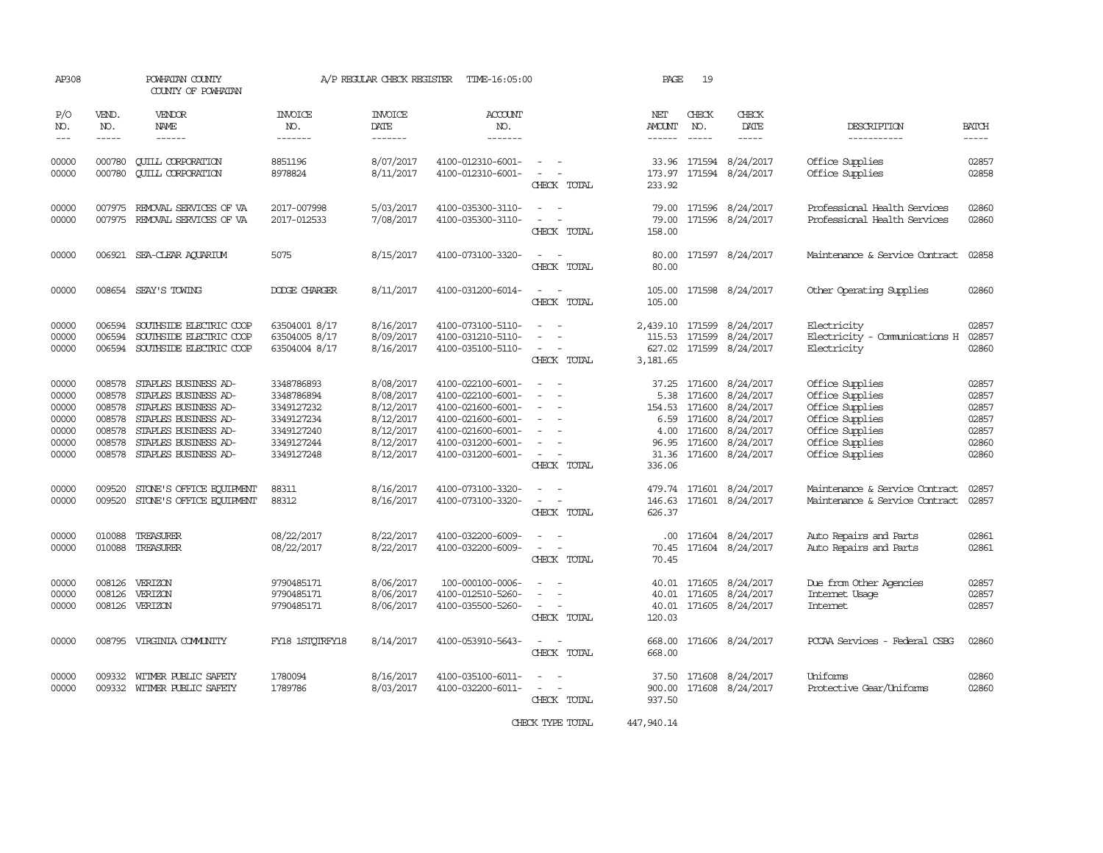| AP308                                                       |                                                                    | POWHATAN COUNTY<br>COUNTY OF POWHATAN                                                                                                                                |                                                                                                | A/P REGULAR CHECK REGISTER                                                              | TIME-16:05:00                                                                                                                                   |                                                                                                     | PAGE                                                                | 19                                                       |                                                                                                |                                                                                                                                   |                                                             |
|-------------------------------------------------------------|--------------------------------------------------------------------|----------------------------------------------------------------------------------------------------------------------------------------------------------------------|------------------------------------------------------------------------------------------------|-----------------------------------------------------------------------------------------|-------------------------------------------------------------------------------------------------------------------------------------------------|-----------------------------------------------------------------------------------------------------|---------------------------------------------------------------------|----------------------------------------------------------|------------------------------------------------------------------------------------------------|-----------------------------------------------------------------------------------------------------------------------------------|-------------------------------------------------------------|
| P/O<br>NO.<br>$---$                                         | VEND.<br>NO.<br>$- - - - -$                                        | VENDOR<br>NAME<br>------                                                                                                                                             | <b>INVOICE</b><br>NO.<br>-------                                                               | <b>INVOICE</b><br>DATE<br>-------                                                       | ACCOUNT<br>NO.<br>-------                                                                                                                       |                                                                                                     | NET<br>AMOUNT<br>------                                             | CHECK<br>NO.<br>$\frac{1}{2}$                            | CHECK<br>DATE<br>$- - - - -$                                                                   | DESCRIPTION<br>-----------                                                                                                        | BATCH                                                       |
| 00000<br>00000                                              | 000780<br>000780                                                   | <b>CUILL CORPORATION</b><br><b>QUILL CORPORATION</b>                                                                                                                 | 8851196<br>8978824                                                                             | 8/07/2017<br>8/11/2017                                                                  | 4100-012310-6001-<br>4100-012310-6001-                                                                                                          | $\overline{\phantom{a}}$<br>CHECK TOTAL                                                             | 33.96<br>173.97<br>233.92                                           |                                                          | 171594 8/24/2017<br>171594 8/24/2017                                                           | Office Supplies<br>Office Supplies                                                                                                | 02857<br>02858                                              |
| 00000<br>00000                                              | 007975<br>007975                                                   | REMOVAL SERVICES OF VA<br>REMOVAL SERVICES OF VA                                                                                                                     | 2017-007998<br>2017-012533                                                                     | 5/03/2017<br>7/08/2017                                                                  | 4100-035300-3110-<br>4100-035300-3110-                                                                                                          | CHECK TOTAL                                                                                         | 79.00<br>79.00<br>158.00                                            |                                                          | 171596 8/24/2017<br>171596 8/24/2017                                                           | Professional Health Services<br>Professional Health Services                                                                      | 02860<br>02860                                              |
| 00000                                                       |                                                                    | 006921 SEA-CLEAR AQUARIUM                                                                                                                                            | 5075                                                                                           | 8/15/2017                                                                               | 4100-073100-3320-                                                                                                                               | $\sim$ $\sim$<br>CHECK TOTAL                                                                        | 80.00<br>80.00                                                      |                                                          | 171597 8/24/2017                                                                               | Maintenance & Service Contract                                                                                                    | 02858                                                       |
| 00000                                                       |                                                                    | 008654 SEAY'S TOWING                                                                                                                                                 | DODGE CHARGER                                                                                  | 8/11/2017                                                                               | 4100-031200-6014-                                                                                                                               | CHECK TOTAL                                                                                         | 105.00<br>105.00                                                    |                                                          | 171598 8/24/2017                                                                               | Other Operating Supplies                                                                                                          | 02860                                                       |
| 00000<br>00000<br>00000                                     | 006594<br>006594<br>006594                                         | SOUTHSIDE ELECTRIC COOP<br>SOUTHSIDE ELECTRIC COOP<br>SOUTHSIDE ELECTRIC COOP                                                                                        | 63504001 8/17<br>63504005 8/17<br>63504004 8/17                                                | 8/16/2017<br>8/09/2017<br>8/16/2017                                                     | 4100-073100-5110-<br>4100-031210-5110-<br>4100-035100-5110-                                                                                     | $\sim$<br>$\sim$<br>CHECK TOTAL                                                                     | 115.53<br>627.02<br>3,181.65                                        |                                                          | 2,439.10 171599 8/24/2017<br>171599 8/24/2017<br>171599 8/24/2017                              | Electricity<br>Electricity - Comunications H<br>Electricity                                                                       | 02857<br>02857<br>02860                                     |
| 00000<br>00000<br>00000<br>00000<br>00000<br>00000<br>00000 | 008578<br>008578<br>008578<br>008578<br>008578<br>008578<br>008578 | STAPLES BUSINESS AD-<br>STAPLES BUSINESS AD-<br>STAPLES BUSINESS AD-<br>STAPLES BUSINESS AD-<br>STAPLES BUSINESS AD-<br>STAPLES BUSINESS AD-<br>STAPLES BUSINESS AD- | 3348786893<br>3348786894<br>3349127232<br>3349127234<br>3349127240<br>3349127244<br>3349127248 | 8/08/2017<br>8/08/2017<br>8/12/2017<br>8/12/2017<br>8/12/2017<br>8/12/2017<br>8/12/2017 | 4100-022100-6001-<br>4100-022100-6001-<br>4100-021600-6001-<br>4100-021600-6001-<br>4100-021600-6001-<br>4100-031200-6001-<br>4100-031200-6001- | $\overline{\phantom{a}}$<br>$\sim$<br>$\equiv$<br>$\sim$<br>$\overline{\phantom{a}}$<br>CHECK TOTAL | 37.25<br>5.38<br>154.53<br>6.59<br>4.00<br>96.95<br>31.36<br>336.06 | 171600<br>171600<br>171600<br>171600<br>171600<br>171600 | 8/24/2017<br>8/24/2017<br>8/24/2017<br>8/24/2017<br>8/24/2017<br>8/24/2017<br>171600 8/24/2017 | Office Supplies<br>Office Supplies<br>Office Supplies<br>Office Supplies<br>Office Supplies<br>Office Supplies<br>Office Supplies | 02857<br>02857<br>02857<br>02857<br>02857<br>02860<br>02860 |
| 00000<br>00000                                              | 009520<br>009520                                                   | STONE'S OFFICE EQUIPMENT<br>STONE'S OFFICE EQUIPMENT                                                                                                                 | 88311<br>88312                                                                                 | 8/16/2017<br>8/16/2017                                                                  | 4100-073100-3320-<br>4100-073100-3320-                                                                                                          | $\overline{\phantom{a}}$<br>$\equiv$<br>CHECK TOTAL                                                 | 479.74<br>146.63<br>626.37                                          |                                                          | 171601 8/24/2017<br>171601 8/24/2017                                                           | Maintenance & Service Contract<br>Maintenance & Service Contract                                                                  | 02857<br>02857                                              |
| 00000<br>00000                                              | 010088<br>010088                                                   | TREASURER<br>TREASURER                                                                                                                                               | 08/22/2017<br>08/22/2017                                                                       | 8/22/2017<br>8/22/2017                                                                  | 4100-032200-6009-<br>4100-032200-6009-                                                                                                          | $\equiv$<br>CHECK TOTAL                                                                             | .00.<br>70.45<br>70.45                                              |                                                          | 171604 8/24/2017<br>171604 8/24/2017                                                           | Auto Repairs and Parts<br>Auto Repairs and Parts                                                                                  | 02861<br>02861                                              |
| 00000<br>00000<br>00000                                     | 008126<br>008126                                                   | VERIZON<br>VERIZON<br>008126 VERIZON                                                                                                                                 | 9790485171<br>9790485171<br>9790485171                                                         | 8/06/2017<br>8/06/2017<br>8/06/2017                                                     | 100-000100-0006-<br>4100-012510-5260-<br>4100-035500-5260-                                                                                      | $\sim$<br>CHECK TOTAL                                                                               | 40.01<br>40.01<br>120.03                                            | 171605                                                   | 171605 8/24/2017<br>8/24/2017<br>40.01 171605 8/24/2017                                        | Due from Other Agencies<br>Internet Usage<br>Internet                                                                             | 02857<br>02857<br>02857                                     |
| 00000                                                       | 008795                                                             | VIRGINIA COMUNITY                                                                                                                                                    | FY18 1STOTRFY18                                                                                | 8/14/2017                                                                               | 4100-053910-5643-                                                                                                                               | $\overline{\phantom{a}}$<br>CHECK TOTAL                                                             | 668.00<br>668.00                                                    |                                                          | 171606 8/24/2017                                                                               | PCCAA Services - Federal CSBG                                                                                                     | 02860                                                       |
| 00000<br>00000                                              | 009332<br>009332                                                   | WITMER PUBLIC SAFETY<br>WITMER PUBLIC SAFETY                                                                                                                         | 1780094<br>1789786                                                                             | 8/16/2017<br>8/03/2017                                                                  | 4100-035100-6011-<br>4100-032200-6011-                                                                                                          | CHECK TOTAL                                                                                         | 37.50<br>900.00<br>937.50                                           | 171608                                                   | 8/24/2017<br>171608 8/24/2017                                                                  | Uniforms<br>Protective Gear/Uniforms                                                                                              | 02860<br>02860                                              |

CHECK TYPE TOTAL 447,940.14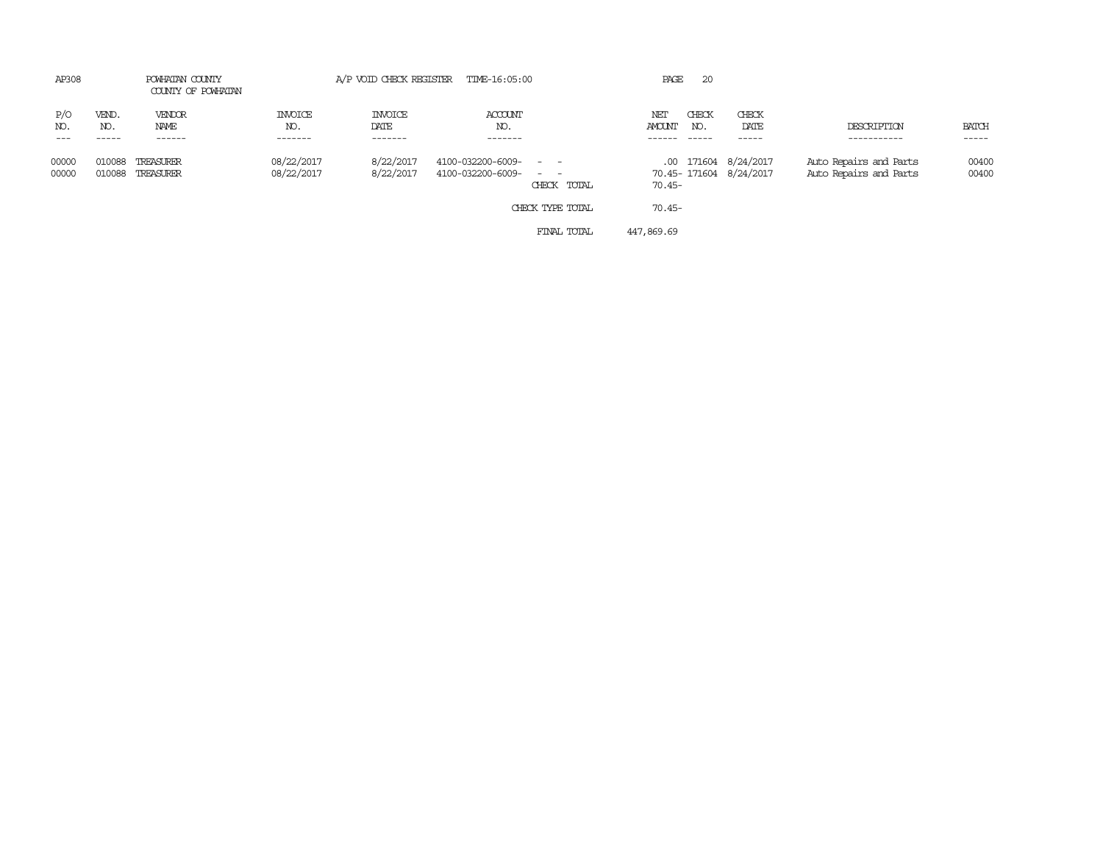| AP308                              | POWHATAN COUNTY<br>COUNTY OF POWHATAN |                          | A/P VOID CHECK REGISTER TIME-16:05:00 |                                                |                  | PAGE          | -20          |                                                |                                                  |                |
|------------------------------------|---------------------------------------|--------------------------|---------------------------------------|------------------------------------------------|------------------|---------------|--------------|------------------------------------------------|--------------------------------------------------|----------------|
| P/O<br>VEND.<br>NO.<br>NO.         | VENDOR<br>NAME                        | <b>INVOICE</b><br>NO.    | <b>INVOICE</b><br>DATE                | ACCOUNT<br>NO.                                 |                  | NET<br>AMOUNT | CHECK<br>NO. | CHECK<br>DATE                                  | DESCRIPTION                                      | <b>BATCH</b>   |
| $- - -$<br>-----                   | ------                                | -------                  | -------                               | -------                                        |                  |               | $- - - - -$  | -----                                          | -----------                                      | -----          |
| 00000<br>010088<br>00000<br>010088 | TREASURER<br>TREASURER                | 08/22/2017<br>08/22/2017 | 8/22/2017<br>8/22/2017                | 4100-032200-6009- - -<br>4100-032200-6009- - - | CHECK TOTAL      | $70.45 -$     |              | .00 171604 8/24/2017<br>70.45-171604 8/24/2017 | Auto Repairs and Parts<br>Auto Repairs and Parts | 00400<br>00400 |
|                                    |                                       |                          |                                       |                                                | CHECK TYPE TOTAL | $70.45 -$     |              |                                                |                                                  |                |
|                                    |                                       |                          |                                       |                                                | FINAL TOTAL      | 447,869.69    |              |                                                |                                                  |                |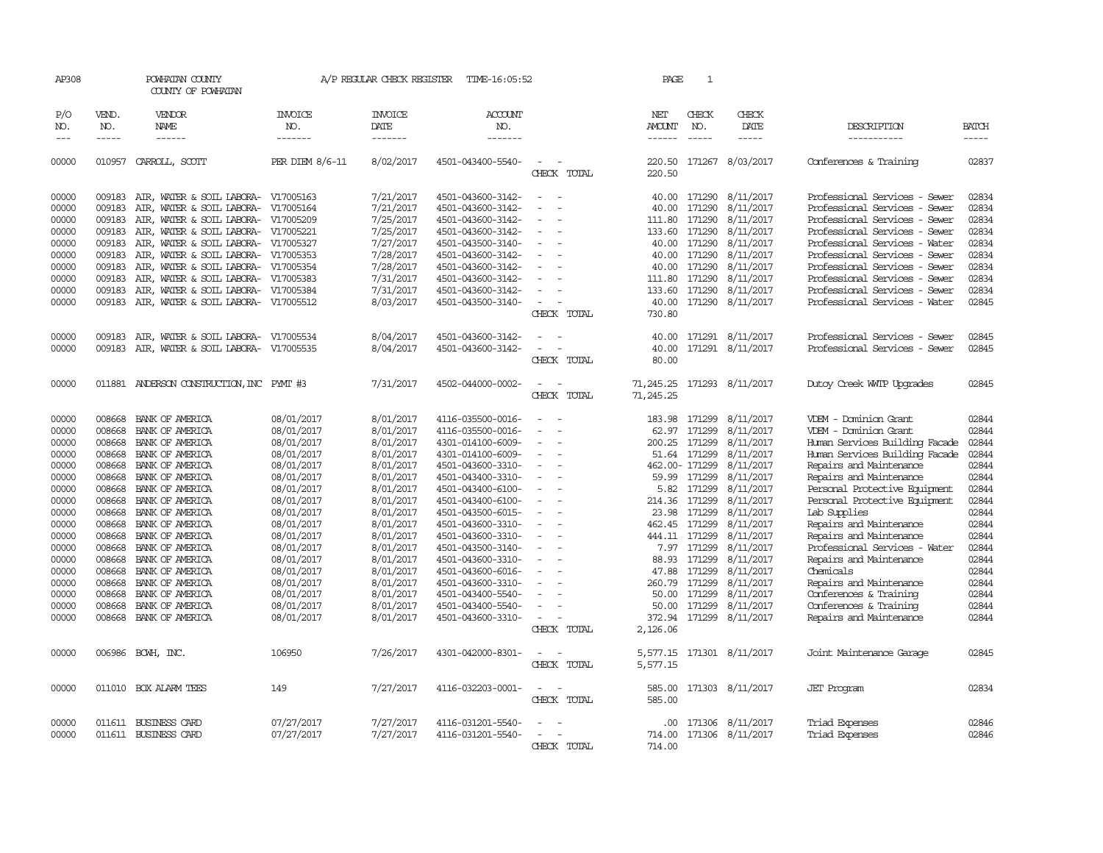| AP308                                                                                                                                                 |                                                                                                                                                              | POWHATAN COUNTY<br>COUNTY OF POWHATAN                                                                                                                                                                                                                                                                                                  |                                                                                                                                                                                                                                            | A/P REGULAR CHECK REGISTER                                                                                                                                                                                                | TIME-16:05:52                                                                                                                                                                                                                                                                                                                                                     |                                                                                                                                                                                                                                                                                                  | PAGE                                                                             | $\mathbf{1}$                                                                                                                                                                                                             |                                                                                                                                                                                                                           |                                                                                                                                                                                                                                                                                                                                                                                                                                                                          |                                                                                                                                                       |
|-------------------------------------------------------------------------------------------------------------------------------------------------------|--------------------------------------------------------------------------------------------------------------------------------------------------------------|----------------------------------------------------------------------------------------------------------------------------------------------------------------------------------------------------------------------------------------------------------------------------------------------------------------------------------------|--------------------------------------------------------------------------------------------------------------------------------------------------------------------------------------------------------------------------------------------|---------------------------------------------------------------------------------------------------------------------------------------------------------------------------------------------------------------------------|-------------------------------------------------------------------------------------------------------------------------------------------------------------------------------------------------------------------------------------------------------------------------------------------------------------------------------------------------------------------|--------------------------------------------------------------------------------------------------------------------------------------------------------------------------------------------------------------------------------------------------------------------------------------------------|----------------------------------------------------------------------------------|--------------------------------------------------------------------------------------------------------------------------------------------------------------------------------------------------------------------------|---------------------------------------------------------------------------------------------------------------------------------------------------------------------------------------------------------------------------|--------------------------------------------------------------------------------------------------------------------------------------------------------------------------------------------------------------------------------------------------------------------------------------------------------------------------------------------------------------------------------------------------------------------------------------------------------------------------|-------------------------------------------------------------------------------------------------------------------------------------------------------|
| P/O<br>NO.                                                                                                                                            | VEND.<br>NO.                                                                                                                                                 | <b>VENDOR</b><br>NAME                                                                                                                                                                                                                                                                                                                  | <b>INVOICE</b><br>NO.                                                                                                                                                                                                                      | <b>INVOICE</b><br>DATE                                                                                                                                                                                                    | ACCOUNT<br>NO.                                                                                                                                                                                                                                                                                                                                                    |                                                                                                                                                                                                                                                                                                  | NET<br>AMOUNT                                                                    | CHECK<br>NO.                                                                                                                                                                                                             | CHECK<br>DATE                                                                                                                                                                                                             | DESCRIPTION                                                                                                                                                                                                                                                                                                                                                                                                                                                              | <b>BATCH</b>                                                                                                                                          |
| $---$                                                                                                                                                 | $\frac{1}{2}$                                                                                                                                                | $- - - - - -$                                                                                                                                                                                                                                                                                                                          | -------                                                                                                                                                                                                                                    | -------                                                                                                                                                                                                                   | -------                                                                                                                                                                                                                                                                                                                                                           |                                                                                                                                                                                                                                                                                                  | $- - - - - -$                                                                    | $\frac{1}{2}$                                                                                                                                                                                                            | -----                                                                                                                                                                                                                     | -----------                                                                                                                                                                                                                                                                                                                                                                                                                                                              | $- - - - -$                                                                                                                                           |
| 00000                                                                                                                                                 | 010957                                                                                                                                                       | CARROLL, SCOTT                                                                                                                                                                                                                                                                                                                         | PER DIEM 8/6-11                                                                                                                                                                                                                            | 8/02/2017                                                                                                                                                                                                                 | 4501-043400-5540-                                                                                                                                                                                                                                                                                                                                                 | $\overline{\phantom{a}}$<br>CHECK TOTAL                                                                                                                                                                                                                                                          | 220.50<br>220.50                                                                 |                                                                                                                                                                                                                          | 171267 8/03/2017                                                                                                                                                                                                          | Conferences & Training                                                                                                                                                                                                                                                                                                                                                                                                                                                   | 02837                                                                                                                                                 |
| 00000<br>00000<br>00000<br>00000<br>00000<br>00000                                                                                                    | 009183<br>009183<br>009183<br>009183<br>009183<br>009183                                                                                                     | AIR, WATER & SOIL LABORA- V17005163<br>AIR, WATER & SOIL LABORA-<br>AIR, WATER & SOIL LABORA-<br>AIR, WATER & SOIL LABORA- V17005221<br>AIR, WATER & SOIL LABORA- V17005327<br>AIR, WATER & SOIL LABORA- V17005353                                                                                                                     | V17005164<br>V17005209                                                                                                                                                                                                                     | 7/21/2017<br>7/21/2017<br>7/25/2017<br>7/25/2017<br>7/27/2017<br>7/28/2017                                                                                                                                                | 4501-043600-3142-<br>4501-043600-3142-<br>4501-043600-3142-<br>4501-043600-3142-<br>4501-043500-3140-<br>4501-043600-3142-                                                                                                                                                                                                                                        | $\sim$<br>$\sim$<br>$\overline{a}$<br>$\overline{\phantom{a}}$                                                                                                                                                                                                                                   | 40.00<br>111.80<br>133.60<br>40.00<br>40.00                                      | 40.00 171290<br>171290<br>171290<br>171290<br>171290<br>171290                                                                                                                                                           | 8/11/2017<br>8/11/2017<br>8/11/2017<br>8/11/2017<br>8/11/2017<br>8/11/2017                                                                                                                                                | Professional Services - Sewer<br>Professional Services - Sewer<br>Professional Services - Sewer<br>Professional Services - Sewer<br>Professional Services - Water<br>Professional Services - Sewer                                                                                                                                                                                                                                                                       | 02834<br>02834<br>02834<br>02834<br>02834<br>02834                                                                                                    |
| 00000<br>00000<br>00000<br>00000                                                                                                                      | 009183<br>009183<br>009183                                                                                                                                   | AIR, WATER & SOIL LABORA- V17005354<br>AIR, WATER & SOIL LABORA- V17005383<br>AIR, WATER & SOIL LABORA- V17005384<br>009183 AIR, WATER & SOIL LABORA- V17005512                                                                                                                                                                        |                                                                                                                                                                                                                                            | 7/28/2017<br>7/31/2017<br>7/31/2017<br>8/03/2017                                                                                                                                                                          | 4501-043600-3142-<br>4501-043600-3142-<br>4501-043600-3142-<br>4501-043500-3140-                                                                                                                                                                                                                                                                                  | $\sim$<br>$\sim$                                                                                                                                                                                                                                                                                 | 40.00<br>111.80<br>133.60<br>40.00                                               | 171290<br>171290<br>171290                                                                                                                                                                                               | 8/11/2017<br>8/11/2017<br>8/11/2017<br>171290 8/11/2017                                                                                                                                                                   | Professional Services - Sewer<br>Professional Services - Sewer<br>Professional Services - Sewer<br>Professional Services - Water                                                                                                                                                                                                                                                                                                                                         | 02834<br>02834<br>02834<br>02845                                                                                                                      |
| 00000<br>00000                                                                                                                                        | 009183<br>009183                                                                                                                                             | AIR, WATER & SOIL LABORA-<br>AIR, WATER & SOIL LABORA- V17005535                                                                                                                                                                                                                                                                       | V17005534                                                                                                                                                                                                                                  | 8/04/2017<br>8/04/2017                                                                                                                                                                                                    | 4501-043600-3142-<br>4501-043600-3142-                                                                                                                                                                                                                                                                                                                            | CHECK TOTAL<br>$\sim$<br>CHECK TOTAL                                                                                                                                                                                                                                                             | 730.80<br>40.00<br>40.00<br>80.00                                                |                                                                                                                                                                                                                          | 171291 8/11/2017<br>171291 8/11/2017                                                                                                                                                                                      | Professional Services - Sewer<br>Professional Services - Sewer                                                                                                                                                                                                                                                                                                                                                                                                           | 02845<br>02845                                                                                                                                        |
| 00000                                                                                                                                                 |                                                                                                                                                              | 011881 ANDERSON CONSTRUCTION, INC PYMT #3                                                                                                                                                                                                                                                                                              |                                                                                                                                                                                                                                            | 7/31/2017                                                                                                                                                                                                                 | 4502-044000-0002-                                                                                                                                                                                                                                                                                                                                                 | CHECK TOTAL                                                                                                                                                                                                                                                                                      | 71,245.25<br>71,245.25                                                           |                                                                                                                                                                                                                          | 171293 8/11/2017                                                                                                                                                                                                          | Dutoy Creek WMTP Upgrades                                                                                                                                                                                                                                                                                                                                                                                                                                                | 02845                                                                                                                                                 |
| 00000<br>00000<br>00000<br>00000<br>00000<br>00000<br>00000<br>00000<br>00000<br>00000<br>00000<br>00000<br>00000<br>00000<br>00000<br>00000<br>00000 | 008668<br>008668<br>008668<br>008668<br>008668<br>008668<br>008668<br>008668<br>008668<br>008668<br>008668<br>008668<br>008668<br>008668<br>008668<br>008668 | BANK OF AMERICA<br>BANK OF AMERICA<br>BANK OF AMERICA<br>BANK OF AMERICA<br>BANK OF AMERICA<br>BANK OF AMERICA<br>BANK OF AMERICA<br>BANK OF AMERICA<br>BANK OF AMERICA<br>008668 BANK OF AMERICA<br>BANK OF AMERICA<br>BANK OF AMERICA<br>BANK OF AMERICA<br>BANK OF AMERICA<br>BANK OF AMERICA<br>BANK OF AMERICA<br>BANK OF AMERICA | 08/01/2017<br>08/01/2017<br>08/01/2017<br>08/01/2017<br>08/01/2017<br>08/01/2017<br>08/01/2017<br>08/01/2017<br>08/01/2017<br>08/01/2017<br>08/01/2017<br>08/01/2017<br>08/01/2017<br>08/01/2017<br>08/01/2017<br>08/01/2017<br>08/01/2017 | 8/01/2017<br>8/01/2017<br>8/01/2017<br>8/01/2017<br>8/01/2017<br>8/01/2017<br>8/01/2017<br>8/01/2017<br>8/01/2017<br>8/01/2017<br>8/01/2017<br>8/01/2017<br>8/01/2017<br>8/01/2017<br>8/01/2017<br>8/01/2017<br>8/01/2017 | 4116-035500-0016-<br>4116-035500-0016-<br>4301-014100-6009-<br>4301-014100-6009-<br>4501-043600-3310-<br>4501-043400-3310-<br>4501-043400-6100-<br>4501-043400-6100-<br>4501-043500-6015-<br>4501-043600-3310-<br>4501-043600-3310-<br>4501-043500-3140-<br>4501-043600-3310-<br>4501-043600-6016-<br>4501-043600-3310-<br>4501-043400-5540-<br>4501-043400-5540- | $\overline{\phantom{a}}$<br>$\overline{\phantom{a}}$<br>$\equiv$<br>$\overline{a}$<br>$\overline{\phantom{a}}$<br>$\overline{\phantom{a}}$<br>$\overline{\phantom{a}}$<br>$\overline{\phantom{a}}$<br>$\overline{\phantom{a}}$<br>$\overline{\phantom{a}}$<br>$\overline{\phantom{a}}$<br>$\sim$ | 183.98<br>5.82<br>214.36<br>23.98<br>462.45<br>444.11<br>88.93<br>47.88<br>50.00 | 171299<br>62.97 171299<br>200.25 171299<br>51.64 171299<br>462.00-171299<br>59.99 171299<br>171299<br>171299<br>171299<br>171299<br>171299<br>7.97 171299<br>171299<br>171299<br>260.79 171299<br>50.00 171299<br>171299 | 8/11/2017<br>8/11/2017<br>8/11/2017<br>8/11/2017<br>8/11/2017<br>8/11/2017<br>8/11/2017<br>8/11/2017<br>8/11/2017<br>8/11/2017<br>8/11/2017<br>8/11/2017<br>8/11/2017<br>8/11/2017<br>8/11/2017<br>8/11/2017<br>8/11/2017 | VDEM - Dominion Grant<br>VDEM - Dominion Grant<br>Human Services Building Facade<br>Human Services Building Facade<br>Repairs and Maintenance<br>Repairs and Maintenance<br>Personal Protective Equipment<br>Personal Protective Equipment<br>Lab Supplies<br>Repairs and Maintenance<br>Repairs and Maintenance<br>Professional Services - Water<br>Repairs and Maintenance<br>Chemicals<br>Repairs and Maintenance<br>Conferences & Training<br>Conferences & Training | 02844<br>02844<br>02844<br>02844<br>02844<br>02844<br>02844<br>02844<br>02844<br>02844<br>02844<br>02844<br>02844<br>02844<br>02844<br>02844<br>02844 |
| 00000                                                                                                                                                 | 008668                                                                                                                                                       | BANK OF AMERICA                                                                                                                                                                                                                                                                                                                        | 08/01/2017                                                                                                                                                                                                                                 | 8/01/2017                                                                                                                                                                                                                 | 4501-043600-3310-                                                                                                                                                                                                                                                                                                                                                 | CHECK TOTAL                                                                                                                                                                                                                                                                                      | 372.94<br>2,126.06                                                               |                                                                                                                                                                                                                          | 171299 8/11/2017                                                                                                                                                                                                          | Repairs and Maintenance                                                                                                                                                                                                                                                                                                                                                                                                                                                  | 02844                                                                                                                                                 |
| 00000                                                                                                                                                 |                                                                                                                                                              | 006986 BCWH, INC.                                                                                                                                                                                                                                                                                                                      | 106950                                                                                                                                                                                                                                     | 7/26/2017                                                                                                                                                                                                                 | 4301-042000-8301-                                                                                                                                                                                                                                                                                                                                                 | CHECK TOTAL                                                                                                                                                                                                                                                                                      | 5,577.15                                                                         |                                                                                                                                                                                                                          | 5,577.15 171301 8/11/2017                                                                                                                                                                                                 | Joint Maintenance Garage                                                                                                                                                                                                                                                                                                                                                                                                                                                 | 02845                                                                                                                                                 |
| 00000                                                                                                                                                 |                                                                                                                                                              | 011010 BOX ALARM TEES                                                                                                                                                                                                                                                                                                                  | 149                                                                                                                                                                                                                                        | 7/27/2017                                                                                                                                                                                                                 | 4116-032203-0001-                                                                                                                                                                                                                                                                                                                                                 | CHECK TOTAL                                                                                                                                                                                                                                                                                      | 585.00<br>585.00                                                                 |                                                                                                                                                                                                                          | 171303 8/11/2017                                                                                                                                                                                                          | <b>JET</b> Program                                                                                                                                                                                                                                                                                                                                                                                                                                                       | 02834                                                                                                                                                 |
| 00000<br>00000                                                                                                                                        |                                                                                                                                                              | 011611 BUSINESS CARD<br>011611 BUSINESS CARD                                                                                                                                                                                                                                                                                           | 07/27/2017<br>07/27/2017                                                                                                                                                                                                                   | 7/27/2017<br>7/27/2017                                                                                                                                                                                                    | 4116-031201-5540-<br>4116-031201-5540-                                                                                                                                                                                                                                                                                                                            | CHECK<br>TOTAL                                                                                                                                                                                                                                                                                   | .00<br>714.00<br>714.00                                                          |                                                                                                                                                                                                                          | 171306 8/11/2017<br>171306 8/11/2017                                                                                                                                                                                      | Triad Expenses<br>Triad Expenses                                                                                                                                                                                                                                                                                                                                                                                                                                         | 02846<br>02846                                                                                                                                        |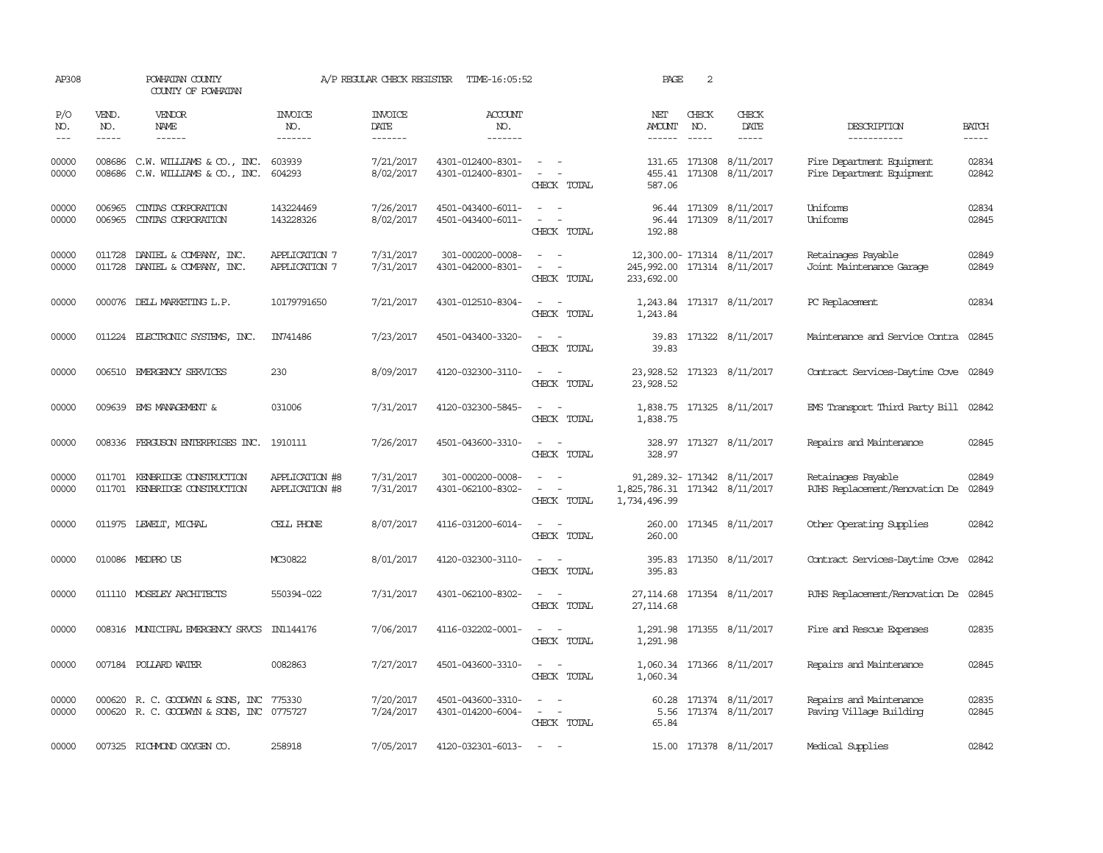| AP308                       |                             | POWHATAN COUNTY<br>COUNTY OF POWHATAN                                        |                                  | A/P REGULAR CHECK REGISTER        | TIME-16:05:52                          |                                                                                                                                                                                     | PAGE                                          | 2                             |                                                  |                                                            |                       |
|-----------------------------|-----------------------------|------------------------------------------------------------------------------|----------------------------------|-----------------------------------|----------------------------------------|-------------------------------------------------------------------------------------------------------------------------------------------------------------------------------------|-----------------------------------------------|-------------------------------|--------------------------------------------------|------------------------------------------------------------|-----------------------|
| P/O<br>NO.<br>$\frac{1}{2}$ | VEND.<br>NO.<br>$- - - - -$ | VENDOR<br>NAME<br>$- - - - - -$                                              | <b>INVOICE</b><br>NO.<br>------- | <b>INVOICE</b><br>DATE<br>------- | ACCOUNT<br>NO.<br>$- - - - - - -$      |                                                                                                                                                                                     | NET<br>AMOUNT<br>------                       | CHECK<br>NO.<br>$\frac{1}{2}$ | CHECK<br>DATE<br>$- - - - -$                     | DESCRIPTION<br>-----------                                 | <b>BATCH</b><br>----- |
| 00000<br>00000              | 008686<br>008686            | C.W. WILLIAMS & CO., INC.<br>C.W. WILLIAMS & CO., INC.                       | 603939<br>604293                 | 7/21/2017<br>8/02/2017            | 4301-012400-8301-<br>4301-012400-8301- | $\sim$ $  -$<br>$\sim$ $ -$<br>CHECK TOTAL                                                                                                                                          | 455.41<br>587.06                              |                               | 131.65 171308 8/11/2017<br>171308 8/11/2017      | Fire Department Equipment<br>Fire Department Equipment     | 02834<br>02842        |
| 00000<br>00000              | 006965<br>006965            | CINIAS CORPORATION<br>CINIAS CORPORATION                                     | 143224469<br>143228326           | 7/26/2017<br>8/02/2017            | 4501-043400-6011-<br>4501-043400-6011- | $\sim$ $ \sim$<br>$\sim$ $ \sim$<br>CHECK TOTAL                                                                                                                                     | 192.88                                        |                               | 96.44 171309 8/11/2017<br>96.44 171309 8/11/2017 | Uniforms<br>Uniforms                                       | 02834<br>02845        |
| 00000<br>00000              |                             | 011728 DANIEL & COMPANY, INC.<br>011728 DANIEL & COMPANY, INC.               | APPLICATION 7<br>APPLICATION 7   | 7/31/2017<br>7/31/2017            | 301-000200-0008-<br>4301-042000-8301-  | $\sim$ $ \sim$<br>$\frac{1}{2} \left( \frac{1}{2} \right) \left( \frac{1}{2} \right) = \frac{1}{2} \left( \frac{1}{2} \right)$<br>CHECK TOTAL                                       | 245,992.00 171314 8/11/2017<br>233,692.00     |                               | 12,300.00-171314 8/11/2017                       | Retainages Payable<br>Joint Maintenance Garage             | 02849<br>02849        |
| 00000                       |                             | 000076 DELL MARKETING L.P.                                                   | 10179791650                      | 7/21/2017                         | 4301-012510-8304-                      | $\overline{\phantom{a}}$<br>CHECK TOTAL                                                                                                                                             | 1,243.84                                      |                               | 1,243.84 171317 8/11/2017                        | PC Replacement                                             | 02834                 |
| 00000                       |                             | 011224 ELECTRONIC SYSTEMS, INC.                                              | IN741486                         | 7/23/2017                         | 4501-043400-3320-                      | $\sim$ $\sim$<br>CHECK TOTAL                                                                                                                                                        | 39.83<br>39.83                                |                               | 171322 8/11/2017                                 | Maintenance and Service Contra                             | 02845                 |
| 00000                       |                             | 006510 EMERGENCY SERVICES                                                    | 230                              | 8/09/2017                         | 4120-032300-3110-                      | $\sim$ $ -$<br>CHECK TOTAL                                                                                                                                                          | 23,928.52                                     |                               | 23, 928.52 171323 8/11/2017                      | Contract Services-Daytime Cove 02849                       |                       |
| 00000                       |                             | 009639 EMS MANAGEMENT &                                                      | 031006                           | 7/31/2017                         | 4120-032300-5845-                      | $\sim$ $ \sim$<br>CHECK TOTAL                                                                                                                                                       | 1,838.75                                      |                               | 1,838.75 171325 8/11/2017                        | EMS Transport Third Party Bill 02842                       |                       |
| 00000                       |                             | 008336 FERGUSON ENTERPRISES INC. 1910111                                     |                                  | 7/26/2017                         | 4501-043600-3310-                      | $\sim$ $ \sim$<br>CHECK TOTAL                                                                                                                                                       | 328.97                                        |                               | 328.97 171327 8/11/2017                          | Repairs and Maintenance                                    | 02845                 |
| 00000<br>00000              |                             | 011701 KENBRIDGE CONSTRUCTION<br>011701 KENBRIDGE CONSTRUCTION               | APPLICATION #8<br>APPLICATION #8 | 7/31/2017<br>7/31/2017            | 301-000200-0008-<br>4301-062100-8302-  | $\sim$<br>$\sim$ 100 $\sim$ 100 $\sim$<br>CHECK TOTAL                                                                                                                               | 1,825,786.31 171342 8/11/2017<br>1,734,496.99 |                               | 91, 289.32-171342 8/11/2017                      | Retainages Payable<br>RJHS Replacement/Renovation De 02849 | 02849                 |
| 00000                       |                             | 011975 LEWELT, MICHAL                                                        | CELL PHONE                       | 8/07/2017                         | 4116-031200-6014-                      | $\sim$ 100 $\sim$<br>CHECK TOTAL                                                                                                                                                    | 260.00                                        |                               | 260.00 171345 8/11/2017                          | Other Operating Supplies                                   | 02842                 |
| 00000                       |                             | 010086 MEDPROUS                                                              | MC30822                          | 8/01/2017                         | 4120-032300-3110-                      | $\sim$ $ \sim$<br>CHECK TOTAL                                                                                                                                                       | 395.83                                        |                               | 395.83 171350 8/11/2017                          | Contract Services-Daytime Cove 02842                       |                       |
| 00000                       |                             | 011110 MOSELEY ARCHITECTS                                                    | 550394-022                       | 7/31/2017                         | 4301-062100-8302-                      | $\overline{\phantom{a}}$<br>$\sim$<br>CHECK TOTAL                                                                                                                                   | 27, 114, 68<br>27, 114, 68                    |                               | 171354 8/11/2017                                 | RJHS Replacement/Renovation De 02845                       |                       |
| 00000                       |                             | 008316 MUNICIPAL EMERGENCY SRVCS IN1144176                                   |                                  | 7/06/2017                         | 4116-032202-0001-                      | $\overline{\phantom{a}}$<br>$\sim$<br>CHECK TOTAL                                                                                                                                   | 1,291.98                                      |                               | 1,291.98 171355 8/11/2017                        | Fire and Rescue Expenses                                   | 02835                 |
| 00000                       |                             | 007184 POLLARD WATER                                                         | 0082863                          | 7/27/2017                         | 4501-043600-3310-                      | $\sim$ $ \sim$<br>CHECK TOTAL                                                                                                                                                       | 1,060.34                                      |                               | 1,060.34 171366 8/11/2017                        | Repairs and Maintenance                                    | 02845                 |
| 00000<br>00000              |                             | 000620 R. C. GOODWYN & SONS, INC<br>000620 R. C. GOODWYN & SONS, INC 0775727 | 775330                           | 7/20/2017<br>7/24/2017            | 4501-043600-3310-<br>4301-014200-6004- | $\frac{1}{2} \left( \frac{1}{2} \right) \left( \frac{1}{2} \right) = \frac{1}{2} \left( \frac{1}{2} \right)$<br>$\overline{\phantom{a}}$<br>$\overline{\phantom{a}}$<br>CHECK TOTAL | 5.56<br>65.84                                 |                               | 60.28 171374 8/11/2017<br>171374 8/11/2017       | Repairs and Maintenance<br>Paving Village Building         | 02835<br>02845        |
| 00000                       |                             | 007325 RICHMOND OXYGEN CO.                                                   | 258918                           | 7/05/2017                         | 4120-032301-6013-                      | $\sim$ $ \sim$                                                                                                                                                                      |                                               |                               | 15.00 171378 8/11/2017                           | Medical Supplies                                           | 02842                 |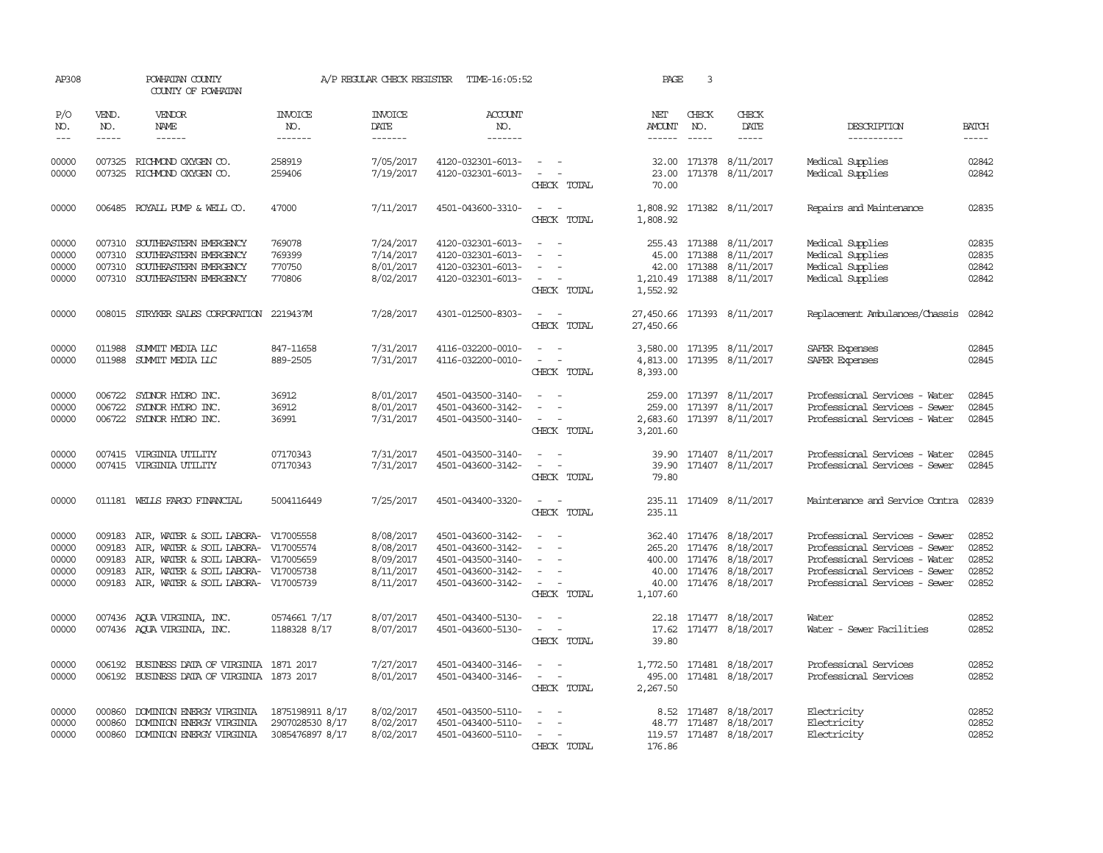| AP308                                     |                             | POWHATAN COUNTY<br>COUNTY OF POWHATAN                                                                                                                                                                         |                                                       | A/P REGULAR CHECK REGISTER                                    | TIME-16:05:52                                                                                         |                                                                                                                        | PAGE                                    | 3                           |                                                                                                                             |                                                                                                                                                                   |                                                                                                                                                                                                                                                                                                                                                                                                                                                                         |
|-------------------------------------------|-----------------------------|---------------------------------------------------------------------------------------------------------------------------------------------------------------------------------------------------------------|-------------------------------------------------------|---------------------------------------------------------------|-------------------------------------------------------------------------------------------------------|------------------------------------------------------------------------------------------------------------------------|-----------------------------------------|-----------------------------|-----------------------------------------------------------------------------------------------------------------------------|-------------------------------------------------------------------------------------------------------------------------------------------------------------------|-------------------------------------------------------------------------------------------------------------------------------------------------------------------------------------------------------------------------------------------------------------------------------------------------------------------------------------------------------------------------------------------------------------------------------------------------------------------------|
| P/O<br>NO.<br>$---$                       | VEND.<br>NO.<br>$- - - - -$ | VENDOR<br>NAME<br>$- - - - - -$                                                                                                                                                                               | <b>INVOICE</b><br>NO.<br>-------                      | <b>INVOICE</b><br>DATE<br>-------                             | <b>ACCOUNT</b><br>NO.<br>-------                                                                      |                                                                                                                        | NET<br><b>AMOUNT</b><br>$- - - - - -$   | CHECK<br>NO.<br>$- - - - -$ | CHECK<br>DATE<br>$- - - - -$                                                                                                | DESCRIPTION<br>-----------                                                                                                                                        | <b>BATCH</b><br>$\begin{tabular}{ccccc} \multicolumn{2}{c }{\multicolumn{2}{c }{\multicolumn{2}{c }{\multicolumn{2}{c}}{\hspace{-2.2cm}}}} \multicolumn{2}{c }{\multicolumn{2}{c }{\hspace{-2.2cm}}\hline} \multicolumn{2}{c }{\hspace{-2.2cm}}\hline \multicolumn{2}{c }{\hspace{-2.2cm}}\hline \multicolumn{2}{c }{\hspace{-2.2cm}}\hline \multicolumn{2}{c }{\hspace{-2.2cm}}\hline \multicolumn{2}{c }{\hspace{-2.2cm}}\hline \multicolumn{2}{c }{\hspace{-2.2cm}}$ |
| 00000<br>00000                            |                             | 007325 RICHMOND OXYGEN CO.<br>007325 RICHMOND OXYGEN CO.                                                                                                                                                      | 258919<br>259406                                      | 7/05/2017<br>7/19/2017                                        | 4120-032301-6013-<br>4120-032301-6013-                                                                | <b>Service</b><br>$\sim$ $ -$<br>CHECK TOTAL                                                                           | 70.00                                   |                             | 32.00 171378 8/11/2017<br>23.00 171378 8/11/2017                                                                            | Medical Supplies<br>Medical Supplies                                                                                                                              | 02842<br>02842                                                                                                                                                                                                                                                                                                                                                                                                                                                          |
| 00000                                     |                             | 006485 ROYALL PUMP & WELL CO.                                                                                                                                                                                 | 47000                                                 | 7/11/2017                                                     | 4501-043600-3310-                                                                                     | $\sim$ 100 $\sim$<br>CHECK TOTAL                                                                                       | 1,808.92<br>1,808.92                    |                             | 171382 8/11/2017                                                                                                            | Repairs and Maintenance                                                                                                                                           | 02835                                                                                                                                                                                                                                                                                                                                                                                                                                                                   |
| 00000<br>00000<br>00000<br>00000          | 007310<br>007310<br>007310  | SOUTHEASTERN EMERGENCY<br>SOUTHEASTERN EMERGENCY<br>SOUTHEASTERN EMERGENCY<br>007310 SOUTHEASTERN EMERGENCY                                                                                                   | 769078<br>769399<br>770750<br>770806                  | 7/24/2017<br>7/14/2017<br>8/01/2017<br>8/02/2017              | 4120-032301-6013-<br>4120-032301-6013-<br>4120-032301-6013-<br>4120-032301-6013-                      | $\sim$<br>$\sim$<br>$\overline{\phantom{a}}$<br>$\sim$ $ \sim$<br>CHECK TOTAL                                          | 45.00<br>1,552.92                       |                             | 255.43 171388 8/11/2017<br>171388 8/11/2017<br>42.00 171388 8/11/2017<br>1,210.49 171388 8/11/2017                          | Medical Supplies<br>Medical Supplies<br>Medical Supplies<br>Medical Supplies                                                                                      | 02835<br>02835<br>02842<br>02842                                                                                                                                                                                                                                                                                                                                                                                                                                        |
| 00000                                     |                             | 008015 STRYKER SALES CORPORATION 2219437M                                                                                                                                                                     |                                                       | 7/28/2017                                                     | 4301-012500-8303-                                                                                     | $\sim$ $ \sim$<br>CHECK TOTAL                                                                                          | 27,450.66 171393 8/11/2017<br>27,450.66 |                             |                                                                                                                             | Replacement Ambulances/Chassis                                                                                                                                    | 02842                                                                                                                                                                                                                                                                                                                                                                                                                                                                   |
| 00000<br>00000                            | 011988                      | SUMMIT MEDIA LLC<br>011988 SUMMIT MEDIA LLC                                                                                                                                                                   | 847-11658<br>889-2505                                 | 7/31/2017<br>7/31/2017                                        | 4116-032200-0010-<br>4116-032200-0010-                                                                | $\overline{\phantom{a}}$<br>$\overline{\phantom{a}}$<br>$\omega_{\rm{max}}$ , $\omega_{\rm{max}}$<br>CHECK TOTAL       | 8,393.00                                |                             | 3,580.00 171395 8/11/2017<br>4,813.00 171395 8/11/2017                                                                      | SAFER Expenses<br>SAFER Expenses                                                                                                                                  | 02845<br>02845                                                                                                                                                                                                                                                                                                                                                                                                                                                          |
| 00000<br>00000<br>00000                   | 006722                      | SYDNOR HYDRO INC.<br>006722 SYDNOR HYDRO INC.<br>006722 SYDNOR HYDRO INC.                                                                                                                                     | 36912<br>36912<br>36991                               | 8/01/2017<br>8/01/2017<br>7/31/2017                           | 4501-043500-3140-<br>4501-043600-3142-<br>4501-043500-3140-                                           | $\sim$ $ \sim$<br>$\sim$<br>$\sim$<br>$\sim$ 100 $\sim$<br>CHECK TOTAL                                                 | 2,683.60<br>3,201.60                    |                             | 259.00 171397 8/11/2017<br>259.00 171397 8/11/2017<br>171397 8/11/2017                                                      | Professional Services - Water<br>Professional Services - Sewer<br>Professional Services - Water                                                                   | 02845<br>02845<br>02845                                                                                                                                                                                                                                                                                                                                                                                                                                                 |
| 00000<br>00000                            |                             | 007415 VIRGINIA UTILITY<br>007415 VIRGINIA UTILITY                                                                                                                                                            | 07170343<br>07170343                                  | 7/31/2017<br>7/31/2017                                        | 4501-043500-3140-<br>4501-043600-3142-                                                                | $\sim$ $ \sim$<br>$\sim$ 100 $\sim$<br>CHECK TOTAL                                                                     | 79.80                                   |                             | 39.90 171407 8/11/2017<br>39.90 171407 8/11/2017                                                                            | Professional Services - Water<br>Professional Services - Sewer                                                                                                    | 02845<br>02845                                                                                                                                                                                                                                                                                                                                                                                                                                                          |
| 00000                                     |                             | 011181 WELLS FARGO FINANCIAL                                                                                                                                                                                  | 5004116449                                            | 7/25/2017                                                     | 4501-043400-3320-                                                                                     | $\sim$ $ -$<br>CHECK TOTAL                                                                                             | 235.11                                  |                             | 235.11 171409 8/11/2017                                                                                                     | Maintenance and Service Contra                                                                                                                                    | 02839                                                                                                                                                                                                                                                                                                                                                                                                                                                                   |
| 00000<br>00000<br>00000<br>00000<br>00000 | 009183<br>009183<br>009183  | AIR, WATER & SOIL LABORA- V17005558<br>AIR, WATER & SOIL LABORA- V17005574<br>AIR, WATER & SOIL LABORA- V17005659<br>009183 AIR, WATER & SOIL LABORA- V17005738<br>009183 AIR, WATER & SOIL LABORA- V17005739 |                                                       | 8/08/2017<br>8/08/2017<br>8/09/2017<br>8/11/2017<br>8/11/2017 | 4501-043600-3142-<br>4501-043600-3142-<br>4501-043500-3140-<br>4501-043600-3142-<br>4501-043600-3142- | $\sim$<br>$\sim$<br>$\sim$<br>$\sim$<br>$\sim$<br>$\sim$<br>$\omega_{\rm{max}}$ and $\omega_{\rm{max}}$<br>CHECK TOTAL | 40.00<br>1,107.60                       |                             | 362.40 171476 8/18/2017<br>265.20 171476 8/18/2017<br>400.00 171476 8/18/2017<br>40.00 171476 8/18/2017<br>171476 8/18/2017 | Professional Services - Sewer<br>Professional Services - Sewer<br>Professional Services - Water<br>Professional Services - Sewer<br>Professional Services - Sewer | 02852<br>02852<br>02852<br>02852<br>02852                                                                                                                                                                                                                                                                                                                                                                                                                               |
| 00000<br>00000                            |                             | 007436 AQUA VIRGINIA, INC.<br>007436 AQUA VIRGINIA, INC.                                                                                                                                                      | 0574661 7/17<br>1188328 8/17                          | 8/07/2017<br>8/07/2017                                        | 4501-043400-5130-<br>4501-043600-5130-                                                                | $\omega_{\rm{max}}$ and $\omega_{\rm{max}}$<br>$\sim$ 100 $\sim$<br>CHECK TOTAL                                        | 17.62<br>39.80                          |                             | 22.18 171477 8/18/2017<br>171477 8/18/2017                                                                                  | Water<br>Water - Sewer Facilities                                                                                                                                 | 02852<br>02852                                                                                                                                                                                                                                                                                                                                                                                                                                                          |
| 00000<br>00000                            |                             | 006192 BUSINESS DATA OF VIRGINIA 1871 2017<br>006192 BUSINESS DATA OF VIRGINIA 1873 2017                                                                                                                      |                                                       | 7/27/2017<br>8/01/2017                                        | 4501-043400-3146-<br>4501-043400-3146-                                                                | $\sim$ $ -$<br>CHECK TOTAL                                                                                             | 495.00<br>2,267.50                      |                             | 1,772.50 171481 8/18/2017<br>171481 8/18/2017                                                                               | Professional Services<br>Professional Services                                                                                                                    | 02852<br>02852                                                                                                                                                                                                                                                                                                                                                                                                                                                          |
| 00000<br>00000<br>00000                   | 000860<br>000860            | DOMINION ENERGY VIRGINIA<br>DOMINION ENERGY VIRGINIA<br>000860 DOMINION ENERGY VIRGINIA                                                                                                                       | 1875198911 8/17<br>2907028530 8/17<br>3085476897 8/17 | 8/02/2017<br>8/02/2017<br>8/02/2017                           | 4501-043500-5110-<br>4501-043400-5110-<br>4501-043600-5110-                                           | $\sim$ $-$<br>$\overline{\phantom{a}}$<br>CHECK TOTAL                                                                  | 176.86                                  |                             | 8.52 171487 8/18/2017<br>48.77 171487 8/18/2017<br>119.57 171487 8/18/2017                                                  | Electricity<br>Electricity<br>Electricity                                                                                                                         | 02852<br>02852<br>02852                                                                                                                                                                                                                                                                                                                                                                                                                                                 |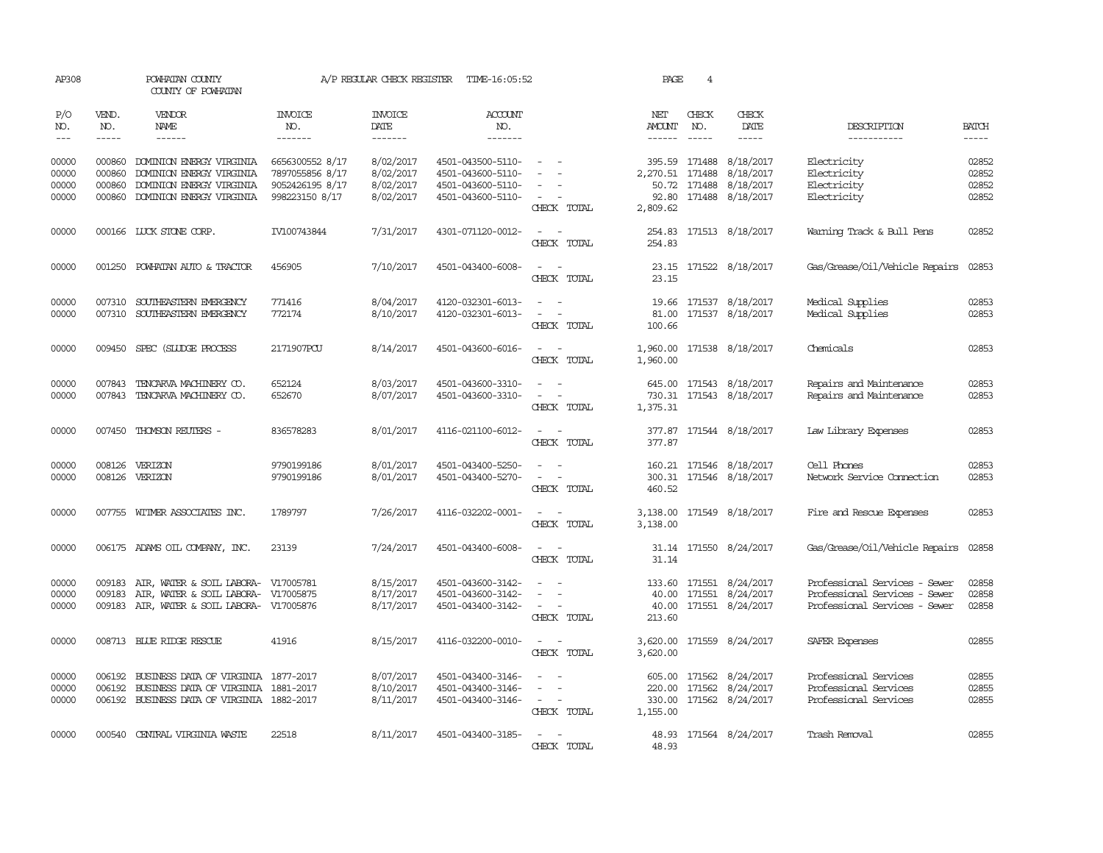| AP308                            |                            | POWHATAN COUNTY<br>COUNTY OF POWHATAN                                                                                    |                                                                         | A/P REGULAR CHECK REGISTER                       | TIME-16:05:52                                                                    |                                                            | PAGE                 | $\overline{4}$                          |                                                                             |                                                                                                 |                                  |
|----------------------------------|----------------------------|--------------------------------------------------------------------------------------------------------------------------|-------------------------------------------------------------------------|--------------------------------------------------|----------------------------------------------------------------------------------|------------------------------------------------------------|----------------------|-----------------------------------------|-----------------------------------------------------------------------------|-------------------------------------------------------------------------------------------------|----------------------------------|
| P/O<br>NO.                       | VEND.<br>NO.               | VENDOR<br>NAME                                                                                                           | INVOICE<br>NO.                                                          | <b>INVOICE</b><br>DATE                           | ACCOUNT<br>NO.                                                                   |                                                            | NET<br>AMOUNT        | CHECK<br>NO.                            | CHECK<br>DATE                                                               | DESCRIPTION                                                                                     | <b>BATCH</b>                     |
| $\frac{1}{2}$                    | -----                      | ------                                                                                                                   | --------                                                                | -------                                          | -------                                                                          |                                                            | <b>______</b>        | $\frac{1}{2}$                           | -----                                                                       | -----------                                                                                     | $- - - - -$                      |
| 00000<br>00000<br>00000<br>00000 | 000860<br>000860<br>000860 | DOMINION ENERGY VIRGINIA<br>DOMINION ENERGY VIRGINIA<br>DOMINION ENERGY VIRGINIA<br>000860 DOMINION ENERGY VIRGINIA      | 6656300552 8/17<br>7897055856 8/17<br>9052426195 8/17<br>998223150 8/17 | 8/02/2017<br>8/02/2017<br>8/02/2017<br>8/02/2017 | 4501-043500-5110-<br>4501-043600-5110-<br>4501-043600-5110-<br>4501-043600-5110- | $\sim$ $ \sim$<br>$\overline{\phantom{a}}$<br>CHECK TOTAL  | 2,270.51<br>2,809.62 | 395.59 171488<br>171488<br>50.72 171488 | 8/18/2017<br>8/18/2017<br>8/18/2017<br>92.80 171488 8/18/2017               | Electricity<br>Electricity<br>Electricity<br>Electricity                                        | 02852<br>02852<br>02852<br>02852 |
| 00000                            |                            | 000166 LUCK STONE CORP.                                                                                                  | IV100743844                                                             | 7/31/2017                                        | 4301-071120-0012-                                                                | $\omega_{\rm{max}}$ and $\omega_{\rm{max}}$<br>CHECK TOTAL | 254.83               |                                         | 254.83 171513 8/18/2017                                                     | Warning Track & Bull Pens                                                                       | 02852                            |
| 00000                            | 001250                     | POWHATAN AUTO & TRACTOR                                                                                                  | 456905                                                                  | 7/10/2017                                        | 4501-043400-6008-                                                                | $\sim$ $ \sim$<br>CHECK TOTAL                              | 23.15                |                                         | 23.15 171522 8/18/2017                                                      | Gas/Grease/Oil/Vehicle Repairs                                                                  | 02853                            |
| 00000<br>00000                   | 007310<br>007310           | SOUTHEASTERN EMERGENCY<br>SOUTHEASTERN EMERGENCY                                                                         | 771416<br>772174                                                        | 8/04/2017<br>8/10/2017                           | 4120-032301-6013-<br>4120-032301-6013-                                           | CHECK TOTAL                                                | 100.66               |                                         | 19.66 171537 8/18/2017<br>81.00 171537 8/18/2017                            | Medical Supplies<br>Medical Supplies                                                            | 02853<br>02853                   |
| 00000                            | 009450                     | SPEC (SLUDGE PROCESS                                                                                                     | 2171907PCU                                                              | 8/14/2017                                        | 4501-043600-6016-                                                                | $\overline{\phantom{a}}$<br>CHECK TOTAL                    | 1,960.00             |                                         | 1,960.00 171538 8/18/2017                                                   | Chemicals                                                                                       | 02853                            |
| 00000<br>00000                   | 007843                     | TENCARVA MACHINERY CO.<br>007843 TENCARVA MACHINERY CO.                                                                  | 652124<br>652670                                                        | 8/03/2017<br>8/07/2017                           | 4501-043600-3310-<br>4501-043600-3310-                                           | $\sim$ $\sim$<br>CHECK TOTAL                               | 645.00<br>1,375.31   |                                         | 171543 8/18/2017<br>730.31 171543 8/18/2017                                 | Repairs and Maintenance<br>Repairs and Maintenance                                              | 02853<br>02853                   |
| 00000                            |                            | 007450 THOMSON REUTERS -                                                                                                 | 836578283                                                               | 8/01/2017                                        | 4116-021100-6012-                                                                | $\sim$ $ \sim$<br>CHECK TOTAL                              | 377.87               |                                         | 377.87 171544 8/18/2017                                                     | Law Library Expenses                                                                            | 02853                            |
| 00000<br>00000                   | 008126                     | VERIZON<br>008126 VERIZON                                                                                                | 9790199186<br>9790199186                                                | 8/01/2017<br>8/01/2017                           | 4501-043400-5250-<br>4501-043400-5270-                                           | CHRCK TOTAL                                                | 160.21<br>460.52     |                                         | 171546 8/18/2017<br>300.31 171546 8/18/2017                                 | Cell Phones<br>Network Service Connection                                                       | 02853<br>02853                   |
| 00000                            |                            | 007755 WITMER ASSOCIATES INC.                                                                                            | 1789797                                                                 | 7/26/2017                                        | 4116-032202-0001-                                                                | CHECK TOTAL                                                | 3,138.00             |                                         | 3,138.00 171549 8/18/2017                                                   | Fire and Rescue Expenses                                                                        | 02853                            |
| 00000                            |                            | 006175 ADAMS OIL COMPANY, INC.                                                                                           | 23139                                                                   | 7/24/2017                                        | 4501-043400-6008-                                                                | $\overline{\phantom{a}}$<br>CHECK TOTAL                    | 31.14<br>31.14       |                                         | 171550 8/24/2017                                                            | Gas/Grease/Oil/Vehicle Repairs                                                                  | 02858                            |
| 00000<br>00000<br>00000          | 009183<br>009183           | AIR, WATER & SOIL LABORA- V17005781<br>AIR, WATER & SOIL LABORA- V17005875<br>009183 AIR, WATER & SOIL LABORA- V17005876 |                                                                         | 8/15/2017<br>8/17/2017<br>8/17/2017              | 4501-043600-3142-<br>4501-043600-3142-<br>4501-043400-3142-                      | $\sim$ $\sim$<br>CHECK TOTAL                               | 213.60               |                                         | 133.60 171551 8/24/2017<br>40.00 171551 8/24/2017<br>40.00 171551 8/24/2017 | Professional Services - Sewer<br>Professional Services - Sewer<br>Professional Services - Sewer | 02858<br>02858<br>02858          |
| 00000                            |                            | 008713 BLUE RIDGE RESCUE                                                                                                 | 41916                                                                   | 8/15/2017                                        | 4116-032200-0010-                                                                | $\overline{\phantom{a}}$<br>CHECK TOTAL                    | 3,620.00             |                                         | 3,620.00 171559 8/24/2017                                                   | SAFER Expenses                                                                                  | 02855                            |
| 00000<br>00000<br>00000          | 006192<br>006192           | BUSINESS DATA OF VIRGINIA 1877-2017<br>BUSINESS DATA OF VIRGINIA<br>006192 BUSINESS DATA OF VIRGINIA 1882-2017           | 1881-2017                                                               | 8/07/2017<br>8/10/2017<br>8/11/2017              | 4501-043400-3146-<br>4501-043400-3146-<br>4501-043400-3146-                      | $\sim$<br>$\sim$<br>$\sim$<br>CHECK TOTAL                  | 220.00<br>1,155.00   | 171562                                  | 605.00 171562 8/24/2017<br>8/24/2017<br>330.00 171562 8/24/2017             | Professional Services<br>Professional Services<br>Professional Services                         | 02855<br>02855<br>02855          |
| 00000                            | 000540                     | CENTRAL VIRGINIA WASTE                                                                                                   | 22518                                                                   | 8/11/2017                                        | 4501-043400-3185-                                                                | $\sim$<br>$\sim$<br>CHECK TOTAL                            | 48.93                |                                         | 48.93 171564 8/24/2017                                                      | Trash Removal                                                                                   | 02855                            |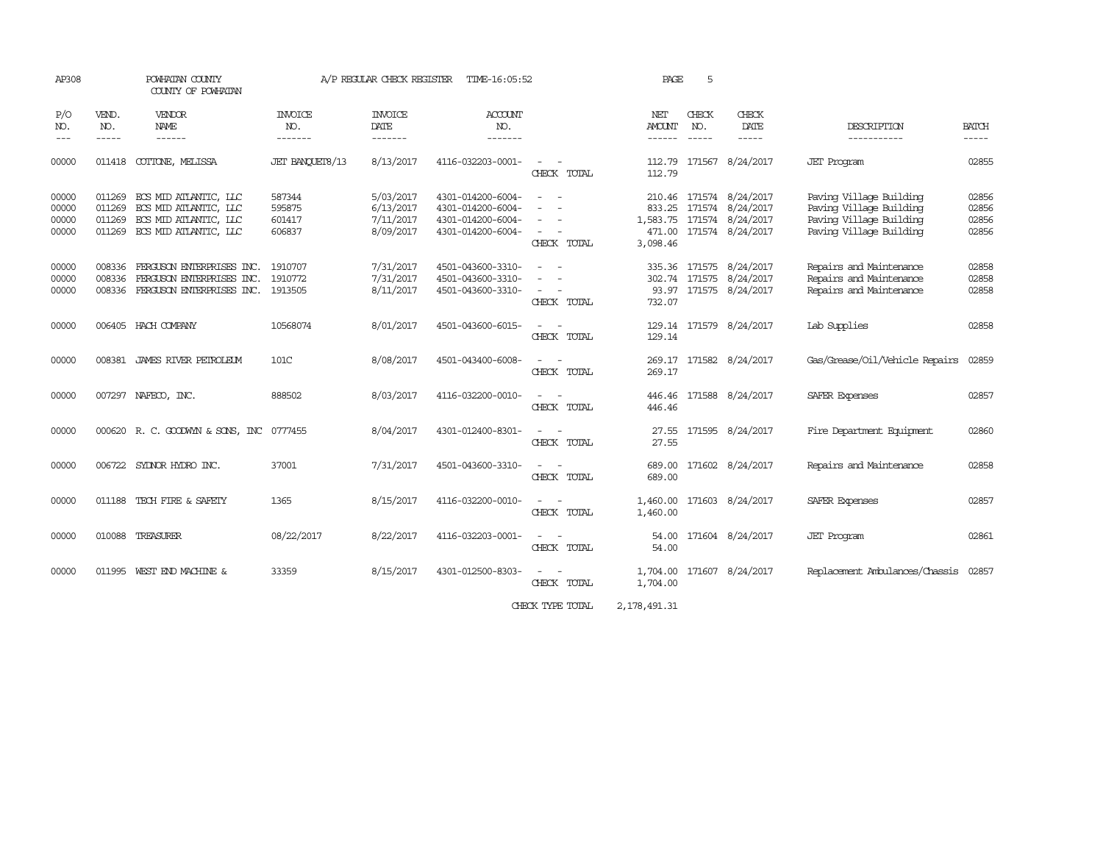| AP308                            |                            | POWHATAN COUNTY<br>COUNTY OF POWHATAN                                                                   | A/P REGULAR CHECK REGISTER<br>TIME-16:05:52 |                                                  |                                                                                  |                                                                                                                             | 5<br>PAGE               |                               |                                                                                                     |                                                                                                          |                                  |
|----------------------------------|----------------------------|---------------------------------------------------------------------------------------------------------|---------------------------------------------|--------------------------------------------------|----------------------------------------------------------------------------------|-----------------------------------------------------------------------------------------------------------------------------|-------------------------|-------------------------------|-----------------------------------------------------------------------------------------------------|----------------------------------------------------------------------------------------------------------|----------------------------------|
| P/O<br>NO.<br>$---$              | VEND.<br>NO.<br>-----      | VENDOR<br>NAME<br>------                                                                                | INVOICE<br>NO.<br>-------                   | <b>INVOICE</b><br>DATE<br>-------                | <b>ACCOUNT</b><br>NO.<br>-------                                                 |                                                                                                                             | NET<br>AMOUNT<br>------ | CHECK<br>NO.<br>$\frac{1}{2}$ | CHECK<br>DATE<br>-----                                                                              | DESCRIPTION<br>-----------                                                                               | <b>BATCH</b><br>-----            |
| 00000                            | 011418                     | COTTONE, MELISSA                                                                                        | JET BANCUET8/13                             | 8/13/2017                                        | 4116-032203-0001-                                                                | $\frac{1}{2} \left( \frac{1}{2} \right) \left( \frac{1}{2} \right) = \frac{1}{2} \left( \frac{1}{2} \right)$<br>CHECK TOTAL | 112.79                  |                               | 112.79 171567 8/24/2017                                                                             | <b>JET</b> Program                                                                                       | 02855                            |
| 00000<br>00000<br>00000<br>00000 | 011269<br>011269<br>011269 | 011269 ECS MID ATLANTIC, LLC<br>ECS MID ATLANTIC, LLC<br>ECS MID ATLANTIC, LLC<br>ECS MID ATLANTIC, LLC | 587344<br>595875<br>601417<br>606837        | 5/03/2017<br>6/13/2017<br>7/11/2017<br>8/09/2017 | 4301-014200-6004-<br>4301-014200-6004-<br>4301-014200-6004-<br>4301-014200-6004- | $ -$<br>CHECK TOTAL                                                                                                         | 833.25<br>3,098.46      |                               | 210.46 171574 8/24/2017<br>171574 8/24/2017<br>1,583.75 171574 8/24/2017<br>471.00 171574 8/24/2017 | Paving Village Building<br>Paving Village Building<br>Paving Village Building<br>Paving Village Building | 02856<br>02856<br>02856<br>02856 |
| 00000<br>00000<br>00000          | 008336<br>008336           | FERGUSON ENTERPRISES INC.<br>FERGUSON ENTERPRISES INC.<br>008336 FERGUSON ENTERPRISES INC.              | 1910707<br>1910772<br>1913505               | 7/31/2017<br>7/31/2017<br>8/11/2017              | 4501-043600-3310-<br>4501-043600-3310-<br>4501-043600-3310-                      | $\sim 100$<br>CHECK TOTAL                                                                                                   | 732.07                  |                               | 335.36 171575 8/24/2017<br>302.74 171575 8/24/2017<br>93.97 171575 8/24/2017                        | Repairs and Maintenance<br>Repairs and Maintenance<br>Repairs and Maintenance                            | 02858<br>02858<br>02858          |
| 00000                            |                            | 006405 HACH COMPANY                                                                                     | 10568074                                    | 8/01/2017                                        | 4501-043600-6015-                                                                | CHECK TOTAL                                                                                                                 | 129.14                  |                               | 129.14 171579 8/24/2017                                                                             | Lab Supplies                                                                                             | 02858                            |
| 00000                            |                            | 008381 JAMES RIVER PEIROLEUM                                                                            | 101C                                        | 8/08/2017                                        | 4501-043400-6008-                                                                | CHECK TOTAL                                                                                                                 | 269.17                  |                               | 269.17 171582 8/24/2017                                                                             | Gas/Grease/Oil/Vehicle Repairs                                                                           | 02859                            |
| 00000                            |                            | 007297 NAFECO, INC.                                                                                     | 888502                                      | 8/03/2017                                        | 4116-032200-0010-                                                                | CHECK TOTAL                                                                                                                 | 446.46                  |                               | 446.46 171588 8/24/2017                                                                             | SAFER Expenses                                                                                           | 02857                            |
| 00000                            |                            | 000620 R. C. GOODWYN & SONS, INC 0777455                                                                |                                             | 8/04/2017                                        | 4301-012400-8301-                                                                | CHECK TOTAL                                                                                                                 | 27.55                   |                               | 27.55 171595 8/24/2017                                                                              | Fire Department Equipment                                                                                | 02860                            |
| 00000                            |                            | 006722 SYLNOR HYDRO INC.                                                                                | 37001                                       | 7/31/2017                                        | 4501-043600-3310-                                                                | CHECK TOTAL                                                                                                                 | 689.00<br>689.00        |                               | 171602 8/24/2017                                                                                    | Repairs and Maintenance                                                                                  | 02858                            |
| 00000                            |                            | 011188 TECH FIRE & SAFETY                                                                               | 1365                                        | 8/15/2017                                        | 4116-032200-0010-                                                                | CHECK TOTAL                                                                                                                 | 1,460.00                |                               | 1,460.00 171603 8/24/2017                                                                           | SAFER Expenses                                                                                           | 02857                            |
| 00000                            |                            | 010088 TREASURER                                                                                        | 08/22/2017                                  | 8/22/2017                                        | 4116-032203-0001-                                                                | $\frac{1}{2} \left( \frac{1}{2} \right) \left( \frac{1}{2} \right) = \frac{1}{2} \left( \frac{1}{2} \right)$<br>CHECK TOTAL | 54.00                   |                               | 54.00 171604 8/24/2017                                                                              | <b>JET</b> Program                                                                                       | 02861                            |
| 00000                            |                            | 011995 WEST END MACHINE &                                                                               | 33359                                       | 8/15/2017                                        | 4301-012500-8303-                                                                | CHECK TOTAL                                                                                                                 | 1,704.00                |                               | 1,704.00 171607 8/24/2017                                                                           | Replacement Ambulances/Chassis                                                                           | 02857                            |

CHECK TYPE TOTAL 2,178,491.31